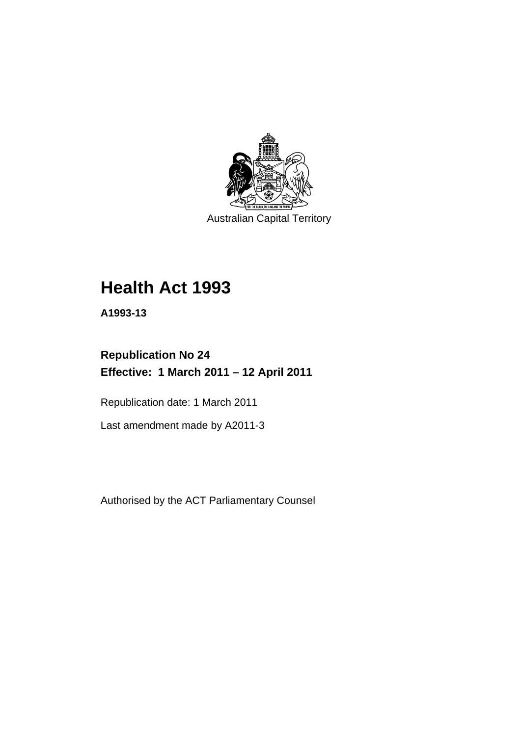

Australian Capital Territory

# **[Health Act 1993](#page-8-0)**

**A1993-13** 

# **Republication No 24 Effective: 1 March 2011 – 12 April 2011**

Republication date: 1 March 2011

Last amendment made by A2011-3

Authorised by the ACT Parliamentary Counsel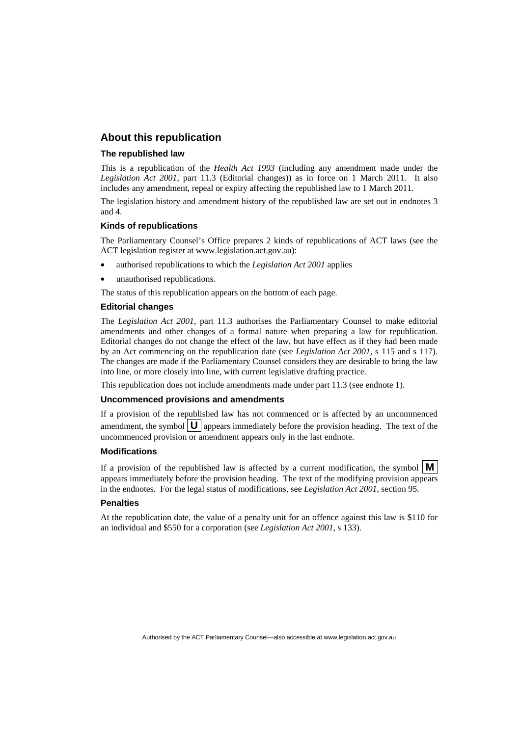#### **About this republication**

#### **The republished law**

This is a republication of the *Health Act 1993* (including any amendment made under the *Legislation Act 2001*, part 11.3 (Editorial changes)) as in force on 1 March 2011*.* It also includes any amendment, repeal or expiry affecting the republished law to 1 March 2011.

The legislation history and amendment history of the republished law are set out in endnotes 3 and 4.

#### **Kinds of republications**

The Parliamentary Counsel's Office prepares 2 kinds of republications of ACT laws (see the ACT legislation register at www.legislation.act.gov.au):

- authorised republications to which the *Legislation Act 2001* applies
- unauthorised republications.

The status of this republication appears on the bottom of each page.

#### **Editorial changes**

The *Legislation Act 2001*, part 11.3 authorises the Parliamentary Counsel to make editorial amendments and other changes of a formal nature when preparing a law for republication. Editorial changes do not change the effect of the law, but have effect as if they had been made by an Act commencing on the republication date (see *Legislation Act 2001*, s 115 and s 117). The changes are made if the Parliamentary Counsel considers they are desirable to bring the law into line, or more closely into line, with current legislative drafting practice.

This republication does not include amendments made under part 11.3 (see endnote 1).

#### **Uncommenced provisions and amendments**

If a provision of the republished law has not commenced or is affected by an uncommenced amendment, the symbol  $\mathbf{U}$  appears immediately before the provision heading. The text of the uncommenced provision or amendment appears only in the last endnote.

#### **Modifications**

If a provision of the republished law is affected by a current modification, the symbol  $\mathbf{M}$ appears immediately before the provision heading. The text of the modifying provision appears in the endnotes. For the legal status of modifications, see *Legislation Act 2001*, section 95.

#### **Penalties**

At the republication date, the value of a penalty unit for an offence against this law is \$110 for an individual and \$550 for a corporation (see *Legislation Act 2001*, s 133).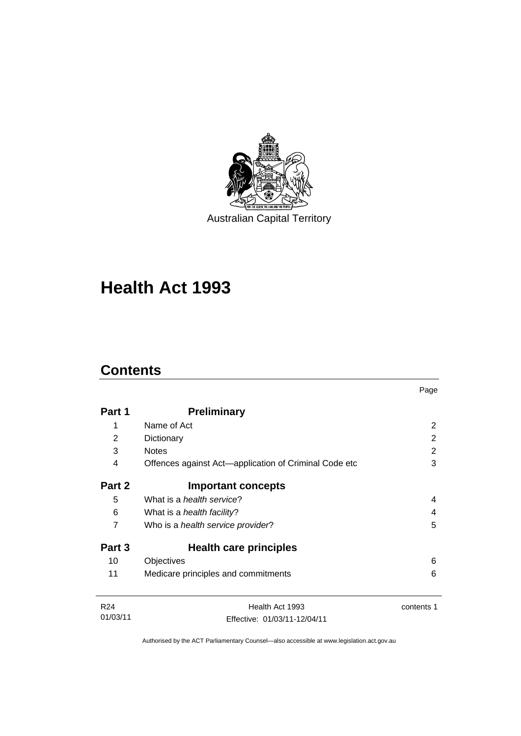

# **[Health Act 1993](#page-8-0)**

# **Contents**

| Part 1                      | <b>Preliminary</b>                                    |            |
|-----------------------------|-------------------------------------------------------|------------|
| 1                           | Name of Act                                           | 2          |
| 2                           | Dictionary                                            | 2          |
| 3                           | <b>Notes</b>                                          | 2          |
| 4                           | Offences against Act-application of Criminal Code etc | 3          |
| Part 2                      | <b>Important concepts</b>                             |            |
| 5                           | What is a <i>health service</i> ?                     | 4          |
| 6                           | What is a <i>health facility</i> ?                    | 4          |
| 7                           | Who is a health service provider?                     | 5          |
| Part 3                      | <b>Health care principles</b>                         |            |
| 10                          | Objectives                                            | 6          |
| 11                          | Medicare principles and commitments                   | 6          |
| R <sub>24</sub><br>01/03/11 | Health Act 1993<br>Effective: 01/03/11-12/04/11       | contents 1 |

Page

Authorised by the ACT Parliamentary Counsel—also accessible at www.legislation.act.gov.au

Effective: 01/03/11-12/04/11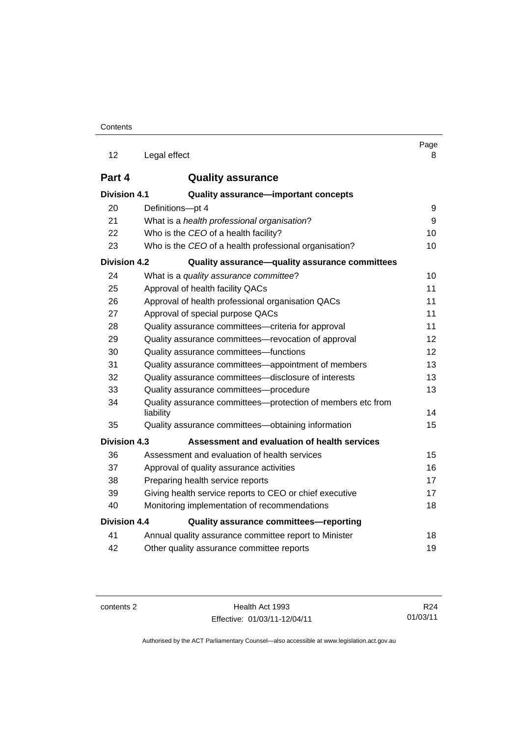| 12                  | Legal effect                                                             | Page<br>8 |
|---------------------|--------------------------------------------------------------------------|-----------|
| Part 4              | <b>Quality assurance</b>                                                 |           |
| Division 4.1        | Quality assurance-important concepts                                     |           |
| 20                  | Definitions-pt 4                                                         | 9         |
| 21                  | What is a health professional organisation?                              | 9         |
| 22                  | Who is the CEO of a health facility?                                     | 10        |
| 23                  | Who is the CEO of a health professional organisation?                    | 10        |
| Division 4.2        | Quality assurance-quality assurance committees                           |           |
| 24                  | What is a quality assurance committee?                                   | 10        |
| 25                  | Approval of health facility QACs                                         | 11        |
| 26                  | Approval of health professional organisation QACs                        | 11        |
| 27                  | Approval of special purpose QACs                                         | 11        |
| 28                  | Quality assurance committees-criteria for approval                       | 11        |
| 29                  | Quality assurance committees-revocation of approval                      | 12        |
| 30                  | Quality assurance committees-functions                                   | 12        |
| 31                  | Quality assurance committees—appointment of members                      | 13        |
| 32                  | Quality assurance committees-disclosure of interests                     | 13        |
| 33                  | Quality assurance committees-procedure                                   | 13        |
| 34                  | Quality assurance committees—protection of members etc from<br>liability | 14        |
| 35                  | Quality assurance committees—obtaining information                       | 15        |
| Division 4.3        | Assessment and evaluation of health services                             |           |
| 36                  | Assessment and evaluation of health services                             | 15        |
| 37                  | Approval of quality assurance activities                                 | 16        |
| 38                  | Preparing health service reports                                         | 17        |
| 39                  | Giving health service reports to CEO or chief executive                  | 17        |
| 40                  | Monitoring implementation of recommendations                             | 18        |
| <b>Division 4.4</b> | Quality assurance committees-reporting                                   |           |
| 41                  | Annual quality assurance committee report to Minister                    | 18        |
| 42                  | Other quality assurance committee reports                                | 19        |

contents 2 Health Act 1993 Effective: 01/03/11-12/04/11

R24 01/03/11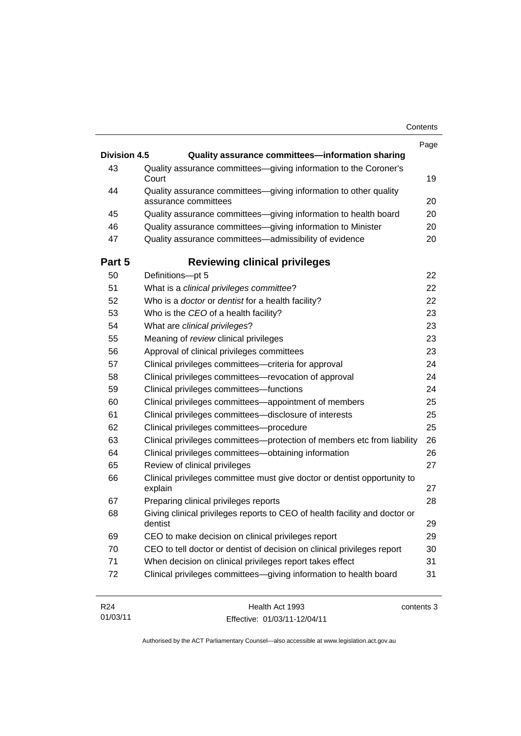| Contents |
|----------|
|----------|

|                     |                                                                                          | Page |
|---------------------|------------------------------------------------------------------------------------------|------|
| <b>Division 4.5</b> | Quality assurance committees-information sharing                                         |      |
| 43                  | Quality assurance committees-giving information to the Coroner's<br>Court                | 19   |
| 44                  | Quality assurance committees-giving information to other quality<br>assurance committees | 20   |
| 45                  | Quality assurance committees-giving information to health board                          | 20   |
| 46                  | Quality assurance committees-giving information to Minister                              | 20   |
| 47                  | Quality assurance committees-admissibility of evidence                                   | 20   |
| Part 5              | <b>Reviewing clinical privileges</b>                                                     |      |
| 50                  | Definitions-pt 5                                                                         | 22   |
| 51                  | What is a clinical privileges committee?                                                 | 22   |
| 52                  | Who is a <i>doctor</i> or <i>dentist</i> for a health facility?                          | 22   |
| 53                  | Who is the CEO of a health facility?                                                     | 23   |
| 54                  | What are clinical privileges?                                                            | 23   |
| 55                  | Meaning of review clinical privileges                                                    | 23   |
| 56                  | Approval of clinical privileges committees                                               | 23   |
| 57                  | Clinical privileges committees—criteria for approval                                     | 24   |
| 58                  | Clinical privileges committees—revocation of approval                                    | 24   |
| 59                  | Clinical privileges committees-functions                                                 | 24   |
| 60                  | Clinical privileges committees—appointment of members                                    | 25   |
| 61                  | Clinical privileges committees-disclosure of interests                                   | 25   |
| 62                  | Clinical privileges committees-procedure                                                 | 25   |
| 63                  | Clinical privileges committees-protection of members etc from liability                  | 26   |
| 64                  | Clinical privileges committees—obtaining information                                     | 26   |
| 65                  | Review of clinical privileges                                                            | 27   |
| 66                  | Clinical privileges committee must give doctor or dentist opportunity to<br>explain      | 27   |
| 67                  | Preparing clinical privileges reports                                                    | 28   |
| 68                  | Giving clinical privileges reports to CEO of health facility and doctor or<br>dentist    | 29   |
| 69                  | CEO to make decision on clinical privileges report                                       | 29   |
| 70                  | CEO to tell doctor or dentist of decision on clinical privileges report                  | 30   |
| 71                  | When decision on clinical privileges report takes effect                                 | 31   |
| 72                  | Clinical privileges committees-giving information to health board                        | 31   |
|                     |                                                                                          |      |

| R24      | Health Act 1993              | contents 3 |
|----------|------------------------------|------------|
| 01/03/11 | Effective: 01/03/11-12/04/11 |            |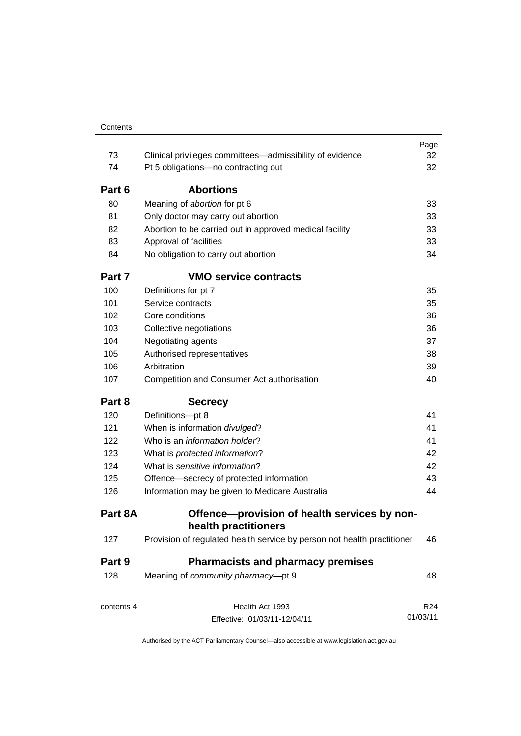| 73         | Clinical privileges committees—admissibility of evidence                | Page<br>32      |
|------------|-------------------------------------------------------------------------|-----------------|
| 74         | Pt 5 obligations-no contracting out                                     | 32              |
| Part 6     | <b>Abortions</b>                                                        |                 |
| 80         | Meaning of abortion for pt 6                                            | 33              |
| 81         | Only doctor may carry out abortion                                      | 33              |
| 82         | Abortion to be carried out in approved medical facility                 | 33              |
| 83         | Approval of facilities                                                  | 33              |
| 84         | No obligation to carry out abortion                                     | 34              |
| Part 7     | <b>VMO service contracts</b>                                            |                 |
| 100        | Definitions for pt 7                                                    | 35              |
| 101        | Service contracts                                                       | 35              |
| 102        | Core conditions                                                         | 36              |
| 103        | Collective negotiations                                                 | 36              |
| 104        | Negotiating agents                                                      | 37              |
| 105        | Authorised representatives                                              | 38              |
| 106        | Arbitration                                                             | 39              |
| 107        | Competition and Consumer Act authorisation                              | 40              |
| Part 8     | <b>Secrecy</b>                                                          |                 |
| 120        | Definitions-pt 8                                                        | 41              |
| 121        | When is information divulged?                                           | 41              |
| 122        | Who is an <i>information holder</i> ?                                   | 41              |
| 123        | What is protected information?                                          | 42              |
| 124        | What is sensitive information?                                          | 42              |
| 125        | Offence-secrecy of protected information                                | 43              |
| 126        | Information may be given to Medicare Australia                          | 44              |
| Part 8A    | Offence-provision of health services by non-                            |                 |
|            | health practitioners                                                    |                 |
| 127        | Provision of regulated health service by person not health practitioner | 46              |
| Part 9     | <b>Pharmacists and pharmacy premises</b>                                |                 |
| 128        | Meaning of community pharmacy-pt 9                                      | 48              |
| contents 4 | Health Act 1993                                                         | R <sub>24</sub> |
|            | Effective: 01/03/11-12/04/11                                            | 01/03/11        |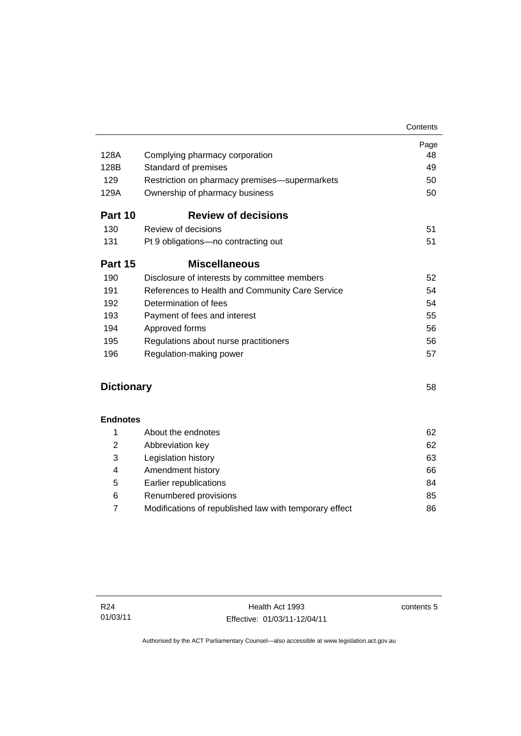| 128A              | Complying pharmacy corporation                  | Page<br>48 |
|-------------------|-------------------------------------------------|------------|
| 128B              | Standard of premises                            | 49         |
| 129               | Restriction on pharmacy premises-supermarkets   | 50         |
| 129A              | Ownership of pharmacy business                  | 50         |
|                   |                                                 |            |
| Part 10           | <b>Review of decisions</b>                      |            |
| 130               | Review of decisions                             | 51         |
| 131               | Pt 9 obligations—no contracting out             | 51         |
| Part 15           | <b>Miscellaneous</b>                            |            |
| 190               | Disclosure of interests by committee members    | 52         |
| 191               | References to Health and Community Care Service | 54         |
| 192               | Determination of fees                           | 54         |
| 193               | Payment of fees and interest                    | 55         |
| 194               | Approved forms                                  | 56         |
| 195               | Regulations about nurse practitioners           | 56         |
| 196               | Regulation-making power                         | 57         |
| <b>Dictionary</b> |                                                 | 58         |
|                   |                                                 |            |
| <b>Endnotes</b>   |                                                 |            |
| 1                 | About the endnotes                              | 62         |
| 2                 | Abbreviation key                                | 62         |
| 3                 | Legislation history                             | 63         |
| 4                 | Amendment history                               | 66         |
| 5                 | Earlier republications                          | 84         |
|                   |                                                 |            |

| Renumbered provisions                                  | 85 |
|--------------------------------------------------------|----|
| Modifications of republished law with temporary effect |    |

contents 5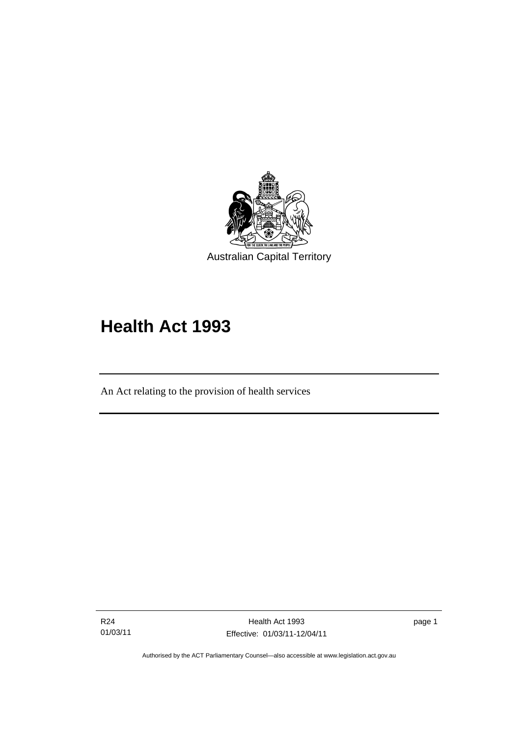<span id="page-8-0"></span>

# **Health Act 1993**

An Act relating to the provision of health services

R24 01/03/11

l

page 1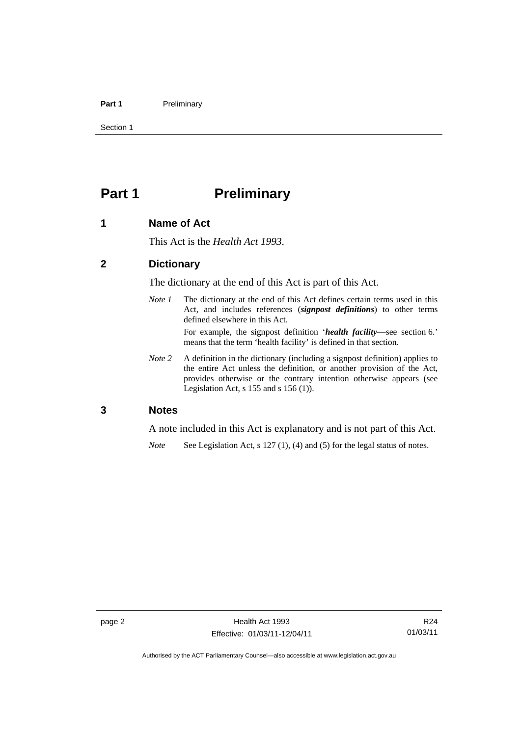#### <span id="page-9-0"></span>Part 1 **Preliminary**

Section 1

# **Part 1** Preliminary

#### **1 Name of Act**

This Act is the *Health Act 1993*.

## **2 Dictionary**

The dictionary at the end of this Act is part of this Act.

*Note 1* The dictionary at the end of this Act defines certain terms used in this Act, and includes references (*signpost definitions*) to other terms defined elsewhere in this Act. For example, the signpost definition '*health facility*—see section 6.'

means that the term 'health facility' is defined in that section.

*Note 2* A definition in the dictionary (including a signpost definition) applies to the entire Act unless the definition, or another provision of the Act, provides otherwise or the contrary intention otherwise appears (see Legislation Act, s  $155$  and s  $156$  (1)).

#### **3 Notes**

A note included in this Act is explanatory and is not part of this Act.

*Note* See Legislation Act, s 127 (1), (4) and (5) for the legal status of notes.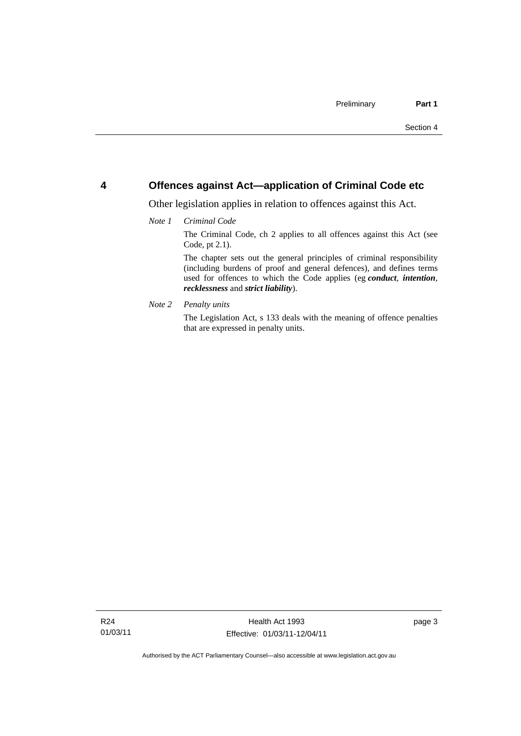#### <span id="page-10-0"></span>**4 Offences against Act—application of Criminal Code etc**

Other legislation applies in relation to offences against this Act.

#### *Note 1 Criminal Code*

The Criminal Code, ch 2 applies to all offences against this Act (see Code, pt 2.1).

The chapter sets out the general principles of criminal responsibility (including burdens of proof and general defences), and defines terms used for offences to which the Code applies (eg *conduct*, *intention*, *recklessness* and *strict liability*).

*Note 2 Penalty units* 

The Legislation Act, s 133 deals with the meaning of offence penalties that are expressed in penalty units.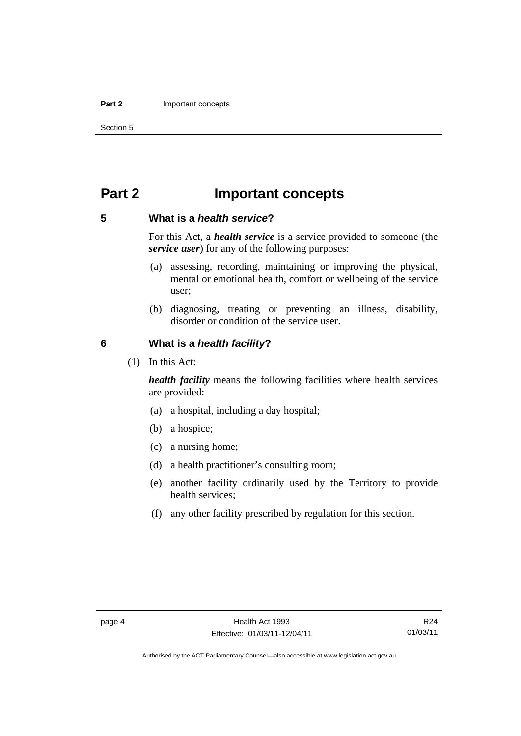#### <span id="page-11-0"></span>**Part 2** Important concepts

Section 5

# **Part 2 Important concepts**

#### **5 What is a** *health service***?**

For this Act, a *health service* is a service provided to someone (the *service user*) for any of the following purposes:

- (a) assessing, recording, maintaining or improving the physical, mental or emotional health, comfort or wellbeing of the service user;
- (b) diagnosing, treating or preventing an illness, disability, disorder or condition of the service user.

#### **6 What is a** *health facility***?**

(1) In this Act:

*health facility* means the following facilities where health services are provided:

- (a) a hospital, including a day hospital;
- (b) a hospice;
- (c) a nursing home;
- (d) a health practitioner's consulting room;
- (e) another facility ordinarily used by the Territory to provide health services;
- (f) any other facility prescribed by regulation for this section.

R24 01/03/11

Authorised by the ACT Parliamentary Counsel—also accessible at www.legislation.act.gov.au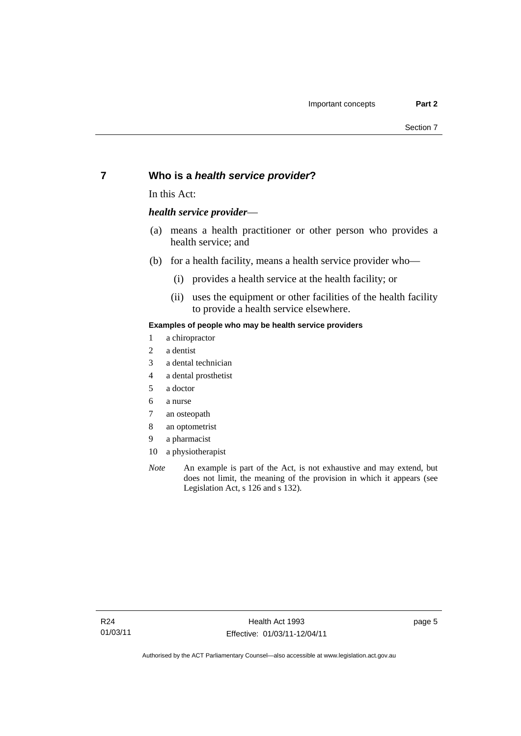### <span id="page-12-0"></span>**7 Who is a** *health service provider***?**

In this Act:

#### *health service provider*—

- (a) means a health practitioner or other person who provides a health service; and
- (b) for a health facility, means a health service provider who—
	- (i) provides a health service at the health facility; or
	- (ii) uses the equipment or other facilities of the health facility to provide a health service elsewhere.

#### **Examples of people who may be health service providers**

- 1 a chiropractor
- 2 a dentist
- 3 a dental technician
- 4 a dental prosthetist
- 5 a doctor
- 6 a nurse
- 7 an osteopath
- 8 an optometrist
- 9 a pharmacist
- 10 a physiotherapist
- *Note* An example is part of the Act, is not exhaustive and may extend, but does not limit, the meaning of the provision in which it appears (see Legislation Act, s 126 and s 132).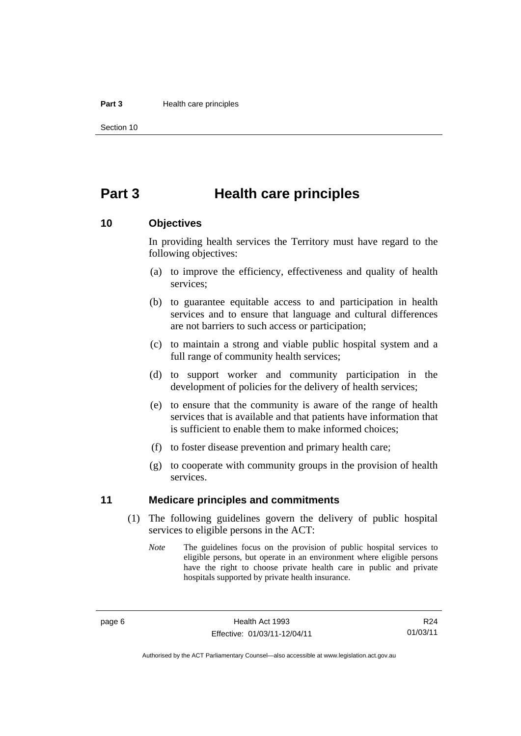#### <span id="page-13-0"></span>**Part 3 Health care principles**

Section 10

# **Part 3 Health care principles**

#### **10 Objectives**

In providing health services the Territory must have regard to the following objectives:

- (a) to improve the efficiency, effectiveness and quality of health services;
- (b) to guarantee equitable access to and participation in health services and to ensure that language and cultural differences are not barriers to such access or participation;
- (c) to maintain a strong and viable public hospital system and a full range of community health services;
- (d) to support worker and community participation in the development of policies for the delivery of health services;
- (e) to ensure that the community is aware of the range of health services that is available and that patients have information that is sufficient to enable them to make informed choices;
- (f) to foster disease prevention and primary health care;
- (g) to cooperate with community groups in the provision of health services.

#### **11 Medicare principles and commitments**

- (1) The following guidelines govern the delivery of public hospital services to eligible persons in the ACT:
	- *Note* The guidelines focus on the provision of public hospital services to eligible persons, but operate in an environment where eligible persons have the right to choose private health care in public and private hospitals supported by private health insurance.

R24 01/03/11

Authorised by the ACT Parliamentary Counsel—also accessible at www.legislation.act.gov.au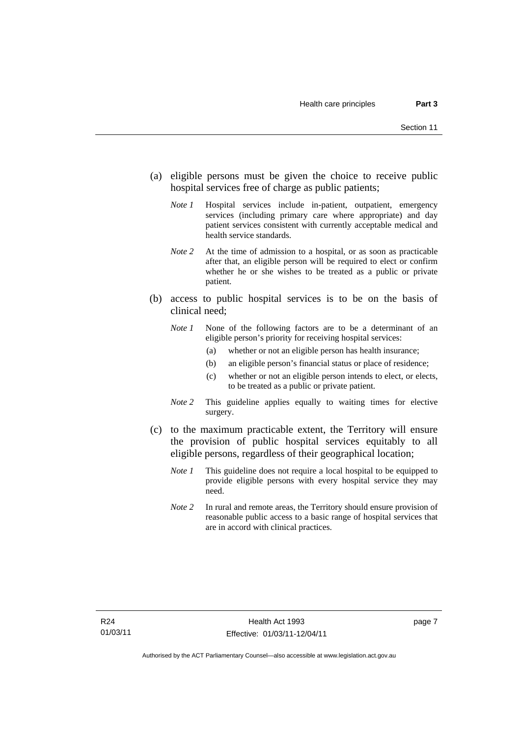- (a) eligible persons must be given the choice to receive public hospital services free of charge as public patients;
	- *Note 1* Hospital services include in-patient, outpatient, emergency services (including primary care where appropriate) and day patient services consistent with currently acceptable medical and health service standards.
	- *Note 2* At the time of admission to a hospital, or as soon as practicable after that, an eligible person will be required to elect or confirm whether he or she wishes to be treated as a public or private patient.
- (b) access to public hospital services is to be on the basis of clinical need;
	- *Note 1* None of the following factors are to be a determinant of an eligible person's priority for receiving hospital services:
		- (a) whether or not an eligible person has health insurance;
		- (b) an eligible person's financial status or place of residence;
		- (c) whether or not an eligible person intends to elect, or elects, to be treated as a public or private patient.
	- *Note 2* This guideline applies equally to waiting times for elective surgery.
- (c) to the maximum practicable extent, the Territory will ensure the provision of public hospital services equitably to all eligible persons, regardless of their geographical location;
	- *Note 1* This guideline does not require a local hospital to be equipped to provide eligible persons with every hospital service they may need.
	- *Note 2* In rural and remote areas, the Territory should ensure provision of reasonable public access to a basic range of hospital services that are in accord with clinical practices.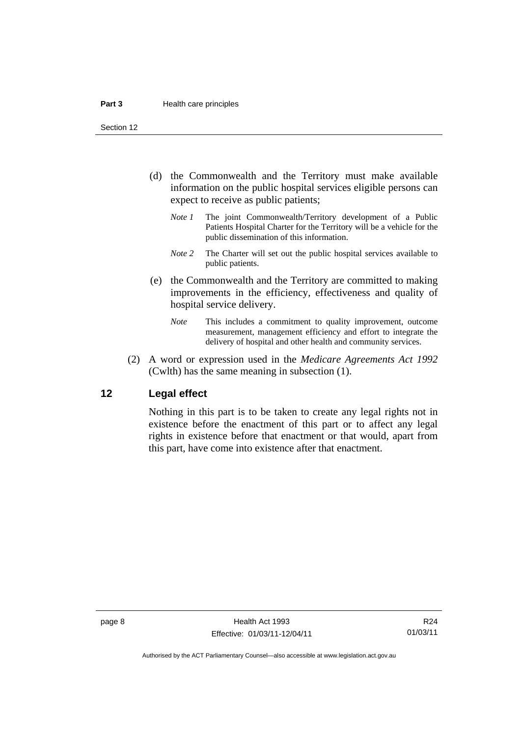<span id="page-15-0"></span>Section 12

- (d) the Commonwealth and the Territory must make available information on the public hospital services eligible persons can expect to receive as public patients;
	- *Note 1* The joint Commonwealth/Territory development of a Public Patients Hospital Charter for the Territory will be a vehicle for the public dissemination of this information.
	- *Note 2* The Charter will set out the public hospital services available to public patients.
- (e) the Commonwealth and the Territory are committed to making improvements in the efficiency, effectiveness and quality of hospital service delivery.
	- *Note* This includes a commitment to quality improvement, outcome measurement, management efficiency and effort to integrate the delivery of hospital and other health and community services.
- (2) A word or expression used in the *Medicare Agreements Act 1992* (Cwlth) has the same meaning in subsection (1).

#### **12 Legal effect**

Nothing in this part is to be taken to create any legal rights not in existence before the enactment of this part or to affect any legal rights in existence before that enactment or that would, apart from this part, have come into existence after that enactment.

R24 01/03/11

Authorised by the ACT Parliamentary Counsel—also accessible at www.legislation.act.gov.au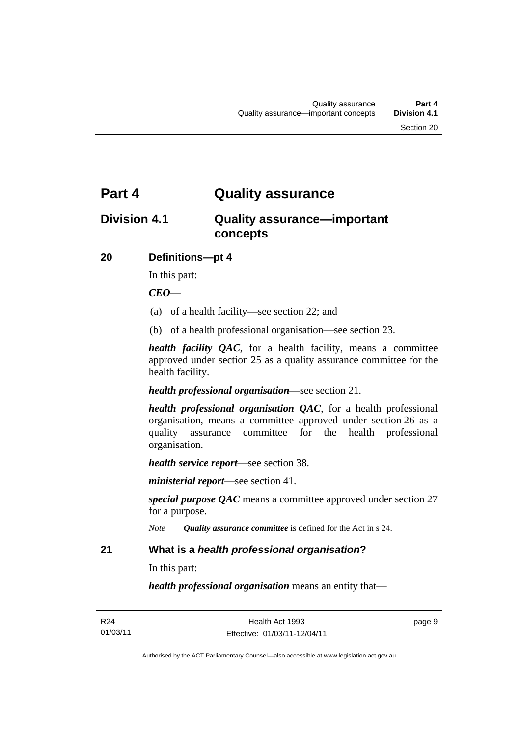# <span id="page-16-0"></span>**Part 4 Quality assurance**

# **Division 4.1 Quality assurance—important concepts**

### **20 Definitions—pt 4**

In this part:

#### *CEO*—

- (a) of a health facility—see section 22; and
- (b) of a health professional organisation—see section 23.

*health facility QAC*, for a health facility, means a committee approved under section 25 as a quality assurance committee for the health facility.

*health professional organisation*—see section 21.

*health professional organisation QAC*, for a health professional organisation, means a committee approved under section 26 as a quality assurance committee for the health professional organisation.

*health service report*—see section 38.

*ministerial report*—see section 41.

*special purpose QAC* means a committee approved under section 27 for a purpose.

*Note Quality assurance committee* is defined for the Act in s 24.

#### **21 What is a** *health professional organisation***?**

In this part:

*health professional organisation* means an entity that—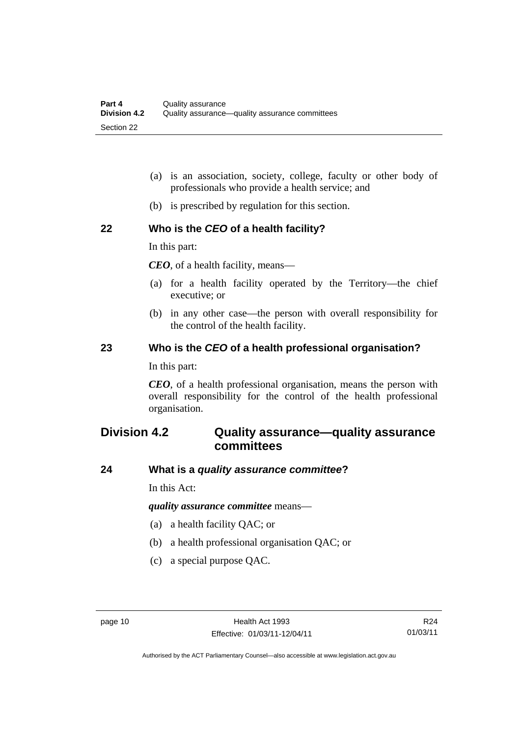- <span id="page-17-0"></span> (a) is an association, society, college, faculty or other body of professionals who provide a health service; and
- (b) is prescribed by regulation for this section.

### **22 Who is the** *CEO* **of a health facility?**

In this part:

*CEO*, of a health facility, means—

- (a) for a health facility operated by the Territory—the chief executive; or
- (b) in any other case—the person with overall responsibility for the control of the health facility.

#### **23 Who is the** *CEO* **of a health professional organisation?**

In this part:

*CEO*, of a health professional organisation, means the person with overall responsibility for the control of the health professional organisation.

# **Division 4.2 Quality assurance—quality assurance committees**

#### **24 What is a** *quality assurance committee***?**

In this Act:

*quality assurance committee* means—

- (a) a health facility QAC; or
- (b) a health professional organisation QAC; or
- (c) a special purpose QAC.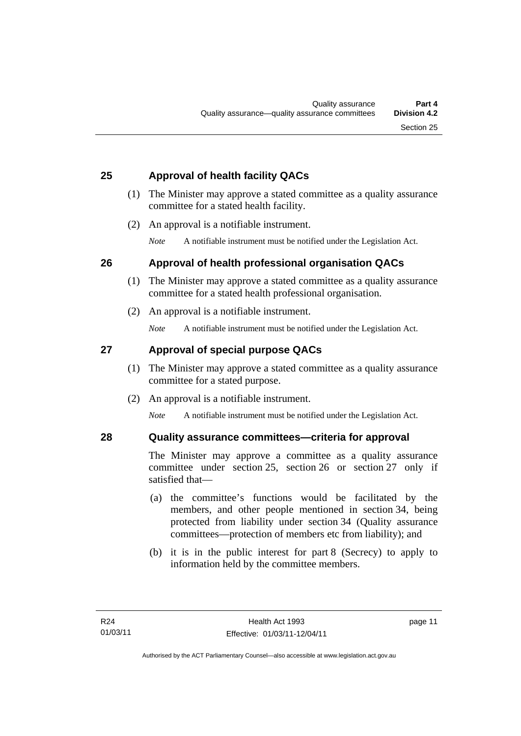## <span id="page-18-0"></span>**25 Approval of health facility QACs**

- (1) The Minister may approve a stated committee as a quality assurance committee for a stated health facility.
- (2) An approval is a notifiable instrument.

*Note* A notifiable instrument must be notified under the Legislation Act.

## **26 Approval of health professional organisation QACs**

- (1) The Minister may approve a stated committee as a quality assurance committee for a stated health professional organisation.
- (2) An approval is a notifiable instrument.

*Note* A notifiable instrument must be notified under the Legislation Act.

# **27 Approval of special purpose QACs**

- (1) The Minister may approve a stated committee as a quality assurance committee for a stated purpose.
- (2) An approval is a notifiable instrument.

*Note* A notifiable instrument must be notified under the Legislation Act.

## **28 Quality assurance committees—criteria for approval**

The Minister may approve a committee as a quality assurance committee under section 25, section 26 or section 27 only if satisfied that—

- (a) the committee's functions would be facilitated by the members, and other people mentioned in section 34, being protected from liability under section 34 (Quality assurance committees—protection of members etc from liability); and
- (b) it is in the public interest for part 8 (Secrecy) to apply to information held by the committee members.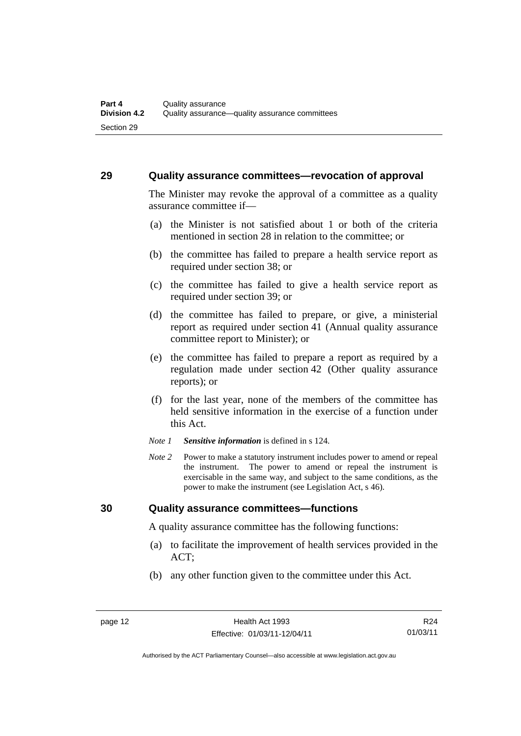#### <span id="page-19-0"></span>**29 Quality assurance committees—revocation of approval**

The Minister may revoke the approval of a committee as a quality assurance committee if—

- (a) the Minister is not satisfied about 1 or both of the criteria mentioned in section 28 in relation to the committee; or
- (b) the committee has failed to prepare a health service report as required under section 38; or
- (c) the committee has failed to give a health service report as required under section 39; or
- (d) the committee has failed to prepare, or give, a ministerial report as required under section 41 (Annual quality assurance committee report to Minister); or
- (e) the committee has failed to prepare a report as required by a regulation made under section 42 (Other quality assurance reports); or
- (f) for the last year, none of the members of the committee has held sensitive information in the exercise of a function under this Act.
- *Note 1 Sensitive information* is defined in s 124.
- *Note 2* Power to make a statutory instrument includes power to amend or repeal the instrument. The power to amend or repeal the instrument is exercisable in the same way, and subject to the same conditions, as the power to make the instrument (see Legislation Act, s 46).

#### **30 Quality assurance committees—functions**

A quality assurance committee has the following functions:

- (a) to facilitate the improvement of health services provided in the ACT;
- (b) any other function given to the committee under this Act.

R24 01/03/11

Authorised by the ACT Parliamentary Counsel—also accessible at www.legislation.act.gov.au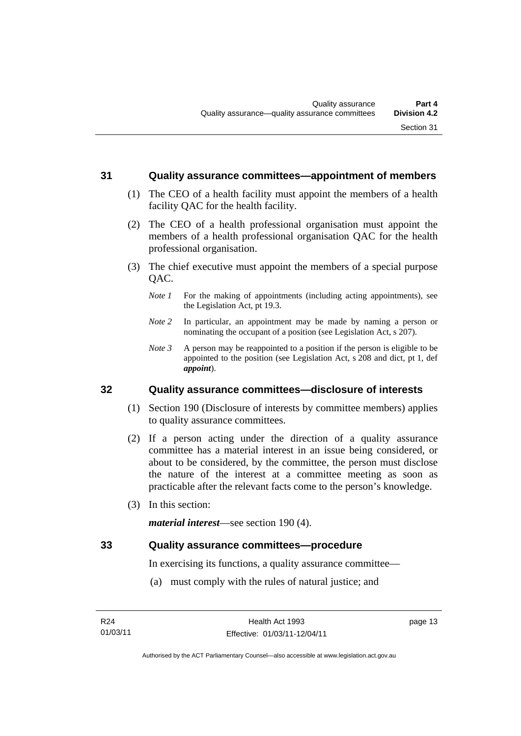#### <span id="page-20-0"></span>**31 Quality assurance committees—appointment of members**

- (1) The CEO of a health facility must appoint the members of a health facility QAC for the health facility.
- (2) The CEO of a health professional organisation must appoint the members of a health professional organisation QAC for the health professional organisation.
- (3) The chief executive must appoint the members of a special purpose OAC.
	- *Note 1* For the making of appointments (including acting appointments), see the Legislation Act, pt 19.3.
	- *Note 2* In particular, an appointment may be made by naming a person or nominating the occupant of a position (see Legislation Act, s 207).
	- *Note 3* A person may be reappointed to a position if the person is eligible to be appointed to the position (see Legislation Act, s 208 and dict, pt 1, def *appoint*).

#### **32 Quality assurance committees—disclosure of interests**

- (1) Section 190 (Disclosure of interests by committee members) applies to quality assurance committees.
- (2) If a person acting under the direction of a quality assurance committee has a material interest in an issue being considered, or about to be considered, by the committee, the person must disclose the nature of the interest at a committee meeting as soon as practicable after the relevant facts come to the person's knowledge.
- (3) In this section:

*material interest*—see section 190 (4).

#### **33 Quality assurance committees—procedure**

In exercising its functions, a quality assurance committee—

(a) must comply with the rules of natural justice; and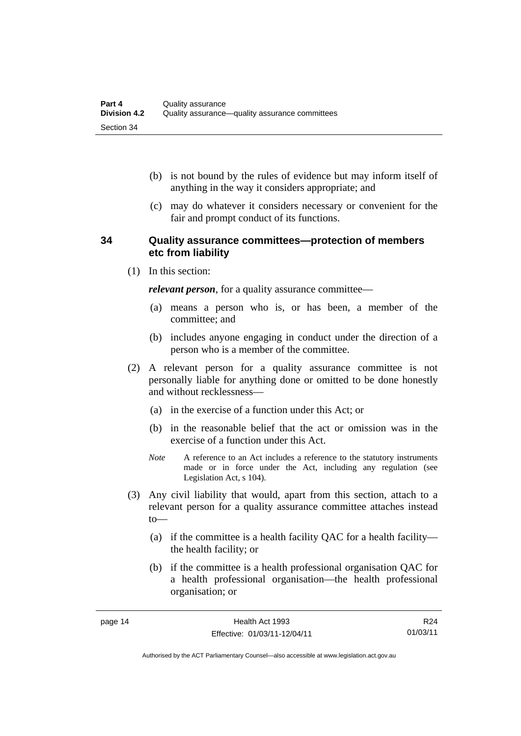- <span id="page-21-0"></span> (b) is not bound by the rules of evidence but may inform itself of anything in the way it considers appropriate; and
- (c) may do whatever it considers necessary or convenient for the fair and prompt conduct of its functions.

#### **34 Quality assurance committees—protection of members etc from liability**

(1) In this section:

*relevant person*, for a quality assurance committee—

- (a) means a person who is, or has been, a member of the committee; and
- (b) includes anyone engaging in conduct under the direction of a person who is a member of the committee.
- (2) A relevant person for a quality assurance committee is not personally liable for anything done or omitted to be done honestly and without recklessness—
	- (a) in the exercise of a function under this Act; or
	- (b) in the reasonable belief that the act or omission was in the exercise of a function under this Act.
	- *Note* A reference to an Act includes a reference to the statutory instruments made or in force under the Act, including any regulation (see Legislation Act, s 104).
- (3) Any civil liability that would, apart from this section, attach to a relevant person for a quality assurance committee attaches instead to—
	- (a) if the committee is a health facility QAC for a health facility the health facility; or
	- (b) if the committee is a health professional organisation QAC for a health professional organisation—the health professional organisation; or

R24 01/03/11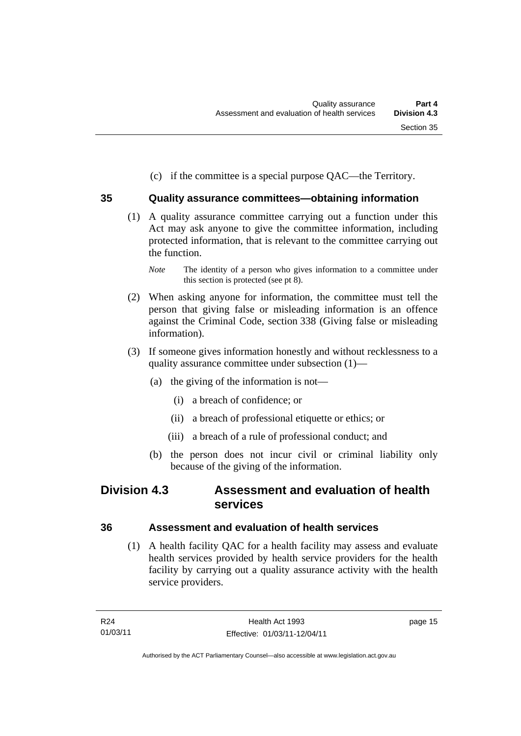(c) if the committee is a special purpose QAC—the Territory.

## <span id="page-22-0"></span>**35 Quality assurance committees—obtaining information**

- (1) A quality assurance committee carrying out a function under this Act may ask anyone to give the committee information, including protected information, that is relevant to the committee carrying out the function.
	- *Note* The identity of a person who gives information to a committee under this section is protected (see pt 8).
- (2) When asking anyone for information, the committee must tell the person that giving false or misleading information is an offence against the Criminal Code, section 338 (Giving false or misleading information).
- (3) If someone gives information honestly and without recklessness to a quality assurance committee under subsection (1)—
	- (a) the giving of the information is not—
		- (i) a breach of confidence; or
		- (ii) a breach of professional etiquette or ethics; or
		- (iii) a breach of a rule of professional conduct; and
	- (b) the person does not incur civil or criminal liability only because of the giving of the information.

# **Division 4.3 Assessment and evaluation of health services**

## **36 Assessment and evaluation of health services**

 (1) A health facility QAC for a health facility may assess and evaluate health services provided by health service providers for the health facility by carrying out a quality assurance activity with the health service providers.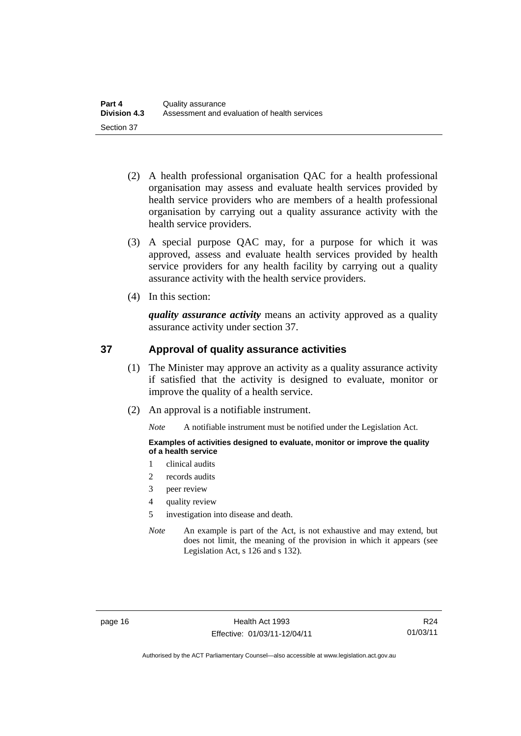- <span id="page-23-0"></span> (2) A health professional organisation QAC for a health professional organisation may assess and evaluate health services provided by health service providers who are members of a health professional organisation by carrying out a quality assurance activity with the health service providers.
- (3) A special purpose QAC may, for a purpose for which it was approved, assess and evaluate health services provided by health service providers for any health facility by carrying out a quality assurance activity with the health service providers.
- (4) In this section:

*quality assurance activity* means an activity approved as a quality assurance activity under section 37.

### **37 Approval of quality assurance activities**

- (1) The Minister may approve an activity as a quality assurance activity if satisfied that the activity is designed to evaluate, monitor or improve the quality of a health service.
- (2) An approval is a notifiable instrument.

*Note* A notifiable instrument must be notified under the Legislation Act.

**Examples of activities designed to evaluate, monitor or improve the quality of a health service** 

- 1 clinical audits
- 2 records audits
- 3 peer review
- 4 quality review
- 5 investigation into disease and death.
- *Note* An example is part of the Act, is not exhaustive and may extend, but does not limit, the meaning of the provision in which it appears (see Legislation Act, s 126 and s 132).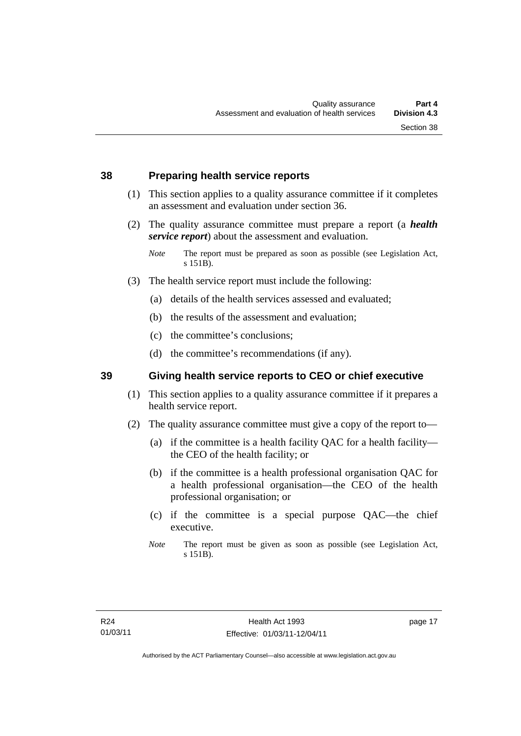- <span id="page-24-0"></span> (1) This section applies to a quality assurance committee if it completes an assessment and evaluation under section 36.
- (2) The quality assurance committee must prepare a report (a *health service report*) about the assessment and evaluation.

- (3) The health service report must include the following:
	- (a) details of the health services assessed and evaluated;
	- (b) the results of the assessment and evaluation;
	- (c) the committee's conclusions;
	- (d) the committee's recommendations (if any).

#### **39 Giving health service reports to CEO or chief executive**

- (1) This section applies to a quality assurance committee if it prepares a health service report.
- (2) The quality assurance committee must give a copy of the report to—
	- (a) if the committee is a health facility QAC for a health facility the CEO of the health facility; or
	- (b) if the committee is a health professional organisation QAC for a health professional organisation—the CEO of the health professional organisation; or
	- (c) if the committee is a special purpose QAC—the chief executive.
	- *Note* The report must be given as soon as possible (see Legislation Act, s 151B).

*Note* The report must be prepared as soon as possible (see Legislation Act, s 151B).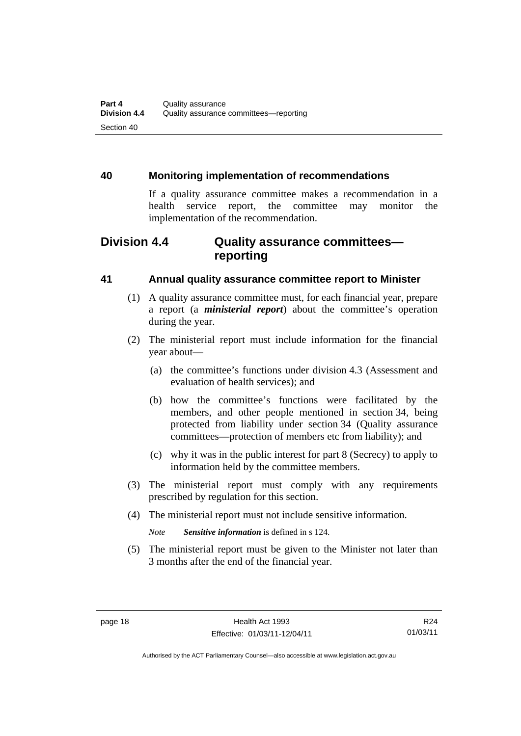### <span id="page-25-0"></span>**40 Monitoring implementation of recommendations**

If a quality assurance committee makes a recommendation in a health service report, the committee may monitor the implementation of the recommendation.

# **Division 4.4 Quality assurance committees reporting**

### **41 Annual quality assurance committee report to Minister**

- (1) A quality assurance committee must, for each financial year, prepare a report (a *ministerial report*) about the committee's operation during the year.
- (2) The ministerial report must include information for the financial year about—
	- (a) the committee's functions under division 4.3 (Assessment and evaluation of health services); and
	- (b) how the committee's functions were facilitated by the members, and other people mentioned in section 34, being protected from liability under section 34 (Quality assurance committees—protection of members etc from liability); and
	- (c) why it was in the public interest for part 8 (Secrecy) to apply to information held by the committee members.
- (3) The ministerial report must comply with any requirements prescribed by regulation for this section.
- (4) The ministerial report must not include sensitive information.

*Note Sensitive information* is defined in s 124.

 (5) The ministerial report must be given to the Minister not later than 3 months after the end of the financial year.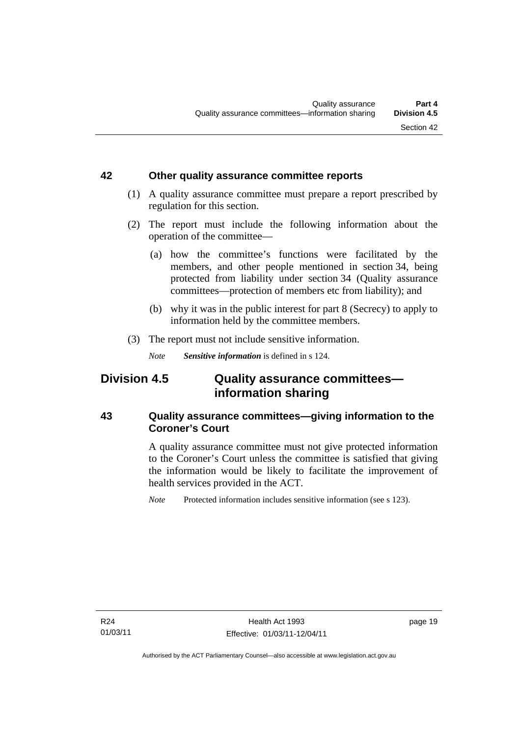#### <span id="page-26-0"></span>**42 Other quality assurance committee reports**

- (1) A quality assurance committee must prepare a report prescribed by regulation for this section.
- (2) The report must include the following information about the operation of the committee—
	- (a) how the committee's functions were facilitated by the members, and other people mentioned in section 34, being protected from liability under section 34 (Quality assurance committees—protection of members etc from liability); and
	- (b) why it was in the public interest for part 8 (Secrecy) to apply to information held by the committee members.
- (3) The report must not include sensitive information.

*Note Sensitive information* is defined in s 124.

# **Division 4.5 Quality assurance committees information sharing**

## **43 Quality assurance committees—giving information to the Coroner's Court**

A quality assurance committee must not give protected information to the Coroner's Court unless the committee is satisfied that giving the information would be likely to facilitate the improvement of health services provided in the ACT.

*Note* Protected information includes sensitive information (see s 123).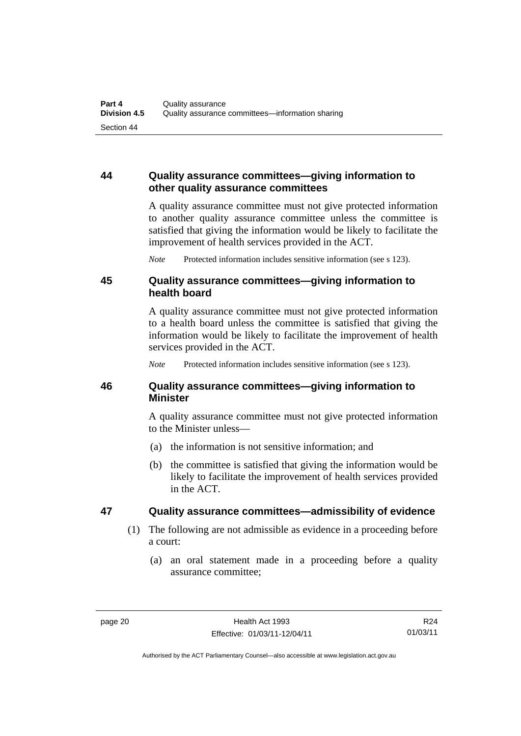## <span id="page-27-0"></span>**44 Quality assurance committees—giving information to other quality assurance committees**

A quality assurance committee must not give protected information to another quality assurance committee unless the committee is satisfied that giving the information would be likely to facilitate the improvement of health services provided in the ACT.

*Note* Protected information includes sensitive information (see s 123).

#### **45 Quality assurance committees—giving information to health board**

A quality assurance committee must not give protected information to a health board unless the committee is satisfied that giving the information would be likely to facilitate the improvement of health services provided in the ACT.

*Note* Protected information includes sensitive information (see s 123).

### **46 Quality assurance committees—giving information to Minister**

A quality assurance committee must not give protected information to the Minister unless—

- (a) the information is not sensitive information; and
- (b) the committee is satisfied that giving the information would be likely to facilitate the improvement of health services provided in the ACT.

## **47 Quality assurance committees—admissibility of evidence**

- (1) The following are not admissible as evidence in a proceeding before a court:
	- (a) an oral statement made in a proceeding before a quality assurance committee;

Authorised by the ACT Parliamentary Counsel—also accessible at www.legislation.act.gov.au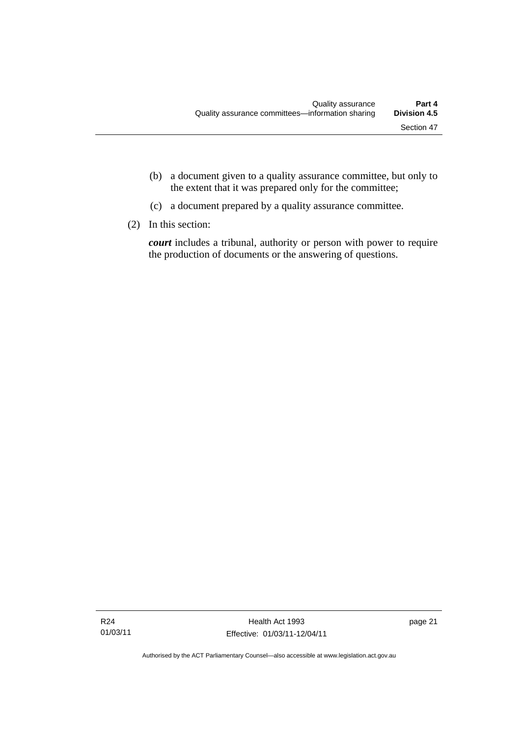- (b) a document given to a quality assurance committee, but only to the extent that it was prepared only for the committee;
- (c) a document prepared by a quality assurance committee.
- (2) In this section:

*court* includes a tribunal, authority or person with power to require the production of documents or the answering of questions.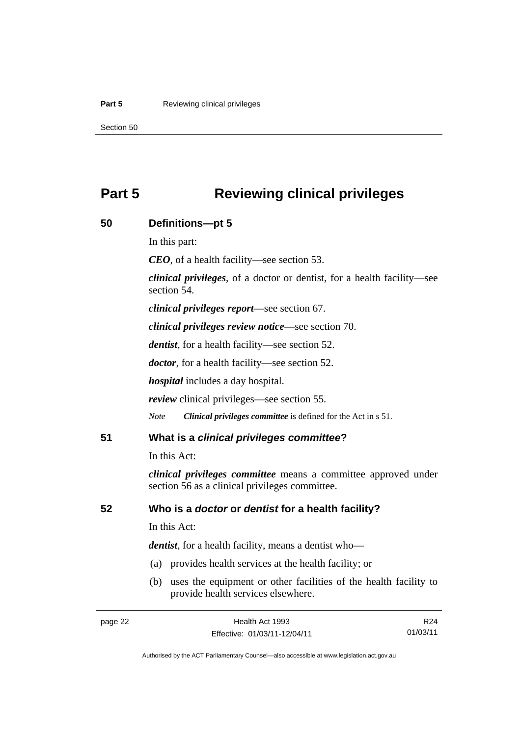#### <span id="page-29-0"></span>**Part 5 Reviewing clinical privileges**

Section 50

# **Part 5 Reviewing clinical privileges**

| 50 | Definitions-pt 5                                                                                                        |
|----|-------------------------------------------------------------------------------------------------------------------------|
|    | In this part:                                                                                                           |
|    | $CEO$ , of a health facility—see section 53.                                                                            |
|    | <i>clinical privileges</i> , of a doctor or dentist, for a health facility—see<br>section 54.                           |
|    | <i>clinical privileges report</i> —see section 67.                                                                      |
|    | <i>clinical privileges review notice—see section 70.</i>                                                                |
|    | <i>dentist</i> , for a health facility—see section 52.                                                                  |
|    | <i>doctor</i> , for a health facility—see section 52.                                                                   |
|    | <i>hospital</i> includes a day hospital.                                                                                |
|    | <i>review</i> clinical privileges—see section 55.                                                                       |
|    | Clinical privileges committee is defined for the Act in s 51.<br><b>Note</b>                                            |
| 51 | What is a clinical privileges committee?                                                                                |
|    | In this Act:                                                                                                            |
|    | <i>clinical privileges committee</i> means a committee approved under<br>section 56 as a clinical privileges committee. |
| 52 | Who is a doctor or dentist for a health facility?                                                                       |
|    | In this Act:                                                                                                            |
|    | <i>dentist</i> , for a health facility, means a dentist who-                                                            |
|    | (a) provides health services at the health facility; or                                                                 |
|    | uses the equipment or other facilities of the health facility to<br>(b)<br>provide health services elsewhere.           |

R24 01/03/11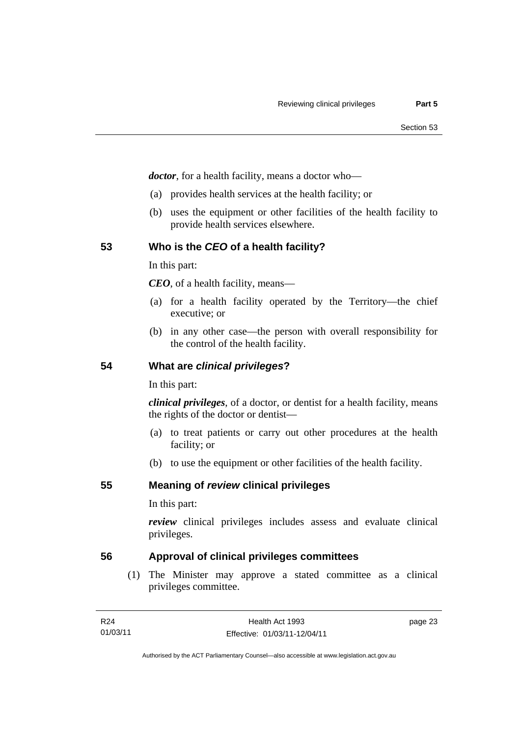<span id="page-30-0"></span>*doctor*, for a health facility, means a doctor who—

- (a) provides health services at the health facility; or
- (b) uses the equipment or other facilities of the health facility to provide health services elsewhere.

## **53 Who is the** *CEO* **of a health facility?**

In this part:

*CEO*, of a health facility, means—

- (a) for a health facility operated by the Territory—the chief executive; or
- (b) in any other case—the person with overall responsibility for the control of the health facility.

#### **54 What are** *clinical privileges***?**

In this part:

*clinical privileges*, of a doctor, or dentist for a health facility, means the rights of the doctor or dentist—

- (a) to treat patients or carry out other procedures at the health facility; or
- (b) to use the equipment or other facilities of the health facility.

**55 Meaning of** *review* **clinical privileges** 

In this part:

*review* clinical privileges includes assess and evaluate clinical privileges.

### **56 Approval of clinical privileges committees**

 (1) The Minister may approve a stated committee as a clinical privileges committee.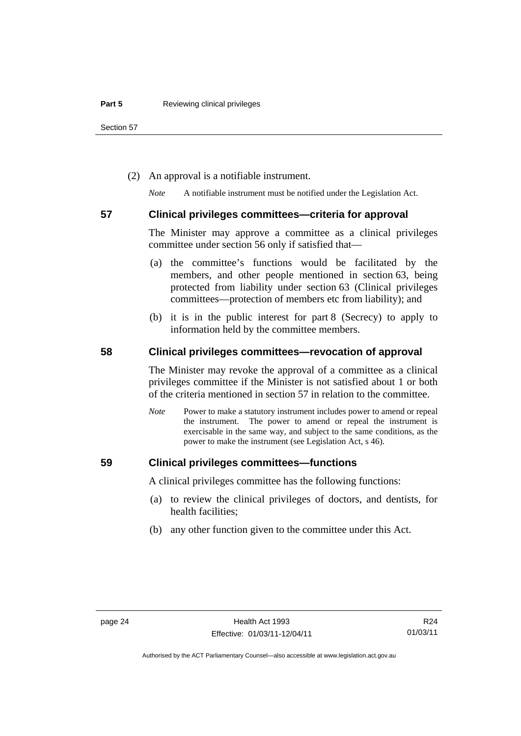<span id="page-31-0"></span>Section 57

(2) An approval is a notifiable instrument.

*Note* A notifiable instrument must be notified under the Legislation Act.

#### **57 Clinical privileges committees—criteria for approval**

The Minister may approve a committee as a clinical privileges committee under section 56 only if satisfied that—

- (a) the committee's functions would be facilitated by the members, and other people mentioned in section 63, being protected from liability under section 63 (Clinical privileges committees—protection of members etc from liability); and
- (b) it is in the public interest for part 8 (Secrecy) to apply to information held by the committee members.

### **58 Clinical privileges committees—revocation of approval**

The Minister may revoke the approval of a committee as a clinical privileges committee if the Minister is not satisfied about 1 or both of the criteria mentioned in section 57 in relation to the committee.

*Note* Power to make a statutory instrument includes power to amend or repeal the instrument. The power to amend or repeal the instrument is exercisable in the same way, and subject to the same conditions, as the power to make the instrument (see Legislation Act, s 46).

#### **59 Clinical privileges committees—functions**

A clinical privileges committee has the following functions:

- (a) to review the clinical privileges of doctors, and dentists, for health facilities;
- (b) any other function given to the committee under this Act.

Authorised by the ACT Parliamentary Counsel—also accessible at www.legislation.act.gov.au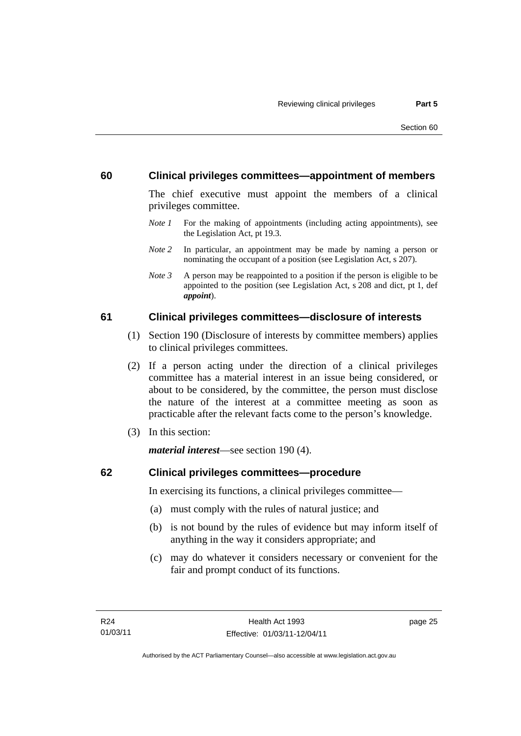#### <span id="page-32-0"></span>**60 Clinical privileges committees—appointment of members**

The chief executive must appoint the members of a clinical privileges committee.

- *Note 1* For the making of appointments (including acting appointments), see the Legislation Act, pt 19.3.
- *Note 2* In particular, an appointment may be made by naming a person or nominating the occupant of a position (see Legislation Act, s 207).
- *Note 3* A person may be reappointed to a position if the person is eligible to be appointed to the position (see Legislation Act, s 208 and dict, pt 1, def *appoint*).

#### **61 Clinical privileges committees—disclosure of interests**

- (1) Section 190 (Disclosure of interests by committee members) applies to clinical privileges committees.
- (2) If a person acting under the direction of a clinical privileges committee has a material interest in an issue being considered, or about to be considered, by the committee, the person must disclose the nature of the interest at a committee meeting as soon as practicable after the relevant facts come to the person's knowledge.
- (3) In this section:

*material interest*—see section 190 (4).

#### **62 Clinical privileges committees—procedure**

In exercising its functions, a clinical privileges committee—

- (a) must comply with the rules of natural justice; and
- (b) is not bound by the rules of evidence but may inform itself of anything in the way it considers appropriate; and
- (c) may do whatever it considers necessary or convenient for the fair and prompt conduct of its functions.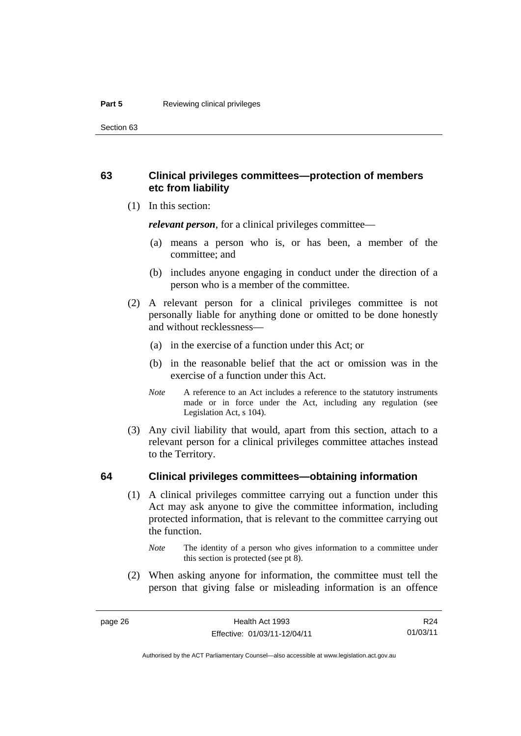<span id="page-33-0"></span>Section 63

### **63 Clinical privileges committees—protection of members etc from liability**

(1) In this section:

*relevant person*, for a clinical privileges committee—

- (a) means a person who is, or has been, a member of the committee; and
- (b) includes anyone engaging in conduct under the direction of a person who is a member of the committee.
- (2) A relevant person for a clinical privileges committee is not personally liable for anything done or omitted to be done honestly and without recklessness—
	- (a) in the exercise of a function under this Act; or
	- (b) in the reasonable belief that the act or omission was in the exercise of a function under this Act.
	- *Note* A reference to an Act includes a reference to the statutory instruments made or in force under the Act, including any regulation (see Legislation Act, s 104).
- (3) Any civil liability that would, apart from this section, attach to a relevant person for a clinical privileges committee attaches instead to the Territory.

#### **64 Clinical privileges committees—obtaining information**

 (1) A clinical privileges committee carrying out a function under this Act may ask anyone to give the committee information, including protected information, that is relevant to the committee carrying out the function.

 (2) When asking anyone for information, the committee must tell the person that giving false or misleading information is an offence

*Note* The identity of a person who gives information to a committee under this section is protected (see pt 8).

R24 01/03/11

Authorised by the ACT Parliamentary Counsel—also accessible at www.legislation.act.gov.au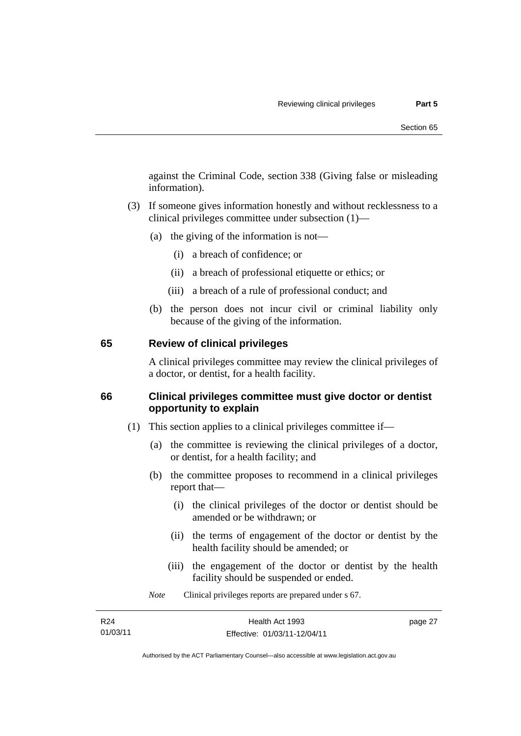<span id="page-34-0"></span>against the Criminal Code, section 338 (Giving false or misleading information).

- (3) If someone gives information honestly and without recklessness to a clinical privileges committee under subsection (1)—
	- (a) the giving of the information is not—
		- (i) a breach of confidence; or
		- (ii) a breach of professional etiquette or ethics; or
		- (iii) a breach of a rule of professional conduct; and
	- (b) the person does not incur civil or criminal liability only because of the giving of the information.

#### **65 Review of clinical privileges**

A clinical privileges committee may review the clinical privileges of a doctor, or dentist, for a health facility.

### **66 Clinical privileges committee must give doctor or dentist opportunity to explain**

- (1) This section applies to a clinical privileges committee if—
	- (a) the committee is reviewing the clinical privileges of a doctor, or dentist, for a health facility; and
	- (b) the committee proposes to recommend in a clinical privileges report that—
		- (i) the clinical privileges of the doctor or dentist should be amended or be withdrawn; or
		- (ii) the terms of engagement of the doctor or dentist by the health facility should be amended; or
		- (iii) the engagement of the doctor or dentist by the health facility should be suspended or ended.

*Note* Clinical privileges reports are prepared under s 67.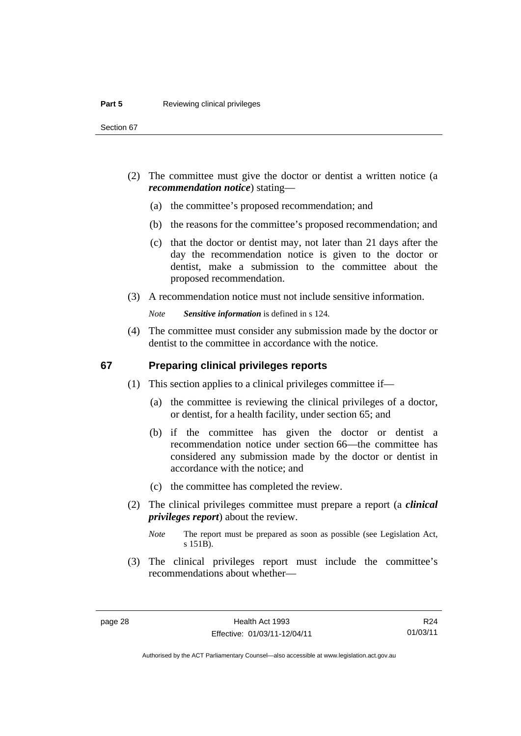- <span id="page-35-0"></span> (2) The committee must give the doctor or dentist a written notice (a *recommendation notice*) stating—
	- (a) the committee's proposed recommendation; and
	- (b) the reasons for the committee's proposed recommendation; and
	- (c) that the doctor or dentist may, not later than 21 days after the day the recommendation notice is given to the doctor or dentist, make a submission to the committee about the proposed recommendation.
- (3) A recommendation notice must not include sensitive information.

*Note Sensitive information* is defined in s 124.

 (4) The committee must consider any submission made by the doctor or dentist to the committee in accordance with the notice.

#### **67 Preparing clinical privileges reports**

- (1) This section applies to a clinical privileges committee if—
	- (a) the committee is reviewing the clinical privileges of a doctor, or dentist, for a health facility, under section 65; and
	- (b) if the committee has given the doctor or dentist a recommendation notice under section 66—the committee has considered any submission made by the doctor or dentist in accordance with the notice; and
	- (c) the committee has completed the review.
- (2) The clinical privileges committee must prepare a report (a *clinical privileges report*) about the review.

 (3) The clinical privileges report must include the committee's recommendations about whether—

*Note* The report must be prepared as soon as possible (see Legislation Act, s 151B).

R24 01/03/11

Authorised by the ACT Parliamentary Counsel—also accessible at www.legislation.act.gov.au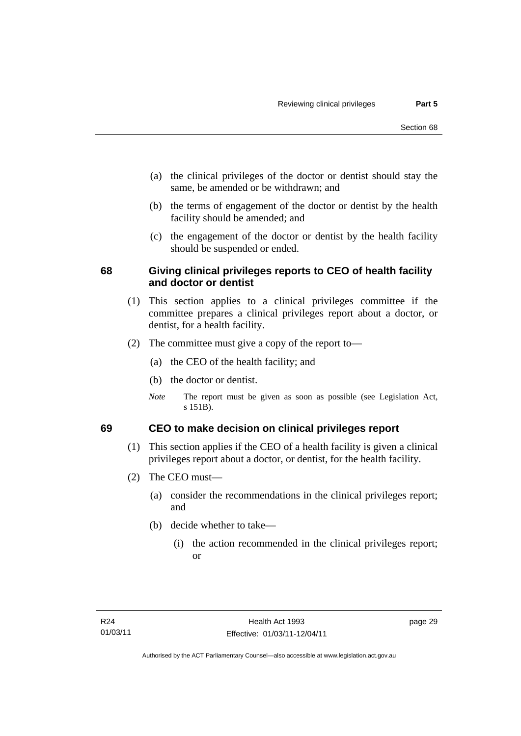- (a) the clinical privileges of the doctor or dentist should stay the same, be amended or be withdrawn; and
- (b) the terms of engagement of the doctor or dentist by the health facility should be amended; and
- (c) the engagement of the doctor or dentist by the health facility should be suspended or ended.

### **68 Giving clinical privileges reports to CEO of health facility and doctor or dentist**

- (1) This section applies to a clinical privileges committee if the committee prepares a clinical privileges report about a doctor, or dentist, for a health facility.
- (2) The committee must give a copy of the report to—
	- (a) the CEO of the health facility; and
	- (b) the doctor or dentist.
	- *Note* The report must be given as soon as possible (see Legislation Act, s 151B).

### **69 CEO to make decision on clinical privileges report**

- (1) This section applies if the CEO of a health facility is given a clinical privileges report about a doctor, or dentist, for the health facility.
- (2) The CEO must—
	- (a) consider the recommendations in the clinical privileges report; and
	- (b) decide whether to take—
		- (i) the action recommended in the clinical privileges report; or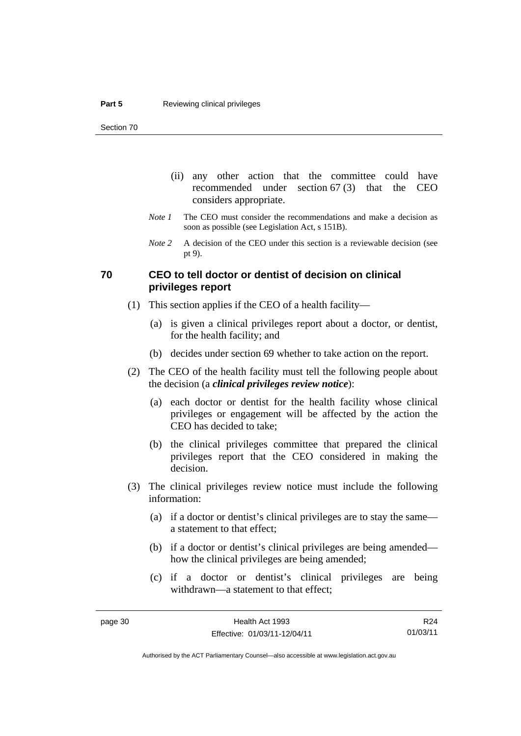- (ii) any other action that the committee could have recommended under section 67 (3) that the CEO considers appropriate.
- *Note 1* The CEO must consider the recommendations and make a decision as soon as possible (see Legislation Act, s 151B).
- *Note 2* A decision of the CEO under this section is a reviewable decision (see pt 9).

#### **70 CEO to tell doctor or dentist of decision on clinical privileges report**

- (1) This section applies if the CEO of a health facility—
	- (a) is given a clinical privileges report about a doctor, or dentist, for the health facility; and
	- (b) decides under section 69 whether to take action on the report.
- (2) The CEO of the health facility must tell the following people about the decision (a *clinical privileges review notice*):
	- (a) each doctor or dentist for the health facility whose clinical privileges or engagement will be affected by the action the CEO has decided to take;
	- (b) the clinical privileges committee that prepared the clinical privileges report that the CEO considered in making the decision.
- (3) The clinical privileges review notice must include the following information:
	- (a) if a doctor or dentist's clinical privileges are to stay the same a statement to that effect;
	- (b) if a doctor or dentist's clinical privileges are being amended how the clinical privileges are being amended;
	- (c) if a doctor or dentist's clinical privileges are being withdrawn—a statement to that effect;

R24 01/03/11

Authorised by the ACT Parliamentary Counsel—also accessible at www.legislation.act.gov.au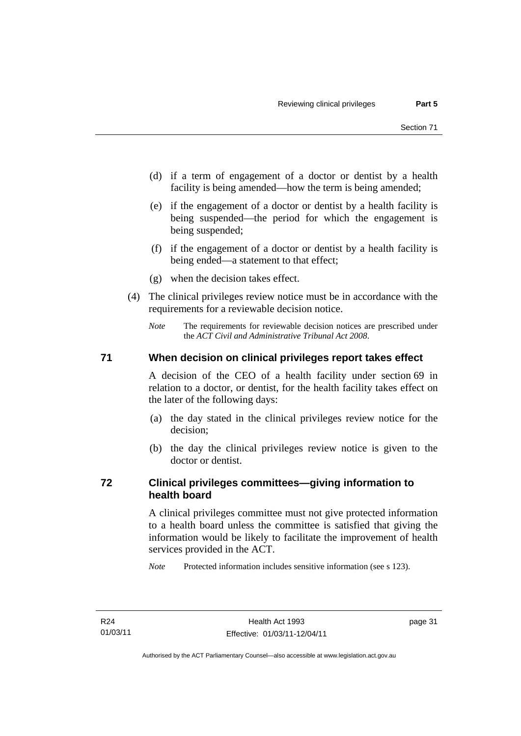- (d) if a term of engagement of a doctor or dentist by a health facility is being amended—how the term is being amended;
- (e) if the engagement of a doctor or dentist by a health facility is being suspended—the period for which the engagement is being suspended;
- (f) if the engagement of a doctor or dentist by a health facility is being ended—a statement to that effect;
- (g) when the decision takes effect.
- (4) The clinical privileges review notice must be in accordance with the requirements for a reviewable decision notice.
	- *Note* The requirements for reviewable decision notices are prescribed under the *ACT Civil and Administrative Tribunal Act 2008*.

#### **71 When decision on clinical privileges report takes effect**

A decision of the CEO of a health facility under section 69 in relation to a doctor, or dentist, for the health facility takes effect on the later of the following days:

- (a) the day stated in the clinical privileges review notice for the decision;
- (b) the day the clinical privileges review notice is given to the doctor or dentist.

### **72 Clinical privileges committees—giving information to health board**

A clinical privileges committee must not give protected information to a health board unless the committee is satisfied that giving the information would be likely to facilitate the improvement of health services provided in the ACT.

*Note* Protected information includes sensitive information (see s 123).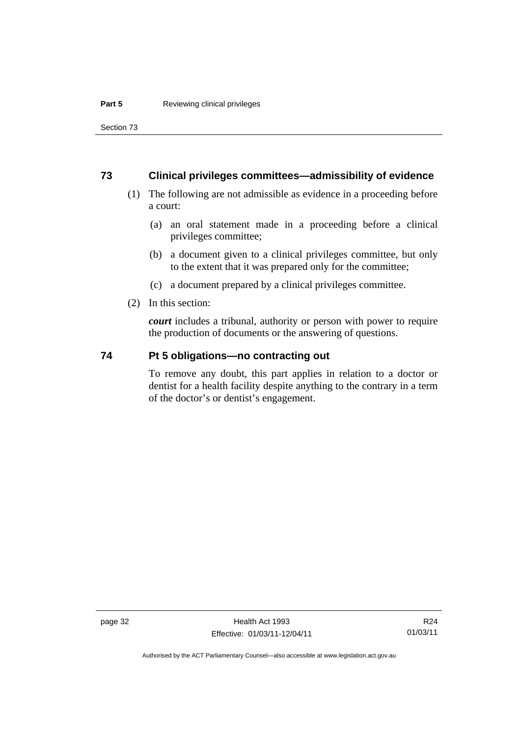Section 73

#### **73 Clinical privileges committees—admissibility of evidence**

- (1) The following are not admissible as evidence in a proceeding before a court:
	- (a) an oral statement made in a proceeding before a clinical privileges committee;
	- (b) a document given to a clinical privileges committee, but only to the extent that it was prepared only for the committee;
	- (c) a document prepared by a clinical privileges committee.
- (2) In this section:

*court* includes a tribunal, authority or person with power to require the production of documents or the answering of questions.

#### **74 Pt 5 obligations—no contracting out**

To remove any doubt, this part applies in relation to a doctor or dentist for a health facility despite anything to the contrary in a term of the doctor's or dentist's engagement.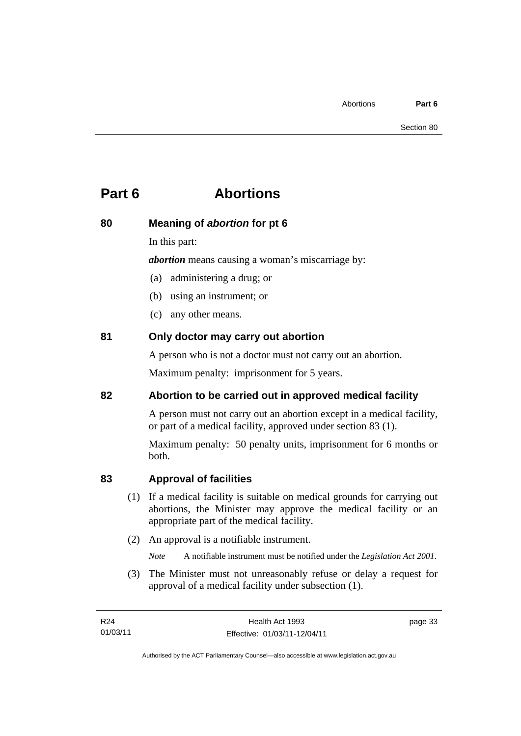# **Part 6 Abortions**

### **80 Meaning of** *abortion* **for pt 6**

In this part:

*abortion* means causing a woman's miscarriage by:

- (a) administering a drug; or
- (b) using an instrument; or
- (c) any other means.

### **81 Only doctor may carry out abortion**

A person who is not a doctor must not carry out an abortion.

Maximum penalty: imprisonment for 5 years.

### **82 Abortion to be carried out in approved medical facility**

A person must not carry out an abortion except in a medical facility, or part of a medical facility, approved under section 83 (1).

Maximum penalty: 50 penalty units, imprisonment for 6 months or both.

### **83 Approval of facilities**

- (1) If a medical facility is suitable on medical grounds for carrying out abortions, the Minister may approve the medical facility or an appropriate part of the medical facility.
- (2) An approval is a notifiable instrument.

*Note* A notifiable instrument must be notified under the *Legislation Act 2001*.

 (3) The Minister must not unreasonably refuse or delay a request for approval of a medical facility under subsection (1).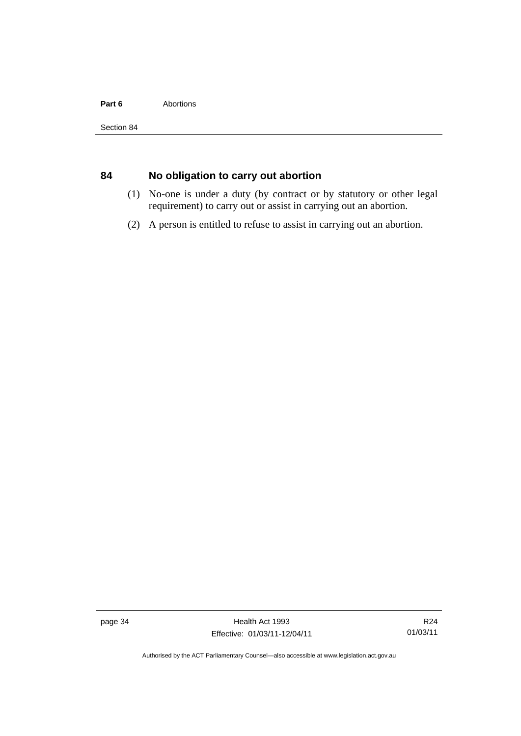#### Part 6 **Abortions**

## **84 No obligation to carry out abortion**

- (1) No-one is under a duty (by contract or by statutory or other legal requirement) to carry out or assist in carrying out an abortion.
- (2) A person is entitled to refuse to assist in carrying out an abortion.

page 34 Health Act 1993 Effective: 01/03/11-12/04/11

R24 01/03/11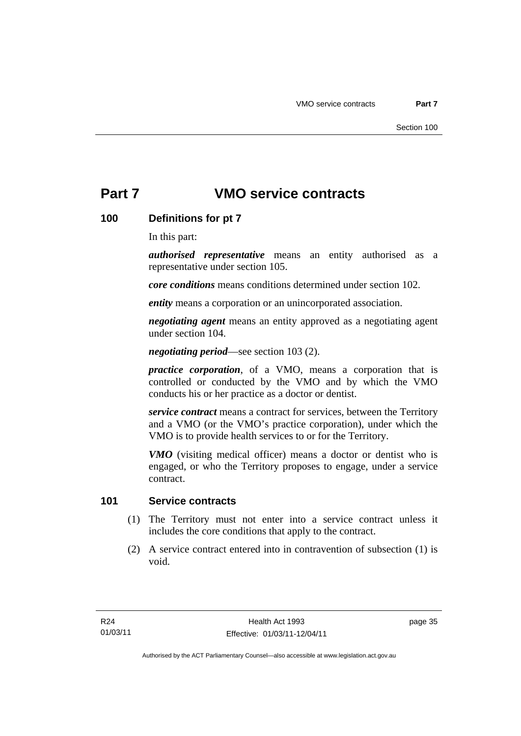# **Part 7 VMO service contracts**

### **100 Definitions for pt 7**

In this part:

*authorised representative* means an entity authorised as a representative under section 105.

*core conditions* means conditions determined under section 102.

*entity* means a corporation or an unincorporated association.

*negotiating agent* means an entity approved as a negotiating agent under section 104.

*negotiating period*—see section 103 (2).

*practice corporation*, of a VMO, means a corporation that is controlled or conducted by the VMO and by which the VMO conducts his or her practice as a doctor or dentist.

*service contract* means a contract for services, between the Territory and a VMO (or the VMO's practice corporation), under which the VMO is to provide health services to or for the Territory.

*VMO* (visiting medical officer) means a doctor or dentist who is engaged, or who the Territory proposes to engage, under a service contract.

#### **101 Service contracts**

- (1) The Territory must not enter into a service contract unless it includes the core conditions that apply to the contract.
- (2) A service contract entered into in contravention of subsection (1) is void.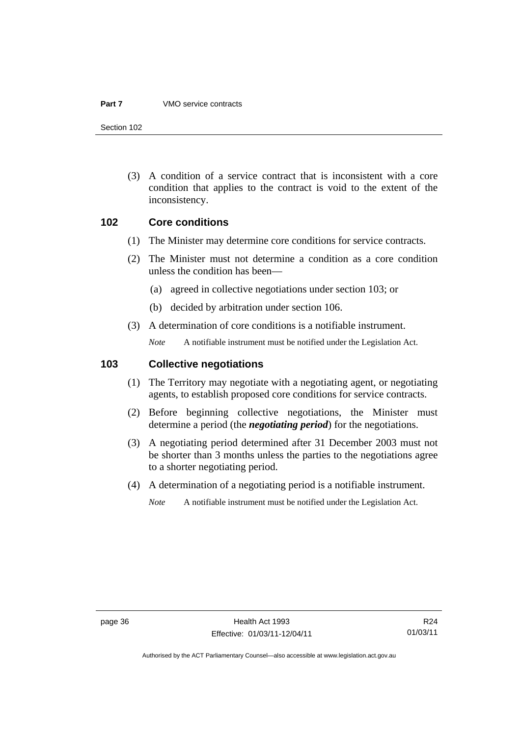#### **Part 7** VMO service contracts

Section 102

 (3) A condition of a service contract that is inconsistent with a core condition that applies to the contract is void to the extent of the inconsistency.

#### **102 Core conditions**

- (1) The Minister may determine core conditions for service contracts.
- (2) The Minister must not determine a condition as a core condition unless the condition has been—
	- (a) agreed in collective negotiations under section 103; or
	- (b) decided by arbitration under section 106.
- (3) A determination of core conditions is a notifiable instrument.

*Note* A notifiable instrument must be notified under the Legislation Act.

#### **103 Collective negotiations**

- (1) The Territory may negotiate with a negotiating agent, or negotiating agents, to establish proposed core conditions for service contracts.
- (2) Before beginning collective negotiations, the Minister must determine a period (the *negotiating period*) for the negotiations.
- (3) A negotiating period determined after 31 December 2003 must not be shorter than 3 months unless the parties to the negotiations agree to a shorter negotiating period.
- (4) A determination of a negotiating period is a notifiable instrument.
	- *Note* A notifiable instrument must be notified under the Legislation Act.

R24 01/03/11

Authorised by the ACT Parliamentary Counsel—also accessible at www.legislation.act.gov.au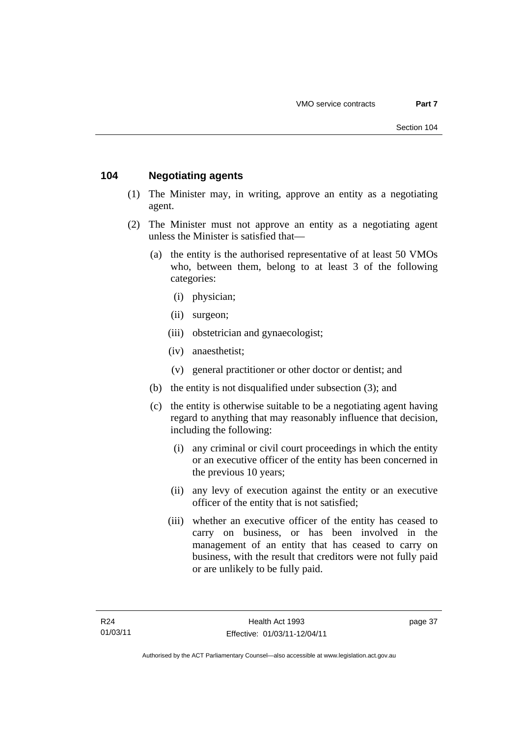### **104 Negotiating agents**

- (1) The Minister may, in writing, approve an entity as a negotiating agent.
- (2) The Minister must not approve an entity as a negotiating agent unless the Minister is satisfied that—
	- (a) the entity is the authorised representative of at least 50 VMOs who, between them, belong to at least 3 of the following categories:
		- (i) physician;
		- (ii) surgeon;
		- (iii) obstetrician and gynaecologist;
		- (iv) anaesthetist;
		- (v) general practitioner or other doctor or dentist; and
	- (b) the entity is not disqualified under subsection (3); and
	- (c) the entity is otherwise suitable to be a negotiating agent having regard to anything that may reasonably influence that decision, including the following:
		- (i) any criminal or civil court proceedings in which the entity or an executive officer of the entity has been concerned in the previous 10 years;
		- (ii) any levy of execution against the entity or an executive officer of the entity that is not satisfied;
		- (iii) whether an executive officer of the entity has ceased to carry on business, or has been involved in the management of an entity that has ceased to carry on business, with the result that creditors were not fully paid or are unlikely to be fully paid.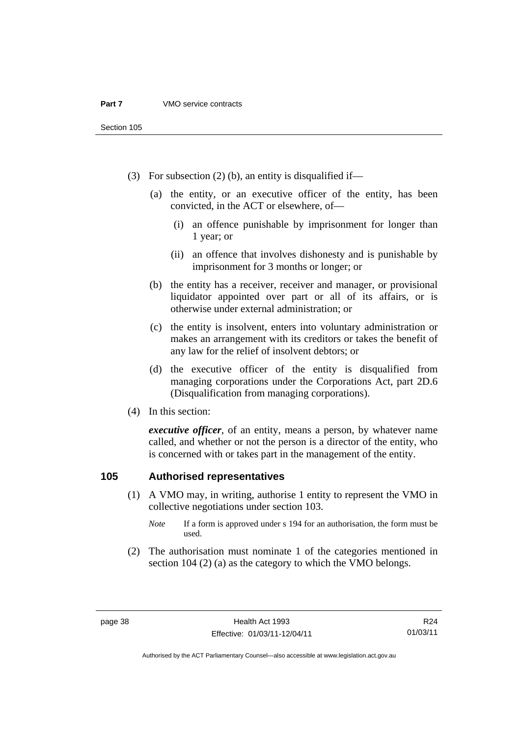- (3) For subsection (2) (b), an entity is disqualified if—
	- (a) the entity, or an executive officer of the entity, has been convicted, in the ACT or elsewhere, of—
		- (i) an offence punishable by imprisonment for longer than 1 year; or
		- (ii) an offence that involves dishonesty and is punishable by imprisonment for 3 months or longer; or
	- (b) the entity has a receiver, receiver and manager, or provisional liquidator appointed over part or all of its affairs, or is otherwise under external administration; or
	- (c) the entity is insolvent, enters into voluntary administration or makes an arrangement with its creditors or takes the benefit of any law for the relief of insolvent debtors; or
	- (d) the executive officer of the entity is disqualified from managing corporations under the Corporations Act, part 2D.6 (Disqualification from managing corporations).
- (4) In this section:

*executive officer*, of an entity, means a person, by whatever name called, and whether or not the person is a director of the entity, who is concerned with or takes part in the management of the entity.

### **105 Authorised representatives**

- (1) A VMO may, in writing, authorise 1 entity to represent the VMO in collective negotiations under section 103.
	- *Note* If a form is approved under s 194 for an authorisation, the form must be used.
- (2) The authorisation must nominate 1 of the categories mentioned in section 104 (2) (a) as the category to which the VMO belongs.

R24 01/03/11

Authorised by the ACT Parliamentary Counsel—also accessible at www.legislation.act.gov.au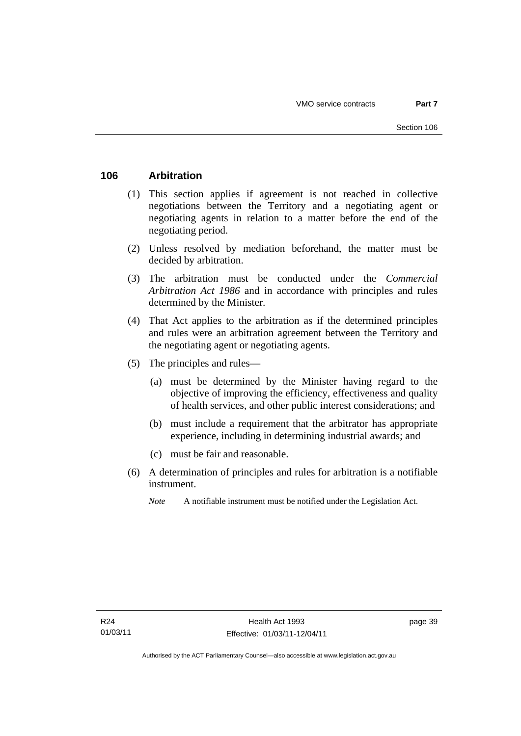### **106 Arbitration**

- (1) This section applies if agreement is not reached in collective negotiations between the Territory and a negotiating agent or negotiating agents in relation to a matter before the end of the negotiating period.
- (2) Unless resolved by mediation beforehand, the matter must be decided by arbitration.
- (3) The arbitration must be conducted under the *Commercial Arbitration Act 1986* and in accordance with principles and rules determined by the Minister.
- (4) That Act applies to the arbitration as if the determined principles and rules were an arbitration agreement between the Territory and the negotiating agent or negotiating agents.
- (5) The principles and rules—
	- (a) must be determined by the Minister having regard to the objective of improving the efficiency, effectiveness and quality of health services, and other public interest considerations; and
	- (b) must include a requirement that the arbitrator has appropriate experience, including in determining industrial awards; and
	- (c) must be fair and reasonable.
- (6) A determination of principles and rules for arbitration is a notifiable instrument.
	- *Note* A notifiable instrument must be notified under the Legislation Act.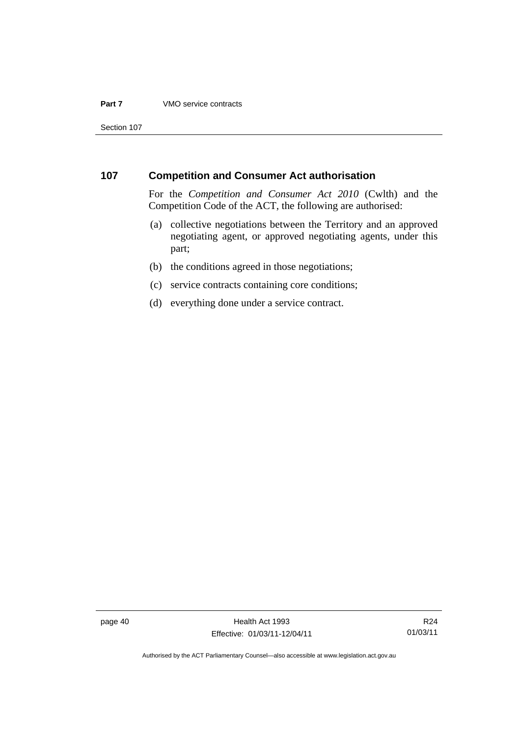#### **Part 7** VMO service contracts

Section 107

#### **107 Competition and Consumer Act authorisation**

For the *Competition and Consumer Act 2010* (Cwlth) and the Competition Code of the ACT, the following are authorised:

- (a) collective negotiations between the Territory and an approved negotiating agent, or approved negotiating agents, under this part;
- (b) the conditions agreed in those negotiations;
- (c) service contracts containing core conditions;
- (d) everything done under a service contract.

page 40 Health Act 1993 Effective: 01/03/11-12/04/11

R24 01/03/11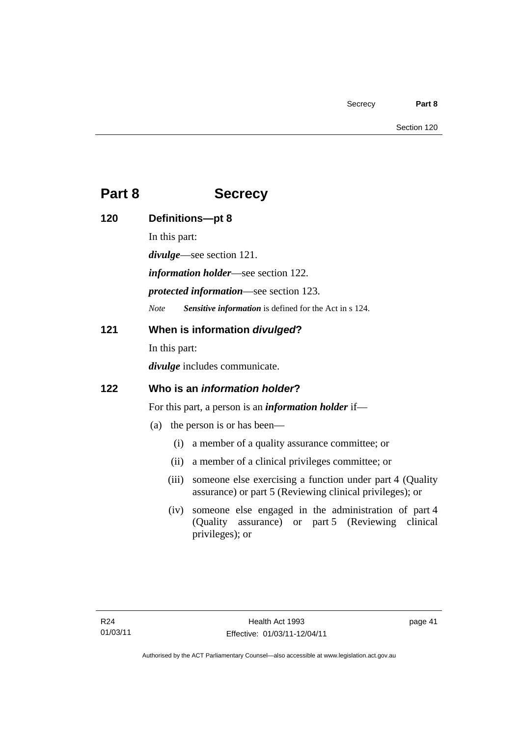# **Part 8 Secrecy**

| 120 | Definitions-pt 8                                                                                                                         |  |  |
|-----|------------------------------------------------------------------------------------------------------------------------------------------|--|--|
|     | In this part:                                                                                                                            |  |  |
|     | $divulge$ —see section 121.                                                                                                              |  |  |
|     | <i>information holder</i> —see section 122.                                                                                              |  |  |
|     | <i>protected information</i> —see section 123.                                                                                           |  |  |
|     | Sensitive information is defined for the Act in s 124.<br><b>Note</b>                                                                    |  |  |
| 121 | When is information divulged?                                                                                                            |  |  |
|     | In this part:                                                                                                                            |  |  |
|     | <i>divulge</i> includes communicate.                                                                                                     |  |  |
| 122 | Who is an <i>information holder</i> ?                                                                                                    |  |  |
|     | For this part, a person is an <i>information holder</i> if—                                                                              |  |  |
|     | the person is or has been—<br>(a)                                                                                                        |  |  |
|     | a member of a quality assurance committee; or<br>(i)                                                                                     |  |  |
|     | a member of a clinical privileges committee; or<br>(ii)                                                                                  |  |  |
|     | someone else exercising a function under part 4 (Quality<br>(iii)<br>assurance) or part 5 (Reviewing clinical privileges); or            |  |  |
|     | someone else engaged in the administration of part 4<br>(iv)<br>assurance) or part 5 (Reviewing clinical<br>(Quality)<br>privileges); or |  |  |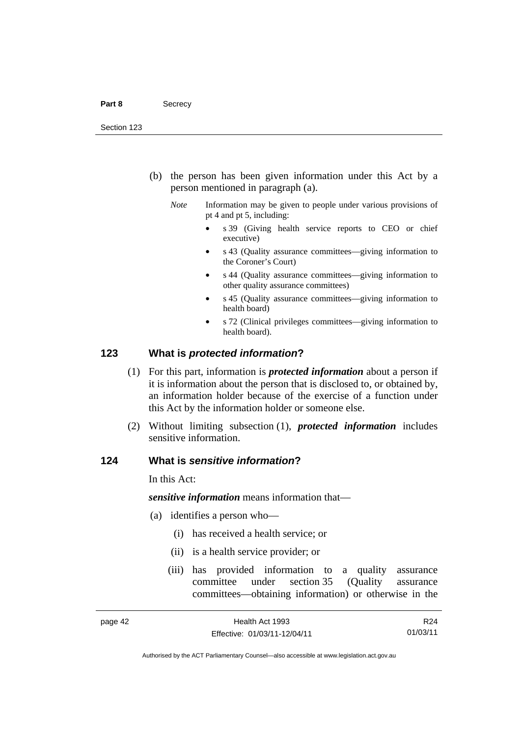- (b) the person has been given information under this Act by a person mentioned in paragraph (a).
	- *Note* Information may be given to people under various provisions of pt 4 and pt 5, including:
		- s 39 (Giving health service reports to CEO or chief executive)
		- s 43 (Quality assurance committees—giving information to the Coroner's Court)
		- s 44 (Quality assurance committees—giving information to other quality assurance committees)
		- s 45 (Quality assurance committees—giving information to health board)
		- s 72 (Clinical privileges committees—giving information to health board).

#### **123 What is** *protected information***?**

- (1) For this part, information is *protected information* about a person if it is information about the person that is disclosed to, or obtained by, an information holder because of the exercise of a function under this Act by the information holder or someone else.
- (2) Without limiting subsection (1), *protected information* includes sensitive information.

#### **124 What is** *sensitive information***?**

In this Act:

*sensitive information* means information that—

- (a) identifies a person who—
	- (i) has received a health service; or
	- (ii) is a health service provider; or
	- (iii) has provided information to a quality assurance committee under section 35 (Quality assurance committees—obtaining information) or otherwise in the

R24 01/03/11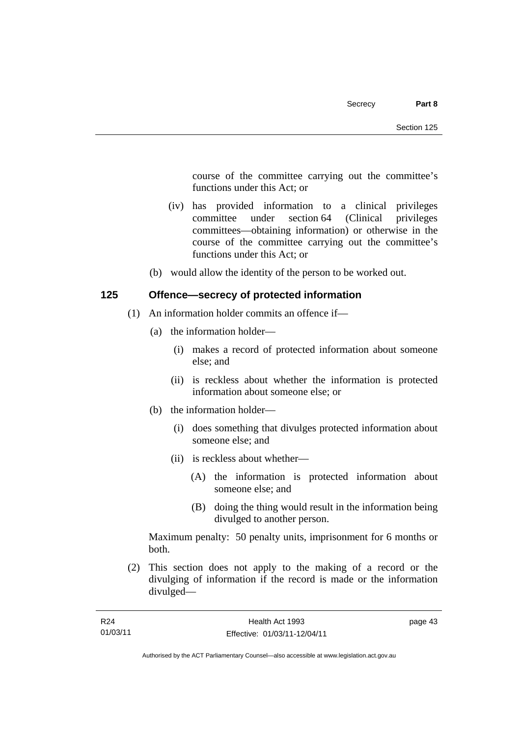course of the committee carrying out the committee's functions under this Act; or

- (iv) has provided information to a clinical privileges committee under section 64 (Clinical privileges committees—obtaining information) or otherwise in the course of the committee carrying out the committee's functions under this Act; or
- (b) would allow the identity of the person to be worked out.

### **125 Offence—secrecy of protected information**

- (1) An information holder commits an offence if—
	- (a) the information holder—
		- (i) makes a record of protected information about someone else; and
		- (ii) is reckless about whether the information is protected information about someone else; or
	- (b) the information holder—
		- (i) does something that divulges protected information about someone else; and
		- (ii) is reckless about whether—
			- (A) the information is protected information about someone else; and
			- (B) doing the thing would result in the information being divulged to another person.

Maximum penalty: 50 penalty units, imprisonment for 6 months or both.

 (2) This section does not apply to the making of a record or the divulging of information if the record is made or the information divulged—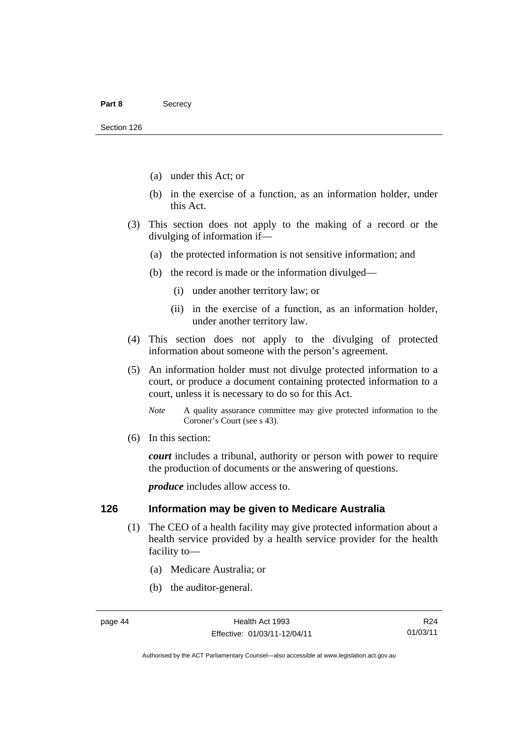- (a) under this Act; or
- (b) in the exercise of a function, as an information holder, under this Act.
- (3) This section does not apply to the making of a record or the divulging of information if—
	- (a) the protected information is not sensitive information; and
	- (b) the record is made or the information divulged—
		- (i) under another territory law; or
		- (ii) in the exercise of a function, as an information holder, under another territory law.
- (4) This section does not apply to the divulging of protected information about someone with the person's agreement.
- (5) An information holder must not divulge protected information to a court, or produce a document containing protected information to a court, unless it is necessary to do so for this Act.
	- *Note* A quality assurance committee may give protected information to the Coroner's Court (see s 43).
- (6) In this section:

*court* includes a tribunal, authority or person with power to require the production of documents or the answering of questions.

*produce* includes allow access to.

### **126 Information may be given to Medicare Australia**

- (1) The CEO of a health facility may give protected information about a health service provided by a health service provider for the health facility to—
	- (a) Medicare Australia; or
	- (b) the auditor-general.

R24 01/03/11

Authorised by the ACT Parliamentary Counsel—also accessible at www.legislation.act.gov.au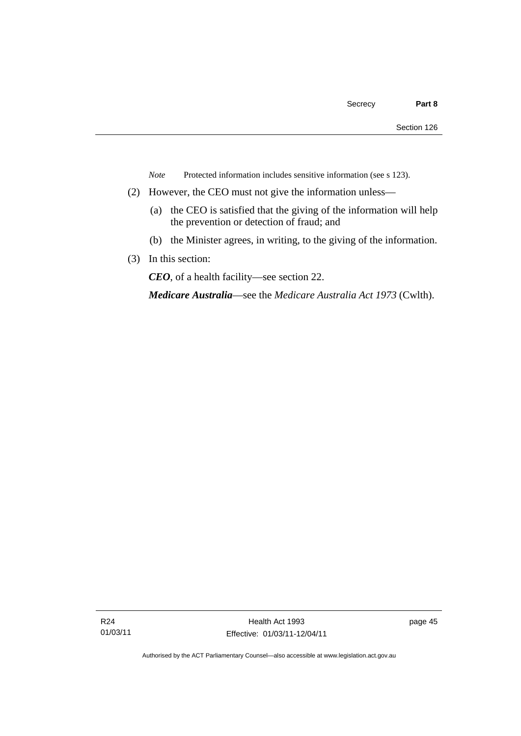*Note* Protected information includes sensitive information (see s 123).

- (2) However, the CEO must not give the information unless—
	- (a) the CEO is satisfied that the giving of the information will help the prevention or detection of fraud; and
	- (b) the Minister agrees, in writing, to the giving of the information.
- (3) In this section:

*CEO*, of a health facility—see section 22.

*Medicare Australia*—see the *Medicare Australia Act 1973* (Cwlth).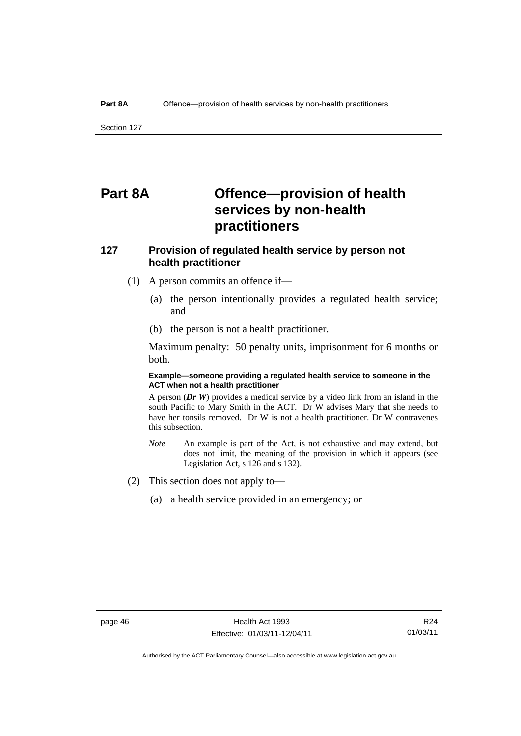Section 127

# **Part 8A Offence—provision of health services by non-health practitioners**

### **127 Provision of regulated health service by person not health practitioner**

- (1) A person commits an offence if—
	- (a) the person intentionally provides a regulated health service; and
	- (b) the person is not a health practitioner.

Maximum penalty: 50 penalty units, imprisonment for 6 months or both.

#### **Example—someone providing a regulated health service to someone in the ACT when not a health practitioner**

A person (*Dr W*) provides a medical service by a video link from an island in the south Pacific to Mary Smith in the ACT. Dr W advises Mary that she needs to have her tonsils removed. Dr W is not a health practitioner. Dr W contravenes this subsection.

- *Note* An example is part of the Act, is not exhaustive and may extend, but does not limit, the meaning of the provision in which it appears (see Legislation Act, s 126 and s 132).
- (2) This section does not apply to—
	- (a) a health service provided in an emergency; or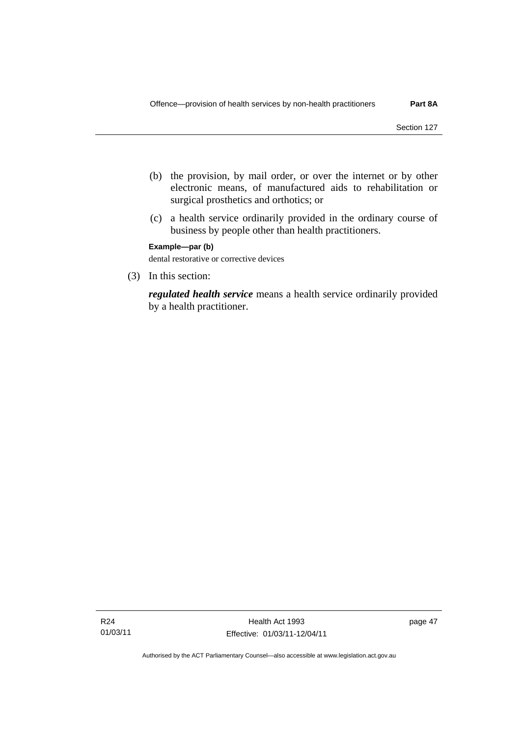- (b) the provision, by mail order, or over the internet or by other electronic means, of manufactured aids to rehabilitation or surgical prosthetics and orthotics; or
- (c) a health service ordinarily provided in the ordinary course of business by people other than health practitioners.

**Example—par (b)** 

dental restorative or corrective devices

(3) In this section:

*regulated health service* means a health service ordinarily provided by a health practitioner.

page 47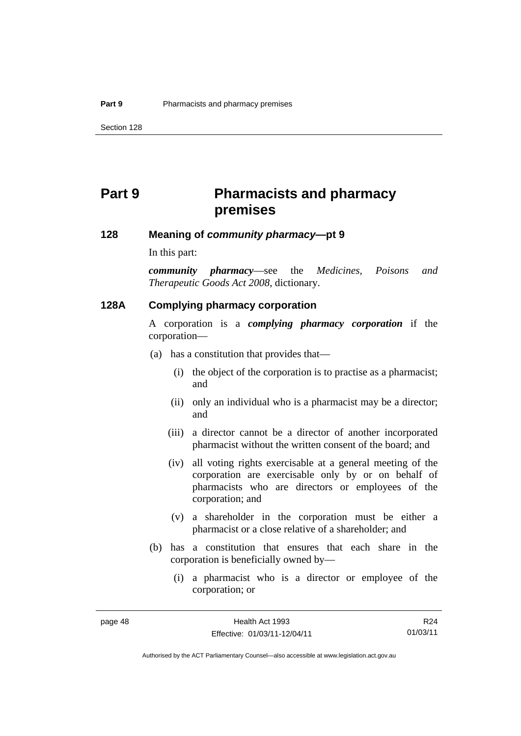# **Part 9 Pharmacists and pharmacy premises**

#### **128 Meaning of** *community pharmacy***—pt 9**

In this part:

*community pharmacy*—see the *Medicines, Poisons and Therapeutic Goods Act 2008*, dictionary.

#### **128A Complying pharmacy corporation**

A corporation is a *complying pharmacy corporation* if the corporation—

- (a) has a constitution that provides that—
	- (i) the object of the corporation is to practise as a pharmacist; and
	- (ii) only an individual who is a pharmacist may be a director; and
	- (iii) a director cannot be a director of another incorporated pharmacist without the written consent of the board; and
	- (iv) all voting rights exercisable at a general meeting of the corporation are exercisable only by or on behalf of pharmacists who are directors or employees of the corporation; and
	- (v) a shareholder in the corporation must be either a pharmacist or a close relative of a shareholder; and
- (b) has a constitution that ensures that each share in the corporation is beneficially owned by—
	- (i) a pharmacist who is a director or employee of the corporation; or

Authorised by the ACT Parliamentary Counsel—also accessible at www.legislation.act.gov.au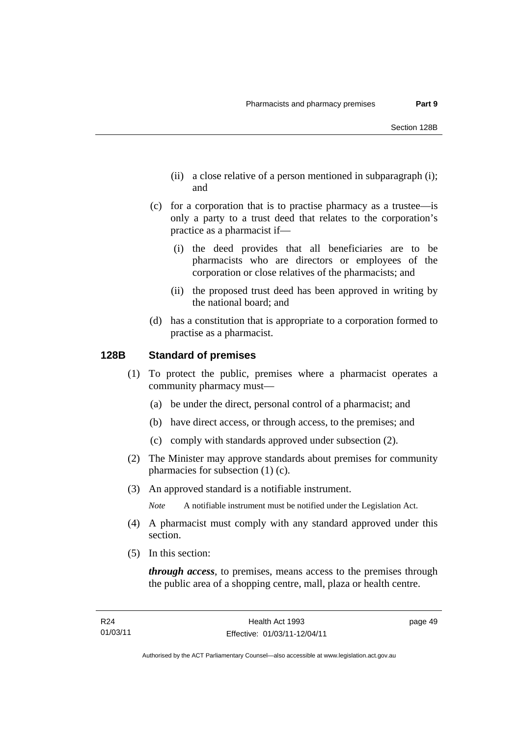- (ii) a close relative of a person mentioned in subparagraph (i); and
- (c) for a corporation that is to practise pharmacy as a trustee—is only a party to a trust deed that relates to the corporation's practice as a pharmacist if—
	- (i) the deed provides that all beneficiaries are to be pharmacists who are directors or employees of the corporation or close relatives of the pharmacists; and
	- (ii) the proposed trust deed has been approved in writing by the national board; and
- (d) has a constitution that is appropriate to a corporation formed to practise as a pharmacist.

#### **128B Standard of premises**

- (1) To protect the public, premises where a pharmacist operates a community pharmacy must—
	- (a) be under the direct, personal control of a pharmacist; and
	- (b) have direct access, or through access, to the premises; and
	- (c) comply with standards approved under subsection (2).
- (2) The Minister may approve standards about premises for community pharmacies for subsection (1) (c).
- (3) An approved standard is a notifiable instrument.

*Note* A notifiable instrument must be notified under the Legislation Act.

- (4) A pharmacist must comply with any standard approved under this section.
- (5) In this section:

*through access*, to premises, means access to the premises through the public area of a shopping centre, mall, plaza or health centre.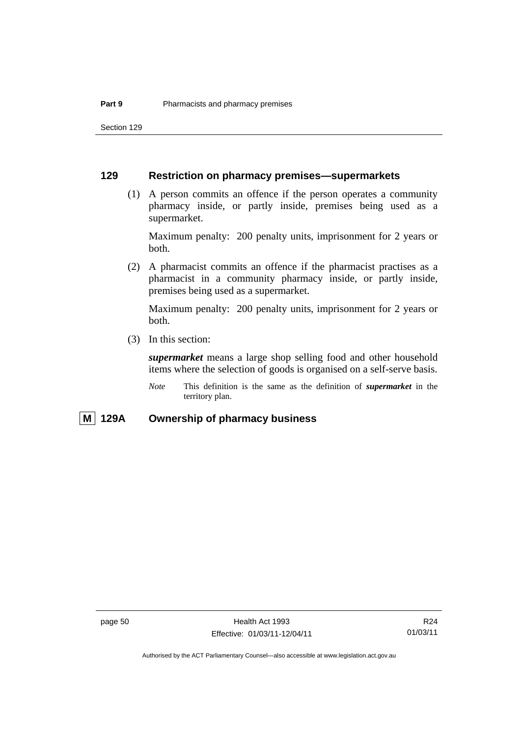Section 129

### **129 Restriction on pharmacy premises—supermarkets**

 (1) A person commits an offence if the person operates a community pharmacy inside, or partly inside, premises being used as a supermarket.

Maximum penalty: 200 penalty units, imprisonment for 2 years or both.

 (2) A pharmacist commits an offence if the pharmacist practises as a pharmacist in a community pharmacy inside, or partly inside, premises being used as a supermarket.

Maximum penalty: 200 penalty units, imprisonment for 2 years or both.

(3) In this section:

*supermarket* means a large shop selling food and other household items where the selection of goods is organised on a self-serve basis.

*Note* This definition is the same as the definition of *supermarket* in the territory plan.

### **M 129A Ownership of pharmacy business**

R24 01/03/11

Authorised by the ACT Parliamentary Counsel—also accessible at www.legislation.act.gov.au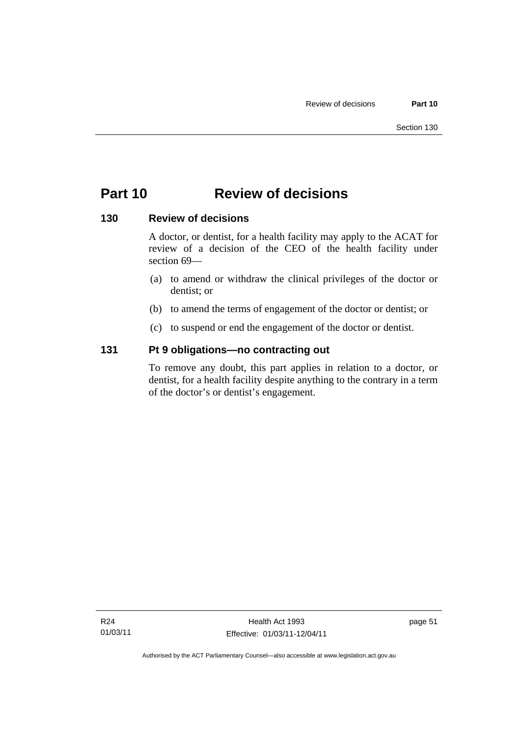# **Part 10 Review of decisions**

### **130 Review of decisions**

A doctor, or dentist, for a health facility may apply to the ACAT for review of a decision of the CEO of the health facility under section 69—

- (a) to amend or withdraw the clinical privileges of the doctor or dentist; or
- (b) to amend the terms of engagement of the doctor or dentist; or
- (c) to suspend or end the engagement of the doctor or dentist.

### **131 Pt 9 obligations—no contracting out**

To remove any doubt, this part applies in relation to a doctor, or dentist, for a health facility despite anything to the contrary in a term of the doctor's or dentist's engagement.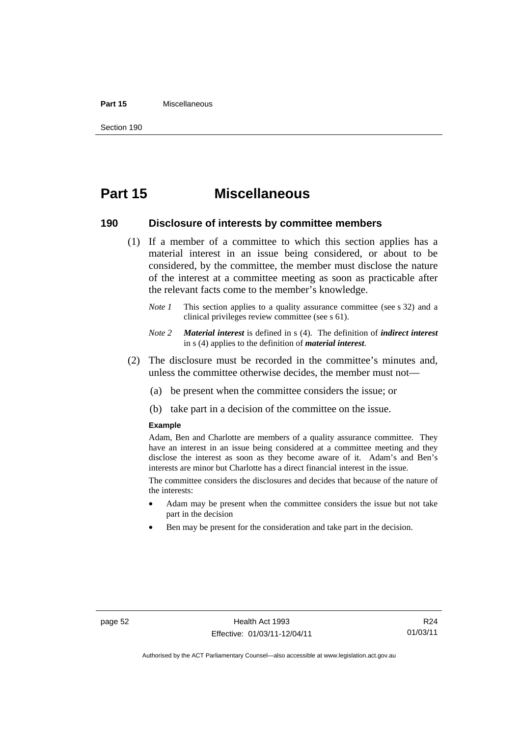#### **Part 15** Miscellaneous

Section 190

# **Part 15 Miscellaneous**

#### **190 Disclosure of interests by committee members**

- (1) If a member of a committee to which this section applies has a material interest in an issue being considered, or about to be considered, by the committee, the member must disclose the nature of the interest at a committee meeting as soon as practicable after the relevant facts come to the member's knowledge.
	- *Note 1* This section applies to a quality assurance committee (see s 32) and a clinical privileges review committee (see s 61).
	- *Note 2 Material interest* is defined in s (4). The definition of *indirect interest* in s (4) applies to the definition of *material interest*.
- (2) The disclosure must be recorded in the committee's minutes and, unless the committee otherwise decides, the member must not—
	- (a) be present when the committee considers the issue; or
	- (b) take part in a decision of the committee on the issue.

#### **Example**

Adam, Ben and Charlotte are members of a quality assurance committee. They have an interest in an issue being considered at a committee meeting and they disclose the interest as soon as they become aware of it. Adam's and Ben's interests are minor but Charlotte has a direct financial interest in the issue.

The committee considers the disclosures and decides that because of the nature of the interests:

- Adam may be present when the committee considers the issue but not take part in the decision
- Ben may be present for the consideration and take part in the decision.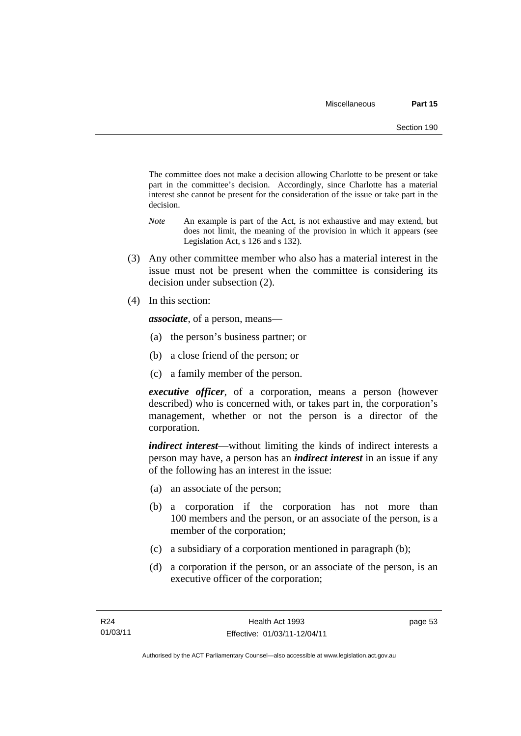The committee does not make a decision allowing Charlotte to be present or take part in the committee's decision. Accordingly, since Charlotte has a material interest she cannot be present for the consideration of the issue or take part in the decision.

- *Note* An example is part of the Act, is not exhaustive and may extend, but does not limit, the meaning of the provision in which it appears (see Legislation Act, s 126 and s 132).
- (3) Any other committee member who also has a material interest in the issue must not be present when the committee is considering its decision under subsection (2).
- (4) In this section:

*associate*, of a person, means—

- (a) the person's business partner; or
- (b) a close friend of the person; or
- (c) a family member of the person.

*executive officer*, of a corporation, means a person (however described) who is concerned with, or takes part in, the corporation's management, whether or not the person is a director of the corporation.

*indirect interest*—without limiting the kinds of indirect interests a person may have, a person has an *indirect interest* in an issue if any of the following has an interest in the issue:

- (a) an associate of the person;
- (b) a corporation if the corporation has not more than 100 members and the person, or an associate of the person, is a member of the corporation;
- (c) a subsidiary of a corporation mentioned in paragraph (b);
- (d) a corporation if the person, or an associate of the person, is an executive officer of the corporation;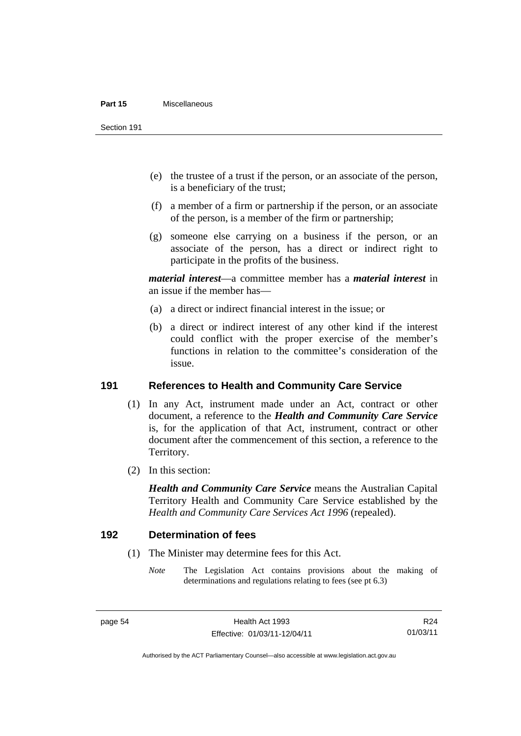#### **Part 15** Miscellaneous

Section 191

- (e) the trustee of a trust if the person, or an associate of the person, is a beneficiary of the trust;
- (f) a member of a firm or partnership if the person, or an associate of the person, is a member of the firm or partnership;
- (g) someone else carrying on a business if the person, or an associate of the person, has a direct or indirect right to participate in the profits of the business.

*material interest*—a committee member has a *material interest* in an issue if the member has—

- (a) a direct or indirect financial interest in the issue; or
- (b) a direct or indirect interest of any other kind if the interest could conflict with the proper exercise of the member's functions in relation to the committee's consideration of the issue.

#### **191 References to Health and Community Care Service**

- (1) In any Act, instrument made under an Act, contract or other document, a reference to the *Health and Community Care Service* is, for the application of that Act, instrument, contract or other document after the commencement of this section, a reference to the Territory.
- (2) In this section:

*Health and Community Care Service* means the Australian Capital Territory Health and Community Care Service established by the *Health and Community Care Services Act 1996* (repealed).

#### **192 Determination of fees**

- (1) The Minister may determine fees for this Act.
	- *Note* The Legislation Act contains provisions about the making of determinations and regulations relating to fees (see pt 6.3)

Authorised by the ACT Parliamentary Counsel—also accessible at www.legislation.act.gov.au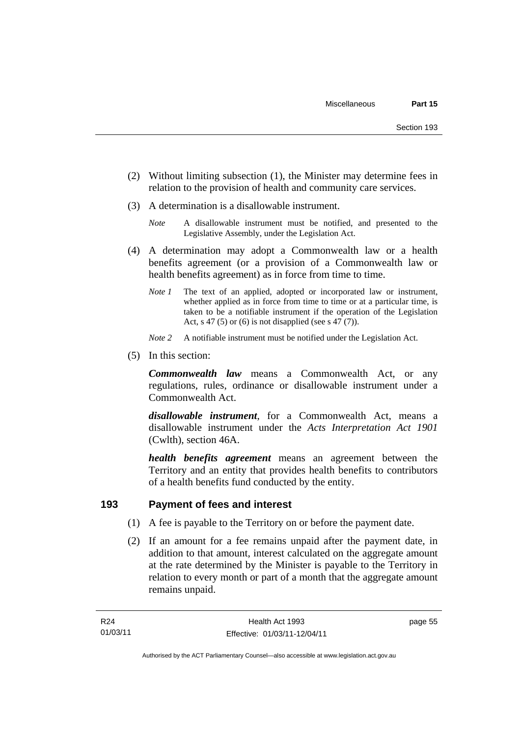- (2) Without limiting subsection (1), the Minister may determine fees in relation to the provision of health and community care services.
- (3) A determination is a disallowable instrument.
	- *Note* A disallowable instrument must be notified, and presented to the Legislative Assembly, under the Legislation Act.
- (4) A determination may adopt a Commonwealth law or a health benefits agreement (or a provision of a Commonwealth law or health benefits agreement) as in force from time to time.
	- *Note 1* The text of an applied, adopted or incorporated law or instrument, whether applied as in force from time to time or at a particular time, is taken to be a notifiable instrument if the operation of the Legislation Act, s 47 (5) or (6) is not disapplied (see s  $47(7)$ ).
	- *Note 2* A notifiable instrument must be notified under the Legislation Act.
- (5) In this section:

*Commonwealth law* means a Commonwealth Act, or any regulations, rules, ordinance or disallowable instrument under a Commonwealth Act.

*disallowable instrument*, for a Commonwealth Act, means a disallowable instrument under the *Acts Interpretation Act 1901* (Cwlth), section 46A.

*health benefits agreement* means an agreement between the Territory and an entity that provides health benefits to contributors of a health benefits fund conducted by the entity.

### **193 Payment of fees and interest**

- (1) A fee is payable to the Territory on or before the payment date.
- (2) If an amount for a fee remains unpaid after the payment date, in addition to that amount, interest calculated on the aggregate amount at the rate determined by the Minister is payable to the Territory in relation to every month or part of a month that the aggregate amount remains unpaid.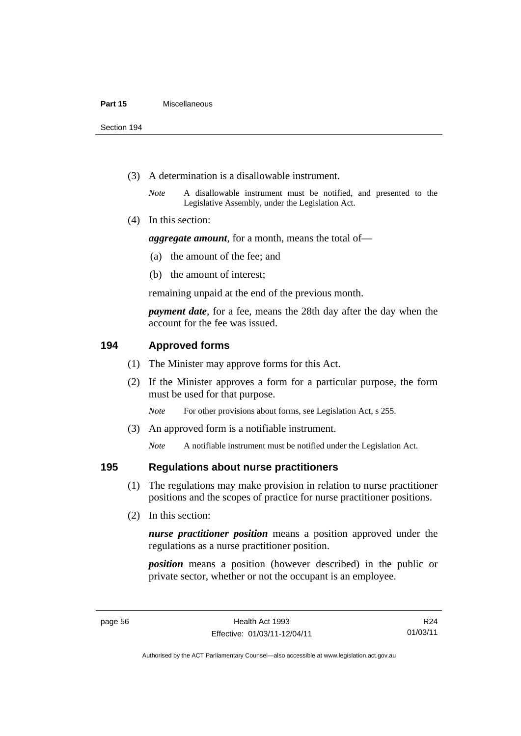Section 194

- (3) A determination is a disallowable instrument.
	- *Note* A disallowable instrument must be notified, and presented to the Legislative Assembly, under the Legislation Act.
- (4) In this section:

*aggregate amount*, for a month, means the total of—

- (a) the amount of the fee; and
- (b) the amount of interest;

remaining unpaid at the end of the previous month.

*payment date*, for a fee, means the 28th day after the day when the account for the fee was issued.

### **194 Approved forms**

- (1) The Minister may approve forms for this Act.
- (2) If the Minister approves a form for a particular purpose, the form must be used for that purpose.

*Note* For other provisions about forms, see Legislation Act, s 255.

(3) An approved form is a notifiable instrument.

*Note* A notifiable instrument must be notified under the Legislation Act.

#### **195 Regulations about nurse practitioners**

- (1) The regulations may make provision in relation to nurse practitioner positions and the scopes of practice for nurse practitioner positions.
- (2) In this section:

*nurse practitioner position* means a position approved under the regulations as a nurse practitioner position.

*position* means a position (however described) in the public or private sector, whether or not the occupant is an employee.

R24 01/03/11

Authorised by the ACT Parliamentary Counsel—also accessible at www.legislation.act.gov.au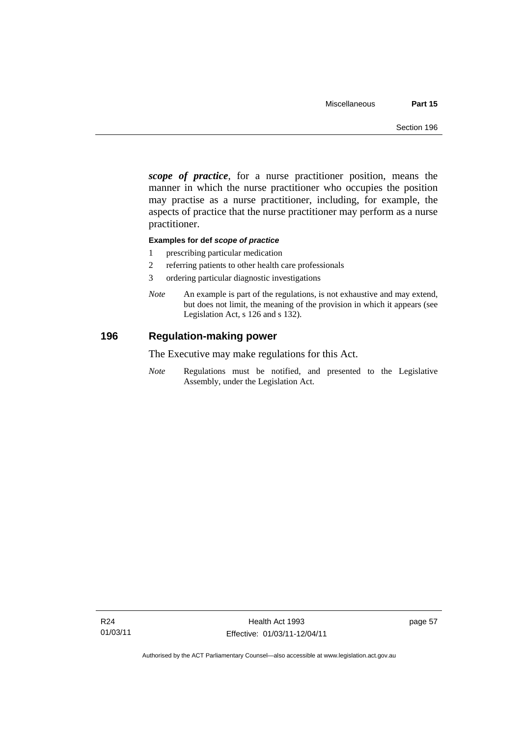*scope of practice*, for a nurse practitioner position, means the manner in which the nurse practitioner who occupies the position may practise as a nurse practitioner, including, for example, the aspects of practice that the nurse practitioner may perform as a nurse practitioner.

#### **Examples for def** *scope of practice*

- 1 prescribing particular medication
- 2 referring patients to other health care professionals
- 3 ordering particular diagnostic investigations
- *Note* An example is part of the regulations, is not exhaustive and may extend, but does not limit, the meaning of the provision in which it appears (see Legislation Act, s 126 and s 132).

#### **196 Regulation-making power**

The Executive may make regulations for this Act.

*Note* Regulations must be notified, and presented to the Legislative Assembly, under the Legislation Act.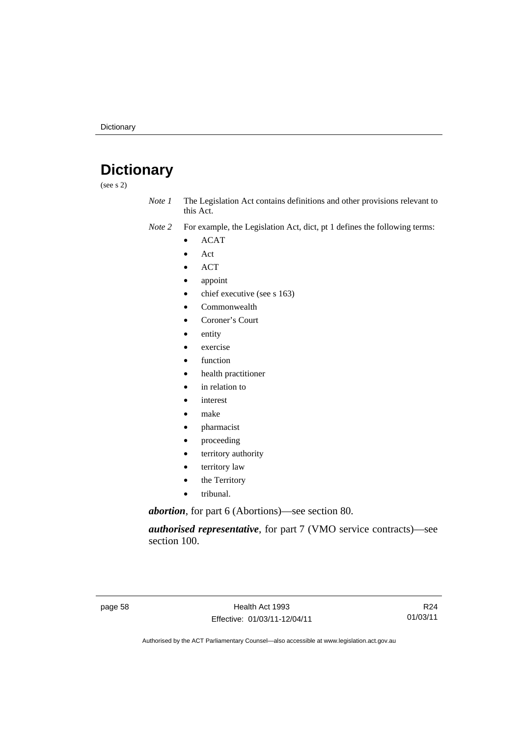# **Dictionary**

(see s 2)

- *Note 1* The Legislation Act contains definitions and other provisions relevant to this Act.
- *Note 2* For example, the Legislation Act, dict, pt 1 defines the following terms:
	- ACAT
	- Act
	- ACT
	- appoint
	- chief executive (see s 163)
	- Commonwealth
	- Coroner's Court
	- entity
	- exercise
	- function
	- health practitioner
	- in relation to
	- *interest*
	- make
	- pharmacist
	- proceeding
	- territory authority
	- territory law
	- the Territory
	- tribunal.

*abortion*, for part 6 (Abortions)—see section 80.

*authorised representative*, for part 7 (VMO service contracts)—see section 100.

page 58 Health Act 1993 Effective: 01/03/11-12/04/11

R24 01/03/11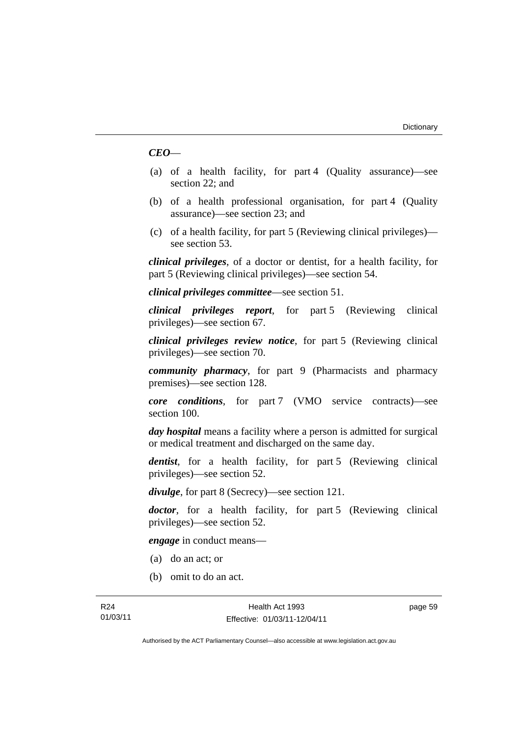#### *CEO*—

- (a) of a health facility, for part 4 (Quality assurance)—see section 22; and
- (b) of a health professional organisation, for part 4 (Quality assurance)—see section 23; and
- (c) of a health facility, for part 5 (Reviewing clinical privileges) see section 53.

*clinical privileges*, of a doctor or dentist, for a health facility, for part 5 (Reviewing clinical privileges)—see section 54.

*clinical privileges committee*—see section 51.

*clinical privileges report*, for part 5 (Reviewing clinical privileges)—see section 67.

*clinical privileges review notice*, for part 5 (Reviewing clinical privileges)—see section 70.

*community pharmacy*, for part 9 (Pharmacists and pharmacy premises)—see section 128.

*core conditions*, for part 7 (VMO service contracts)—see section 100.

*day hospital* means a facility where a person is admitted for surgical or medical treatment and discharged on the same day.

*dentist*, for a health facility, for part 5 (Reviewing clinical privileges)—see section 52.

*divulge*, for part 8 (Secrecy)—see section 121.

*doctor*, for a health facility, for part 5 (Reviewing clinical privileges)—see section 52.

*engage* in conduct means—

- (a) do an act; or
- (b) omit to do an act.

page 59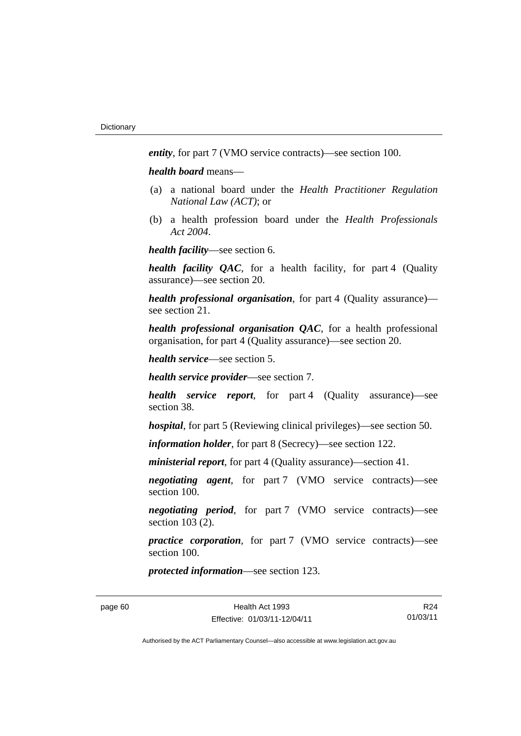*entity*, for part 7 (VMO service contracts)—see section 100.

*health board* means—

- (a) a national board under the *Health Practitioner Regulation National Law (ACT)*; or
- (b) a health profession board under the *Health Professionals Act 2004*.

*health facility*—see section 6.

*health facility QAC*, for a health facility, for part 4 (Quality assurance)—see section 20.

*health professional organisation*, for part 4 (Quality assurance) see section 21.

*health professional organisation QAC*, for a health professional organisation, for part 4 (Quality assurance)—see section 20.

*health service*—see section 5.

*health service provider*—see section 7.

*health service report*, for part 4 (Quality assurance)—see section 38.

*hospital*, for part 5 (Reviewing clinical privileges)—see section 50.

*information holder*, for part 8 (Secrecy)—see section 122.

*ministerial report*, for part 4 (Quality assurance)—section 41.

*negotiating agent*, for part 7 (VMO service contracts)—see section 100.

*negotiating period*, for part 7 (VMO service contracts)—see section 103 (2).

*practice corporation*, for part 7 (VMO service contracts)—see section 100.

*protected information*—see section 123.

R24 01/03/11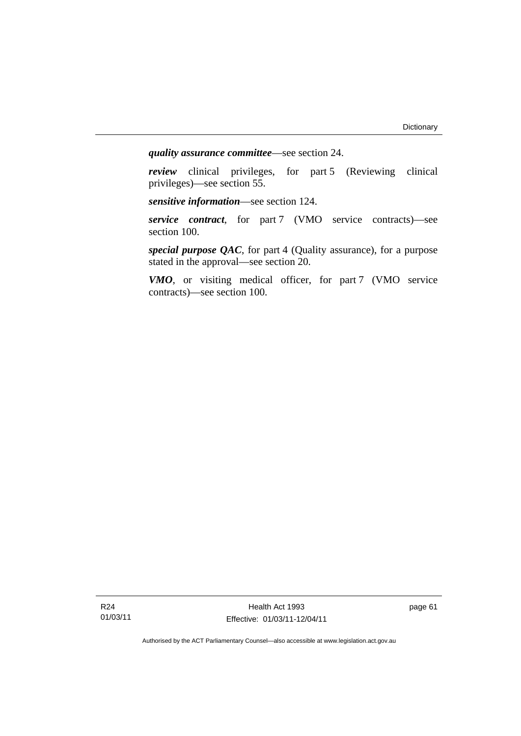*quality assurance committee*—see section 24.

*review* clinical privileges, for part 5 (Reviewing clinical privileges)—see section 55.

*sensitive information*—see section 124.

*service contract*, for part 7 (VMO service contracts)—see section 100.

*special purpose QAC*, for part 4 (Quality assurance), for a purpose stated in the approval—see section 20.

*VMO*, or visiting medical officer, for part 7 (VMO service contracts)—see section 100.

R24 01/03/11

Health Act 1993 Effective: 01/03/11-12/04/11 page 61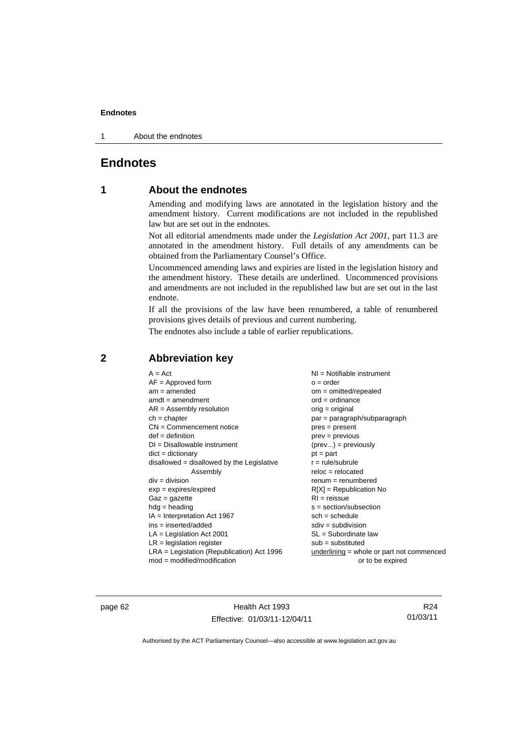#### **Endnotes**

1 About the endnotes

### **Endnotes**

### **1 About the endnotes**

Amending and modifying laws are annotated in the legislation history and the amendment history. Current modifications are not included in the republished law but are set out in the endnotes.

Not all editorial amendments made under the *Legislation Act 2001*, part 11.3 are annotated in the amendment history. Full details of any amendments can be obtained from the Parliamentary Counsel's Office.

Uncommenced amending laws and expiries are listed in the legislation history and the amendment history. These details are underlined. Uncommenced provisions and amendments are not included in the republished law but are set out in the last endnote.

If all the provisions of the law have been renumbered, a table of renumbered provisions gives details of previous and current numbering.

The endnotes also include a table of earlier republications.

| $A = Act$                                    | NI = Notifiable instrument                |
|----------------------------------------------|-------------------------------------------|
| $AF =$ Approved form                         | $o = order$                               |
| $am = amended$                               | $om = omitted/report)$                    |
| $amdt = amendment$                           | $ord = ordinance$                         |
| $AR = Assembly resolution$                   | $orig = original$                         |
| $ch = chapter$                               | par = paragraph/subparagraph              |
| $CN =$ Commencement notice                   | $pres = present$                          |
| $def = definition$                           | $prev = previous$                         |
| $DI = Disallowable instrument$               | $(\text{prev}) = \text{previously}$       |
| $dict = dictionary$                          | $pt = part$                               |
| disallowed = disallowed by the Legislative   | $r = rule/subrule$                        |
| Assembly                                     | $reloc = relocated$                       |
| $div = division$                             | $remum = renumbered$                      |
| $exp = expires/expired$                      | $R[X]$ = Republication No                 |
| $Gaz = gazette$                              | $RI = reissue$                            |
| $hdg =$ heading                              | $s = section/subsection$                  |
| $IA = Interpretation Act 1967$               | $sch = schedule$                          |
| $ins = inserted/added$                       | $sdiv = subdivision$                      |
| $LA =$ Legislation Act 2001                  | $SL = Subordinate$ law                    |
| $LR =$ legislation register                  | $sub =$ substituted                       |
| $LRA =$ Legislation (Republication) Act 1996 | underlining = whole or part not commenced |
| $mod = modified/modification$                | or to be expired                          |

### **2 Abbreviation key**

page 62 Health Act 1993 Effective: 01/03/11-12/04/11

R24 01/03/11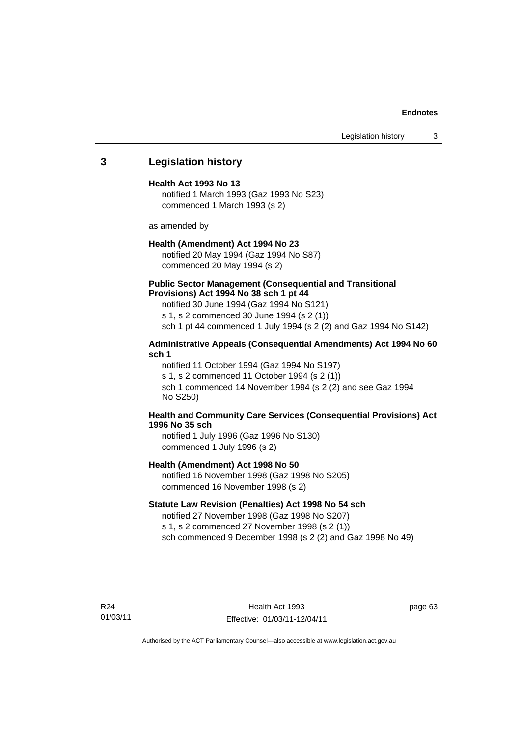#### **Endnotes**

Legislation history 3

#### **3 Legislation history**

#### **Health Act 1993 No 13**

notified 1 March 1993 (Gaz 1993 No S23) commenced 1 March 1993 (s 2)

as amended by

#### **Health (Amendment) Act 1994 No 23**

notified 20 May 1994 (Gaz 1994 No S87) commenced 20 May 1994 (s 2)

#### **Public Sector Management (Consequential and Transitional Provisions) Act 1994 No 38 sch 1 pt 44**

notified 30 June 1994 (Gaz 1994 No S121) s 1, s 2 commenced 30 June 1994 (s 2 (1)) sch 1 pt 44 commenced 1 July 1994 (s 2 (2) and Gaz 1994 No S142)

#### **Administrative Appeals (Consequential Amendments) Act 1994 No 60 sch 1**

notified 11 October 1994 (Gaz 1994 No S197) s 1, s 2 commenced 11 October 1994 (s 2 (1)) sch 1 commenced 14 November 1994 (s 2 (2) and see Gaz 1994 No S250)

#### **Health and Community Care Services (Consequential Provisions) Act 1996 No 35 sch**

notified 1 July 1996 (Gaz 1996 No S130) commenced 1 July 1996 (s 2)

#### **Health (Amendment) Act 1998 No 50**

notified 16 November 1998 (Gaz 1998 No S205) commenced 16 November 1998 (s 2)

#### **Statute Law Revision (Penalties) Act 1998 No 54 sch**

notified 27 November 1998 (Gaz 1998 No S207) s 1, s 2 commenced 27 November 1998 (s 2 (1)) sch commenced 9 December 1998 (s 2 (2) and Gaz 1998 No 49)

R24 01/03/11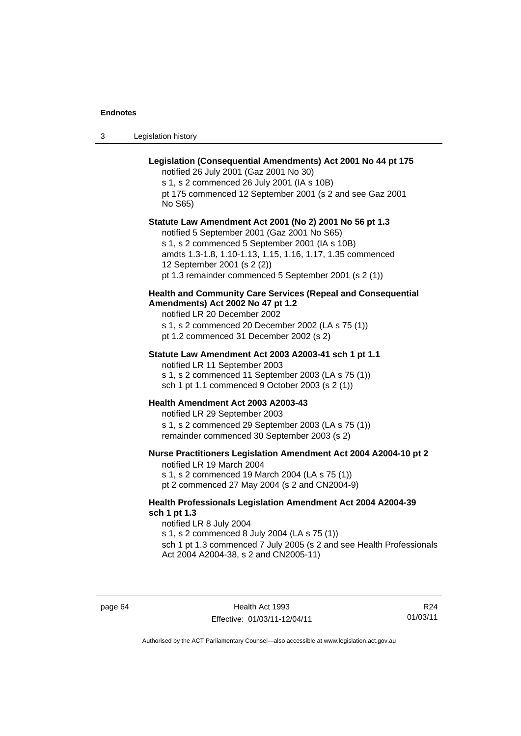#### **Endnotes**

3 Legislation history

### **Legislation (Consequential Amendments) Act 2001 No 44 pt 175**

notified 26 July 2001 (Gaz 2001 No 30)

s 1, s 2 commenced 26 July 2001 (IA s 10B) pt 175 commenced 12 September 2001 (s 2 and see Gaz 2001

No S65)

#### **Statute Law Amendment Act 2001 (No 2) 2001 No 56 pt 1.3**

notified 5 September 2001 (Gaz 2001 No S65) s 1, s 2 commenced 5 September 2001 (IA s 10B) amdts 1.3-1.8, 1.10-1.13, 1.15, 1.16, 1.17, 1.35 commenced 12 September 2001 (s 2 (2)) pt 1.3 remainder commenced 5 September 2001 (s 2 (1))

#### **Health and Community Care Services (Repeal and Consequential Amendments) Act 2002 No 47 pt 1.2**

notified LR 20 December 2002

s 1, s 2 commenced 20 December 2002 (LA s 75 (1))

pt 1.2 commenced 31 December 2002 (s 2)

#### **Statute Law Amendment Act 2003 A2003-41 sch 1 pt 1.1**

notified LR 11 September 2003 s 1, s 2 commenced 11 September 2003 (LA s 75 (1)) sch 1 pt 1.1 commenced 9 October 2003 (s 2 (1))

#### **Health Amendment Act 2003 A2003-43**

notified LR 29 September 2003 s 1, s 2 commenced 29 September 2003 (LA s 75 (1)) remainder commenced 30 September 2003 (s 2)

#### **Nurse Practitioners Legislation Amendment Act 2004 A2004-10 pt 2**

notified LR 19 March 2004 s 1, s 2 commenced 19 March 2004 (LA s 75 (1)) pt 2 commenced 27 May 2004 (s 2 and CN2004-9)

#### **Health Professionals Legislation Amendment Act 2004 A2004-39 sch 1 pt 1.3**

notified LR 8 July 2004 s 1, s 2 commenced 8 July 2004 (LA s 75 (1)) sch 1 pt 1.3 commenced 7 July 2005 (s 2 and see Health Professionals Act 2004 A2004-38, s 2 and CN2005-11)

page 64 Health Act 1993 Effective: 01/03/11-12/04/11

R24 01/03/11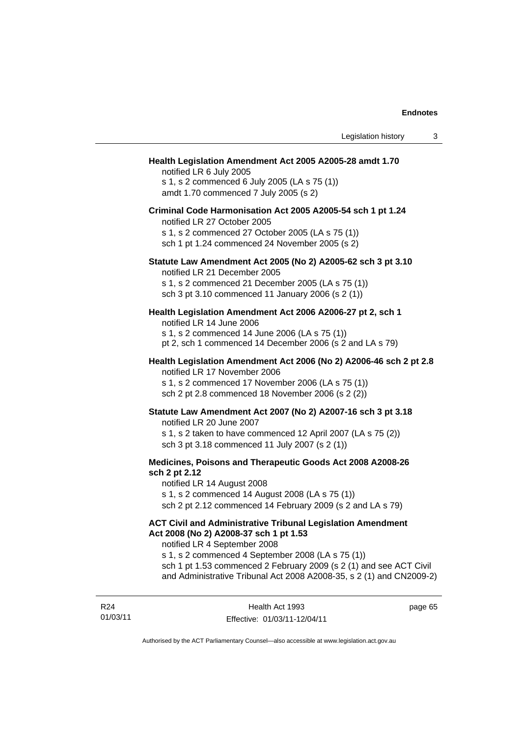#### **Health Legislation Amendment Act 2005 A2005-28 amdt 1.70**

notified LR 6 July 2005 s 1, s 2 commenced 6 July 2005 (LA s 75 (1)) amdt 1.70 commenced 7 July 2005 (s 2)

#### **Criminal Code Harmonisation Act 2005 A2005-54 sch 1 pt 1.24**

notified LR 27 October 2005 s 1, s 2 commenced 27 October 2005 (LA s 75 (1)) sch 1 pt 1.24 commenced 24 November 2005 (s 2)

## **Statute Law Amendment Act 2005 (No 2) A2005-62 sch 3 pt 3.10**

notified LR 21 December 2005

s 1, s 2 commenced 21 December 2005 (LA s 75 (1)) sch 3 pt 3.10 commenced 11 January 2006 (s 2 (1))

### **Health Legislation Amendment Act 2006 A2006-27 pt 2, sch 1**

notified LR 14 June 2006 s 1, s 2 commenced 14 June 2006 (LA s 75 (1)) pt 2, sch 1 commenced 14 December 2006 (s 2 and LA s 79)

#### **Health Legislation Amendment Act 2006 (No 2) A2006-46 sch 2 pt 2.8**  notified LR 17 November 2006

s 1, s 2 commenced 17 November 2006 (LA s 75 (1)) sch 2 pt 2.8 commenced 18 November 2006 (s 2 (2))

### **Statute Law Amendment Act 2007 (No 2) A2007-16 sch 3 pt 3.18**

notified LR 20 June 2007 s 1, s 2 taken to have commenced 12 April 2007 (LA s 75 (2)) sch 3 pt 3.18 commenced 11 July 2007 (s 2 (1))

#### **Medicines, Poisons and Therapeutic Goods Act 2008 A2008-26 sch 2 pt 2.12**

notified LR 14 August 2008

s 1, s 2 commenced 14 August 2008 (LA s 75 (1))

sch 2 pt 2.12 commenced 14 February 2009 (s 2 and LA s 79)

### **ACT Civil and Administrative Tribunal Legislation Amendment Act 2008 (No 2) A2008-37 sch 1 pt 1.53**

notified LR 4 September 2008

s 1, s 2 commenced 4 September 2008 (LA s 75 (1)) sch 1 pt 1.53 commenced 2 February 2009 (s 2 (1) and see ACT Civil and Administrative Tribunal Act 2008 A2008-35, s 2 (1) and CN2009-2)

R24 01/03/11 page 65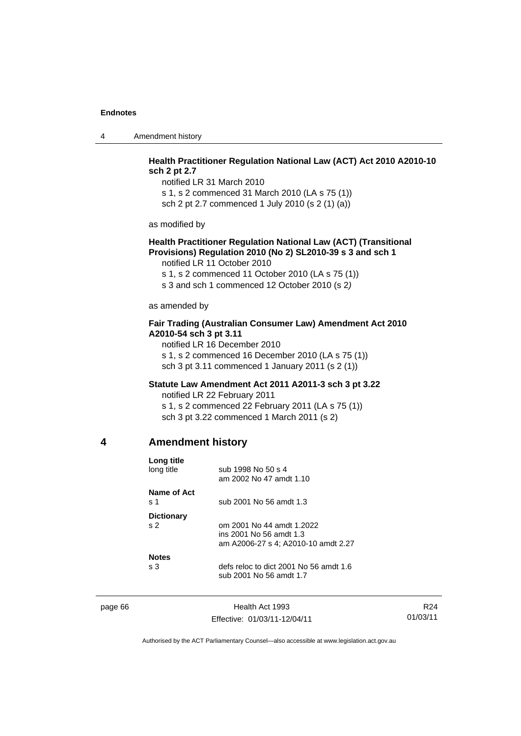4 Amendment history

### **Health Practitioner Regulation National Law (ACT) Act 2010 A2010-10 sch 2 pt 2.7**

notified LR 31 March 2010 s 1, s 2 commenced 31 March 2010 (LA s 75 (1)) sch 2 pt 2.7 commenced 1 July 2010 (s 2 (1) (a))

as modified by

### **Health Practitioner Regulation National Law (ACT) (Transitional Provisions) Regulation 2010 (No 2) SL2010-39 s 3 and sch 1**

notified LR 11 October 2010

s 1, s 2 commenced 11 October 2010 (LA s 75 (1))

s 3 and sch 1 commenced 12 October 2010 (s 2*)*

as amended by

### **Fair Trading (Australian Consumer Law) Amendment Act 2010 A2010-54 sch 3 pt 3.11**

notified LR 16 December 2010 s 1, s 2 commenced 16 December 2010 (LA s 75 (1)) sch 3 pt 3.11 commenced 1 January 2011 (s 2 (1))

#### **Statute Law Amendment Act 2011 A2011-3 sch 3 pt 3.22**

notified LR 22 February 2011 s 1, s 2 commenced 22 February 2011 (LA s 75 (1)) sch 3 pt 3.22 commenced 1 March 2011 (s 2)

#### **4 Amendment history**

| Long title<br>long title            | sub 1998 No 50 s 4<br>am 2002 No 47 amdt 1.10                                               |
|-------------------------------------|---------------------------------------------------------------------------------------------|
| Name of Act<br>s 1                  | sub 2001 No 56 amdt 1.3                                                                     |
| <b>Dictionary</b><br>s <sub>2</sub> | om 2001 No 44 amdt 1.2022<br>ins 2001 No 56 amdt 1.3<br>am A2006-27 s 4; A2010-10 amdt 2.27 |
| <b>Notes</b><br>s <sub>3</sub>      | defs reloc to dict 2001 No 56 amdt 1.6<br>sub 2001 No 56 amdt 1.7                           |

page 66 Health Act 1993 Effective: 01/03/11-12/04/11

R24 01/03/11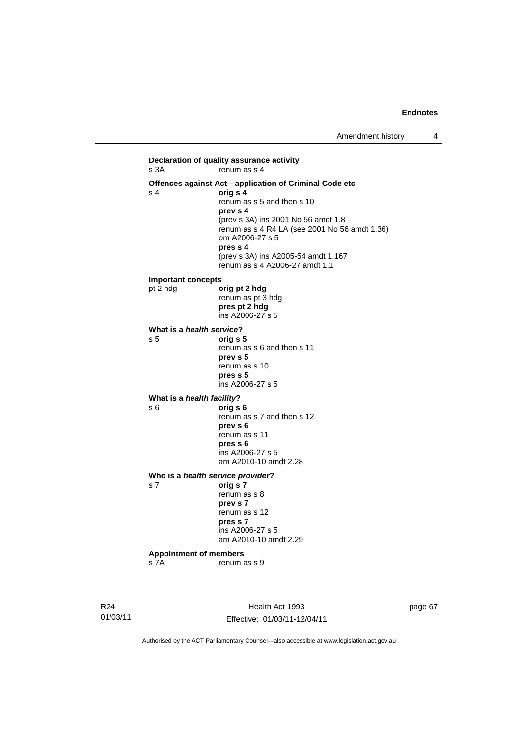**Declaration of quality assurance activity**   $renum$  as s 4 **Offences against Act—application of Criminal Code etc**  s 4 **orig s 4** renum as s 5 and then s 10 **prev s 4**  (prev s 3A) ins 2001 No 56 amdt 1.8 renum as  $\leq 4$  R4 LA (see 2001 No 56 amdt 1.36) om A2006-27 s 5 **pres s 4**  (prev s 3A) ins A2005-54 amdt 1.167 renum as s 4 A2006-27 amdt 1.1 **Important concepts**  pt 2 hdg **orig pt 2 hdg** renum as pt 3 hdg **pres pt 2 hdg**  ins A2006-27 s 5 **What is a** *health service***?**<br>**s 5 orig s** s 5 **orig s 5**  renum as s 6 and then s 11 **prev s 5**  renum as s 10 **pres s 5**  ins A2006-27 s 5 **What is a** *health facility***?**<br>**s 6 orig s** s 6 **orig s 6**  renum as s 7 and then s 12 **prev s 6**  renum as s 11  **pres s 6**  ins A2006-27 s 5 am A2010-10 amdt 2.28 **Who is a** *health service provider***?**  s 7 **orig s 7**  renum as s 8 **prev s 7**  renum as s 12  **pres s 7**  ins A2006-27 s 5 am A2010-10 amdt 2.29 **Appointment of members**  s 7A renum as s 9

R24 01/03/11

Health Act 1993 Effective: 01/03/11-12/04/11 page 67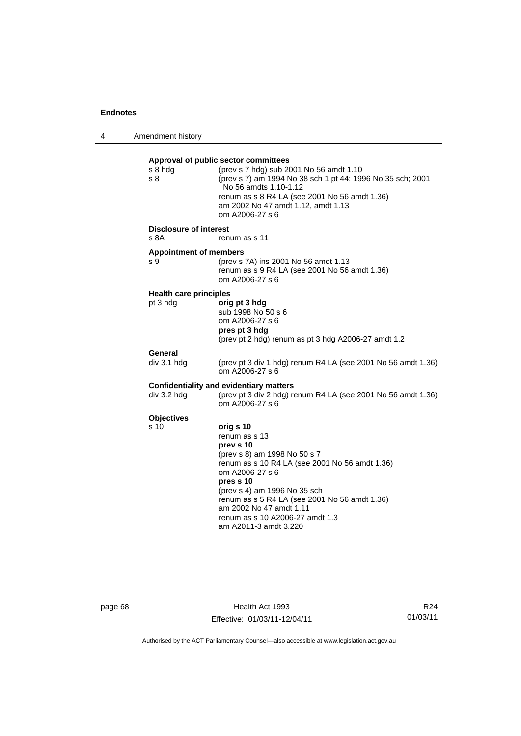4 Amendment history

**Approval of public sector committees** s 8 hdg (prev s 7 hdg) sub 2001 No 56 amdt 1.10 s 8 (prev s 7) am 1994 No 38 sch 1 pt 44; 1996 No 35 sch; 2001 No 56 amdts 1.10-1.12 renum as s 8 R4 LA (see 2001 No 56 amdt 1.36) am 2002 No 47 amdt 1.12, amdt 1.13 om A2006-27 s 6 **Disclosure of interest**  s 8A renum as s 11 **Appointment of members**  s 9 (prev s 7A) ins 2001 No 56 amdt 1.13 renum as s 9 R4 LA (see 2001 No 56 amdt 1.36) om A2006-27 s 6 **Health care principles** pt 3 hdg **orig pt 3 hdg** sub 1998 No 50 s 6 om A2006-27 s 6 **pres pt 3 hdg**  (prev pt 2 hdg) renum as pt 3 hdg A2006-27 amdt 1.2 **General**  div 3.1 hdg (prev pt 3 div 1 hdg) renum R4 LA (see 2001 No 56 amdt 1.36) om A2006-27 s 6 **Confidentiality and evidentiary matters**  div 3.2 hdg (prev pt 3 div 2 hdg) renum R4 LA (see 2001 No 56 amdt 1.36) om A2006-27 s 6 **Objectives**<br>s 10 s 10 **orig s 10**  renum as s 13 **prev s 10**  (prev s 8) am 1998 No 50 s 7 renum as s 10 R4 LA (see 2001 No 56 amdt 1.36) om A2006-27 s 6 **pres s 10**  (prev s 4) am 1996 No 35 sch renum as s 5 R4 LA (see 2001 No 56 amdt 1.36) am 2002 No 47 amdt 1.11 renum as s 10 A2006-27 amdt 1.3 am A2011-3 amdt 3.220

page 68 Health Act 1993 Effective: 01/03/11-12/04/11

R24 01/03/11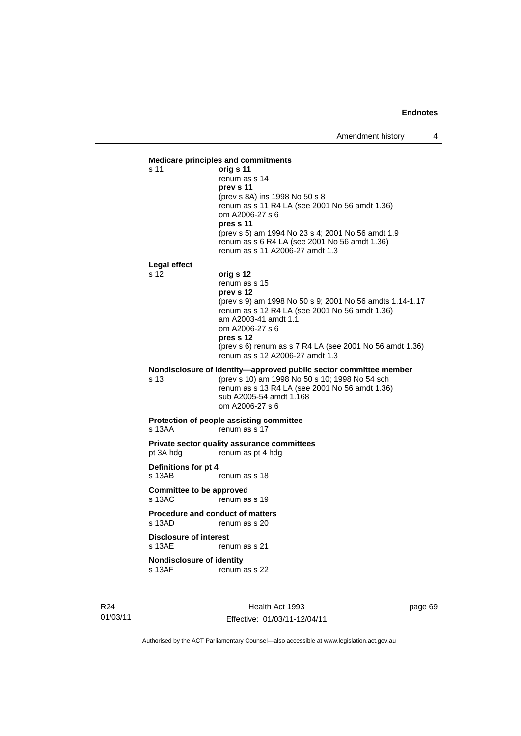

R24 01/03/11

Health Act 1993 Effective: 01/03/11-12/04/11 page 69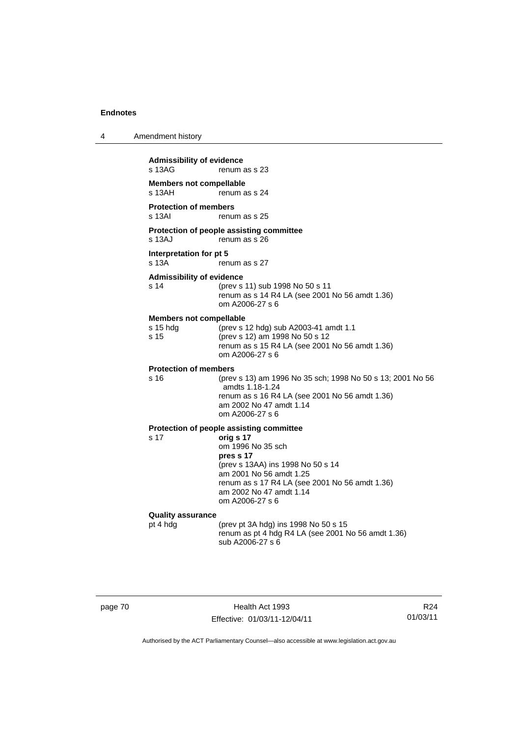|  | Amendment history |
|--|-------------------|
|--|-------------------|

| <b>Admissibility of evidence</b><br>s 13AG<br>renum as s 23 |                                                                                                                                                                                                             |  |  |
|-------------------------------------------------------------|-------------------------------------------------------------------------------------------------------------------------------------------------------------------------------------------------------------|--|--|
| <b>Members not compellable</b><br>s 13AH<br>renum as s 24   |                                                                                                                                                                                                             |  |  |
| <b>Protection of members</b><br>s 13AI<br>renum as s 25     |                                                                                                                                                                                                             |  |  |
| s 13AJ                                                      | Protection of people assisting committee<br>renum as s 26                                                                                                                                                   |  |  |
| Interpretation for pt 5<br>s 13A                            | renum as s 27                                                                                                                                                                                               |  |  |
| <b>Admissibility of evidence</b><br>s 14                    | (prev s 11) sub 1998 No 50 s 11<br>renum as s 14 R4 LA (see 2001 No 56 amdt 1.36)<br>om A2006-27 s 6                                                                                                        |  |  |
| <b>Members not compellable</b><br>s 15 hdg<br>s 15          | (prev s 12 hdg) sub A2003-41 amdt 1.1<br>(prev s 12) am 1998 No 50 s 12<br>renum as s 15 R4 LA (see 2001 No 56 amdt 1.36)<br>om A2006-27 s 6                                                                |  |  |
| <b>Protection of members</b>                                |                                                                                                                                                                                                             |  |  |
| s 16                                                        | (prev s 13) am 1996 No 35 sch; 1998 No 50 s 13; 2001 No 56<br>amdts 1.18-1.24<br>renum as s 16 R4 LA (see 2001 No 56 amdt 1.36)<br>am 2002 No 47 amdt 1.14<br>om A2006-27 s 6                               |  |  |
|                                                             | Protection of people assisting committee                                                                                                                                                                    |  |  |
| s <sub>17</sub>                                             | orig s 17<br>om 1996 No 35 sch<br>pres s 17<br>(prev s 13AA) ins 1998 No 50 s 14<br>am 2001 No 56 amdt 1.25<br>renum as s 17 R4 LA (see 2001 No 56 amdt 1.36)<br>am 2002 No 47 amdt 1.14<br>om A2006-27 s 6 |  |  |
| <b>Quality assurance</b>                                    |                                                                                                                                                                                                             |  |  |
| pt 4 hdg                                                    | (prev pt 3A hdg) ins 1998 No 50 s 15<br>renum as pt 4 hdg R4 LA (see 2001 No 56 amdt 1.36)<br>sub A2006-27 s 6                                                                                              |  |  |

page 70 Health Act 1993 Effective: 01/03/11-12/04/11

R24 01/03/11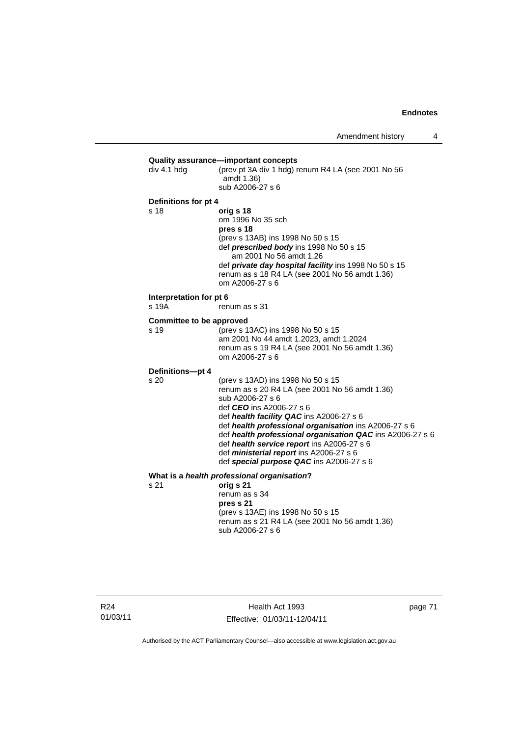| div 4.1 hdg                             | Quality assurance-important concepts<br>(prev pt 3A div 1 hdg) renum R4 LA (see 2001 No 56<br>amdt 1.36)<br>sub A2006-27 s 6                                                                                                                                                                                                                                                                                                                             |
|-----------------------------------------|----------------------------------------------------------------------------------------------------------------------------------------------------------------------------------------------------------------------------------------------------------------------------------------------------------------------------------------------------------------------------------------------------------------------------------------------------------|
| Definitions for pt 4<br>s 18            | orig s 18<br>om 1996 No 35 sch<br>pres s 18<br>(prev s 13AB) ins 1998 No 50 s 15<br>def <i>prescribed body</i> ins 1998 No 50 s 15<br>am 2001 No 56 amdt 1.26<br>def private day hospital facility ins 1998 No 50 s 15<br>renum as s 18 R4 LA (see 2001 No 56 amdt 1.36)<br>om A2006-27 s 6                                                                                                                                                              |
| Interpretation for pt 6<br>s 19A        | renum as s 31                                                                                                                                                                                                                                                                                                                                                                                                                                            |
| <b>Committee to be approved</b><br>s 19 | (prev s 13AC) ins 1998 No 50 s 15<br>am 2001 No 44 amdt 1.2023, amdt 1.2024<br>renum as s 19 R4 LA (see 2001 No 56 amdt 1.36)<br>om A2006-27 s 6                                                                                                                                                                                                                                                                                                         |
| Definitions-pt 4<br>s 20                | (prev s 13AD) ins 1998 No 50 s 15<br>renum as s 20 R4 LA (see 2001 No 56 amdt 1.36)<br>sub A2006-27 s 6<br>def <i>CEO</i> ins A2006-27 s 6<br>def health facility QAC ins A2006-27 s 6<br>def health professional organisation ins A2006-27 s 6<br>def health professional organisation QAC ins A2006-27 s 6<br>def health service report ins A2006-27 s 6<br>def <i>ministerial report</i> ins A2006-27 s 6<br>def special purpose QAC ins A2006-27 s 6 |
| s 21                                    | What is a health professional organisation?<br>orig s 21<br>renum as s 34<br>pres s 21<br>(prev s 13AE) ins 1998 No 50 s 15<br>renum as s 21 R4 LA (see 2001 No 56 amdt 1.36)<br>sub A2006-27 s 6                                                                                                                                                                                                                                                        |
|                                         |                                                                                                                                                                                                                                                                                                                                                                                                                                                          |

R24 01/03/11

Health Act 1993 Effective: 01/03/11-12/04/11 page 71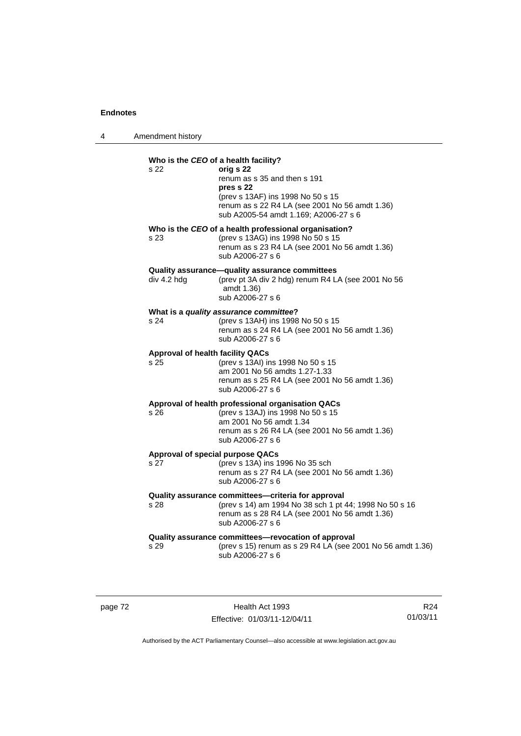| Amendment history |  |
|-------------------|--|
|                   |  |

| Who is the CEO of a health facility?<br>s 22    | orig s 22<br>renum as s 35 and then s 191<br>pres s 22<br>(prev s 13AF) ins 1998 No 50 s 15<br>renum as s 22 R4 LA (see 2001 No 56 amdt 1.36)<br>sub A2005-54 amdt 1.169; A2006-27 s 6  |
|-------------------------------------------------|-----------------------------------------------------------------------------------------------------------------------------------------------------------------------------------------|
| s 23                                            | Who is the CEO of a health professional organisation?<br>(prev s 13AG) ins 1998 No 50 s 15<br>renum as s 23 R4 LA (see 2001 No 56 amdt 1.36)<br>sub A2006-27 s 6                        |
| div 4.2 hdg                                     | Quality assurance-quality assurance committees<br>(prev pt 3A div 2 hdg) renum R4 LA (see 2001 No 56<br>amdt 1.36)<br>sub A2006-27 s 6                                                  |
| s 24                                            | What is a quality assurance committee?<br>(prev s 13AH) ins 1998 No 50 s 15<br>renum as s 24 R4 LA (see 2001 No 56 amdt 1.36)<br>sub A2006-27 s 6                                       |
| <b>Approval of health facility QACs</b><br>s 25 | (prev s 13AI) ins 1998 No 50 s 15<br>am 2001 No 56 amdts 1.27-1.33<br>renum as s 25 R4 LA (see 2001 No 56 amdt 1.36)<br>sub A2006-27 s 6                                                |
| s 26                                            | Approval of health professional organisation QACs<br>(prev s 13AJ) ins 1998 No 50 s 15<br>am 2001 No 56 amdt 1.34<br>renum as s 26 R4 LA (see 2001 No 56 amdt 1.36)<br>sub A2006-27 s 6 |
| Approval of special purpose QACs<br>s 27        | (prev s 13A) ins 1996 No 35 sch<br>renum as s 27 R4 LA (see 2001 No 56 amdt 1.36)<br>sub A2006-27 s 6                                                                                   |
| s 28                                            | Quality assurance committees-criteria for approval<br>(prev s 14) am 1994 No 38 sch 1 pt 44; 1998 No 50 s 16<br>renum as s 28 R4 LA (see 2001 No 56 amdt 1.36)<br>sub A2006-27 s 6      |
| s 29                                            | Quality assurance committees-revocation of approval<br>(prev s 15) renum as s 29 R4 LA (see 2001 No 56 amdt 1.36)<br>sub A2006-27 s 6                                                   |
|                                                 |                                                                                                                                                                                         |

page 72 Health Act 1993 Effective: 01/03/11-12/04/11

R24 01/03/11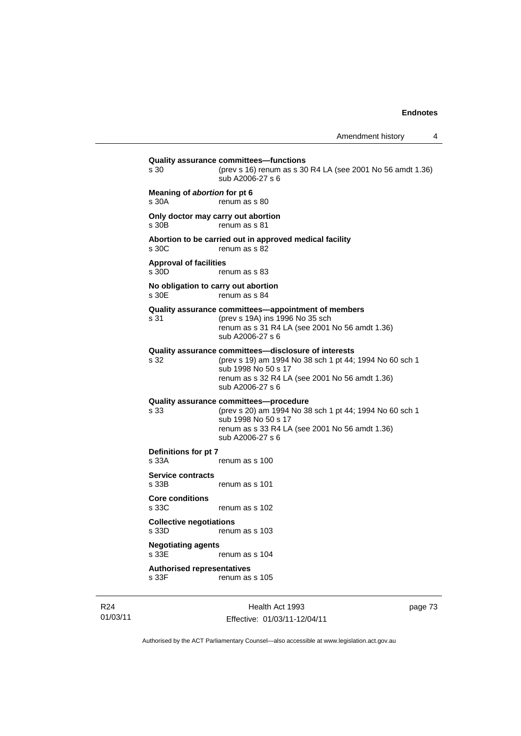**Quality assurance committees—functions**  s 30 (prev s 16) renum as s 30 R4 LA (see 2001 No 56 amdt 1.36) sub A2006-27 s 6 **Meaning of** *abortion* **for pt 6**  s 30A renum as s 80 **Only doctor may carry out abortion**  s 30B renum as s 81 **Abortion to be carried out in approved medical facility**  s 30C renum as s 82 **Approval of facilities**  s 30D renum as s 83 **No obligation to carry out abortion**  s 30E renum as s 84 **Quality assurance committees—appointment of members** s 31 (prev s 19A) ins 1996 No 35 sch renum as s 31 R4 LA (see 2001 No 56 amdt 1.36) sub A2006-27 s 6 **Quality assurance committees—disclosure of interests** s 32 (prev s 19) am 1994 No 38 sch 1 pt 44; 1994 No 60 sch 1 sub 1998 No 50 s 17 renum as s 32 R4 LA (see 2001 No 56 amdt 1.36) sub A2006-27 s 6 **Quality assurance committees—procedure** s 33 (prev s 20) am 1994 No 38 sch 1 pt 44; 1994 No 60 sch 1 sub 1998 No 50 s 17 renum as s 33 R4 LA (see 2001 No 56 amdt 1.36) sub A2006-27 s 6 **Definitions for pt 7**  s 33A renum as s 100 **Service contracts**  renum as s 101 **Core conditions**  s 33C renum as s 102 **Collective negotiations**  s 33D renum as s 103 **Negotiating agents**  s 33E renum as s 104 **Authorised representatives**  s 33F renum as s 105

Health Act 1993 Effective: 01/03/11-12/04/11 page 73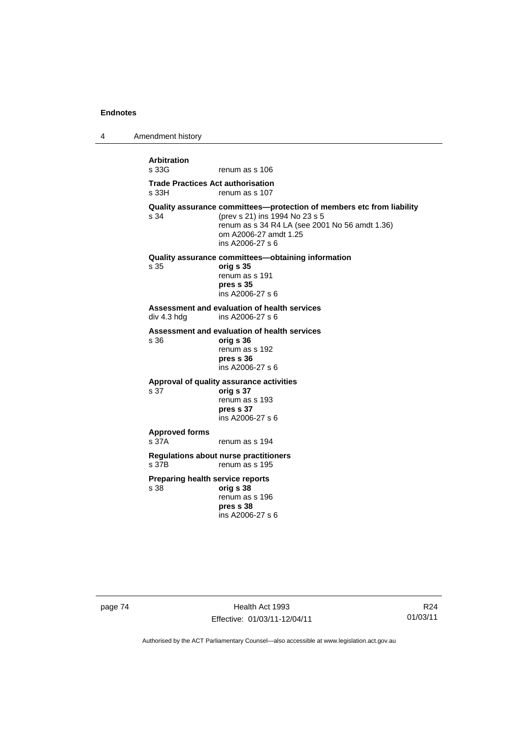4 Amendment history

**Arbitration**  renum as s 106 **Trade Practices Act authorisation**  renum as s 107 **Quality assurance committees—protection of members etc from liability**<br>s 34 (prev s 21) ins 1994 No 23 s 5 (prev s 21) ins 1994 No 23 s 5 renum as s 34 R4 LA (see 2001 No 56 amdt 1.36) om A2006-27 amdt 1.25 ins A2006-27 s 6 **Quality assurance committees—obtaining information** s 35 **orig s 35**  renum as s 191 **pres s 35**  ins A2006-27 s 6 **Assessment and evaluation of health services**  ins A2006-27 s 6 **Assessment and evaluation of health services**  s 36 **orig s 36**  renum as s 192 **pres s 36**  ins A2006-27 s 6 **Approval of quality assurance activities**  s 37 **orig s 37**  renum as s 193 **pres s 37**  ins A2006-27 s 6 **Approved forms**  s 37A renum as s 194 **Regulations about nurse practitioners**  renum as s 195 **Preparing health service reports**  s 38 **orig s 38** renum as s 196 **pres s 38** 

ins A2006-27 s 6

page 74 Health Act 1993 Effective: 01/03/11-12/04/11

R24 01/03/11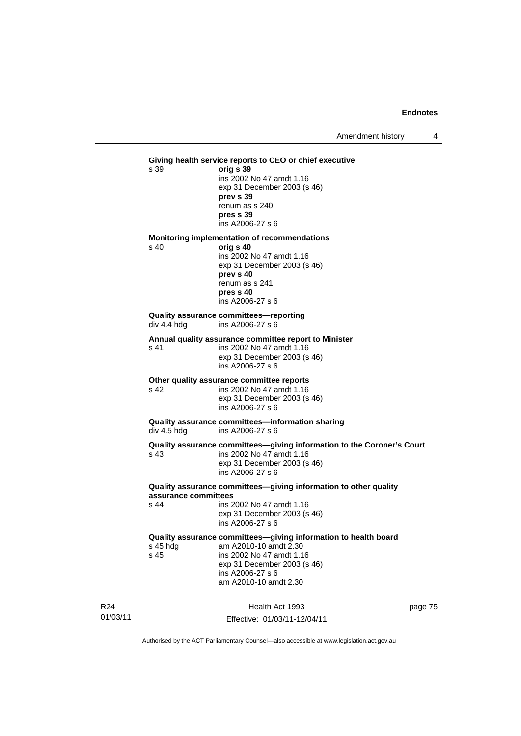### 01/03/11 Health Act 1993 **Giving health service reports to CEO or chief executive**  s 39 **orig s 39**  ins 2002 No 47 amdt 1.16 exp 31 December 2003 (s 46) **prev s 39**  renum as s 240 **pres s 39**  ins A2006-27 s 6 **Monitoring implementation of recommendations**  s 40 **orig s 40**  ins 2002 No 47 amdt 1.16 exp 31 December 2003 (s 46) **prev s 40**  renum as s 241 **pres s 40**  ins A2006-27 s 6 **Quality assurance committees—reporting**  div 4.4 hdg ins A2006-27 s 6 **Annual quality assurance committee report to Minister**  s 41 ins 2002 No 47 amdt 1.16 exp 31 December 2003 (s 46) ins A2006-27 s 6 **Other quality assurance committee reports**  s 42 ins 2002 No 47 amdt 1.16 exp 31 December 2003 (s 46) ins A2006-27 s 6 **Quality assurance committees—information sharing**  div 4.5 hdg ins A2006-27 s 6 **Quality assurance committees—giving information to the Coroner's Court**  s 43 ins 2002 No 47 amdt 1.16 exp 31 December 2003 (s 46) ins A2006-27 s 6 **Quality assurance committees—giving information to other quality assurance committees**  s 44 ins 2002 No 47 amdt 1.16 exp 31 December 2003 (s 46) ins A2006-27 s 6 **Quality assurance committees—giving information to health board**  s 45 hdg am A2010-10 amdt 2.30<br>s 45 ins 2002 No 47 amdt 1.1 ins 2002 No 47 amdt 1.16 exp 31 December 2003 (s 46) ins A2006-27 s 6 am A2010-10 amdt 2.30

page 75

Authorised by the ACT Parliamentary Counsel—also accessible at www.legislation.act.gov.au

Effective: 01/03/11-12/04/11

R24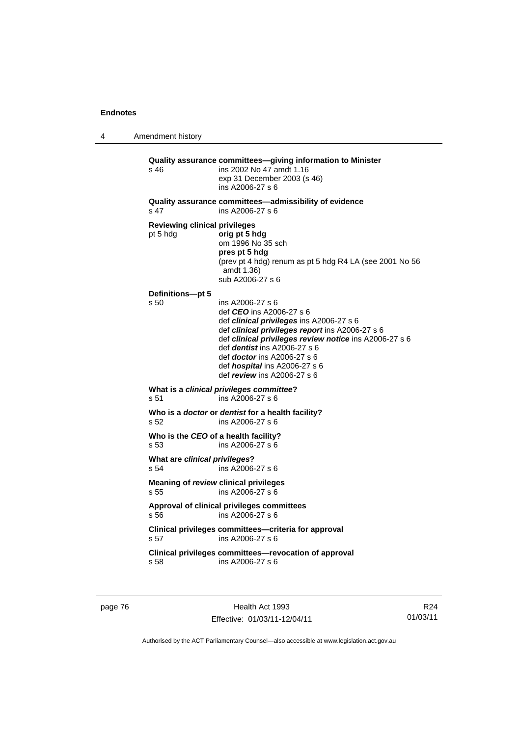4 Amendment history

**Quality assurance committees—giving information to Minister**  s 46 ins 2002 No 47 amdt 1.16 exp 31 December 2003 (s 46) ins A2006-27 s 6 **Quality assurance committees—admissibility of evidence**  s 47 ins A2006-27 s 6 **Reviewing clinical privileges**  pt 5 hdg **orig pt 5 hdg** om 1996 No 35 sch **pres pt 5 hdg**  (prev pt 4 hdg) renum as pt 5 hdg R4 LA (see 2001 No 56 amdt 1.36) sub A2006-27 s 6 **Definitions—pt 5**  ins A2006-27 s 6 def *CEO* ins A2006-27 s 6 def *clinical privileges* ins A2006-27 s 6 def *clinical privileges report* ins A2006-27 s 6 def *clinical privileges review notice* ins A2006-27 s 6 def *dentist* ins A2006-27 s 6 def *doctor* ins A2006-27 s 6 def *hospital* ins A2006-27 s 6 def *review* ins A2006-27 s 6 **What is a** *clinical privileges committee***?**   $ins A2006-27 s 6$ **Who is a** *doctor* **or** *dentist* **for a health facility?**  s 52 ins A2006-27 s 6 **Who is the** *CEO* **of a health facility?**  s 53 ins A2006-27 s 6 **What are** *clinical privileges***?**  s 54 ins A2006-27 s 6 **Meaning of** *review* **clinical privileges**  s 55 ins A2006-27 s 6 **Approval of clinical privileges committees**  s 56 ins A2006-27 s 6 **Clinical privileges committees—criteria for approval**  s 57 ins A2006-27 s 6 **Clinical privileges committees—revocation of approval**  s 58 ins A2006-27 s 6

page 76 **Health Act 1993** Effective: 01/03/11-12/04/11

R24 01/03/11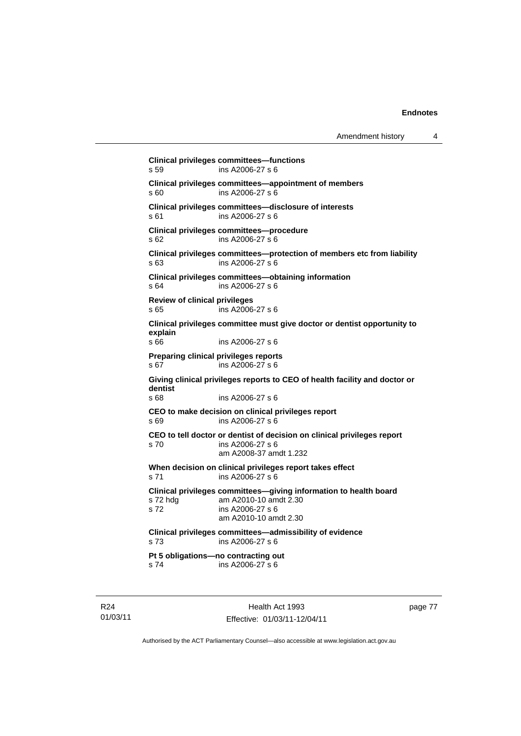```
Clinical privileges committees—functions 
s 59 ins A2006-27 s 6 
Clinical privileges committees—appointment of members 
s 60 ins A2006-27 s 6 
Clinical privileges committees—disclosure of interests 
s 61 ins A2006-27 s 6 
Clinical privileges committees—procedure 
s 62 ins A2006-27 s 6 
Clinical privileges committees—protection of members etc from liability 
s 63 ins A2006-27 s 6 
Clinical privileges committees—obtaining information 
s 64 ins A2006-27 s 6 
Review of clinical privileges 
s 65 ins A2006-27 s 6 
Clinical privileges committee must give doctor or dentist opportunity to 
explain 
                ins A2006-27 s 6
Preparing clinical privileges reports 
s 67 ins A2006-27 s 6 
Giving clinical privileges reports to CEO of health facility and doctor or 
dentist 
                ins A2006-27 s 6
CEO to make decision on clinical privileges report 
s 69 ins A2006-27 s 6 
CEO to tell doctor or dentist of decision on clinical privileges report 
s 70 ins A2006-27 s 6 
                 am A2008-37 amdt 1.232 
When decision on clinical privileges report takes effect 
s 71 ins A2006-27 s 6 
Clinical privileges committees—giving information to health board 
s 72 hdg am A2010-10 amdt 2.30 
s 72 ins A2006-27 s 6 
                 am A2010-10 amdt 2.30 
Clinical privileges committees—admissibility of evidence 
s 73 ins A2006-27 s 6 
Pt 5 obligations—no contracting out 
s 74 ins A2006-27 s 6
```
R24 01/03/11

Health Act 1993 Effective: 01/03/11-12/04/11 page 77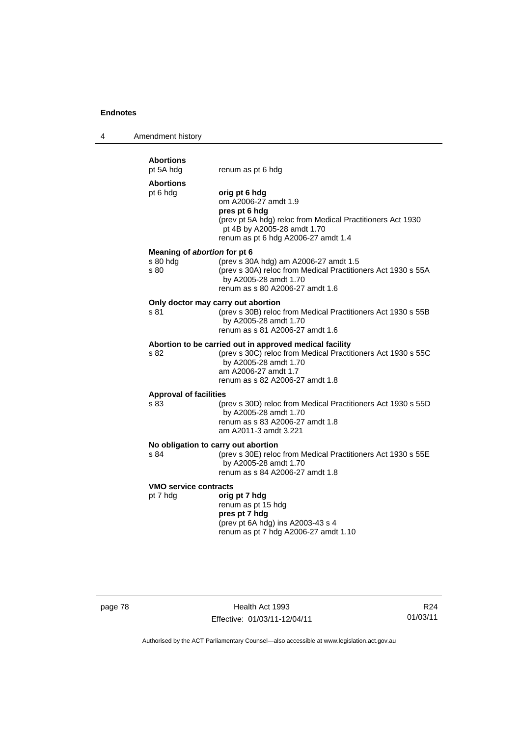| 4 | Amendment history                                |                                                                                                                                                                                                             |
|---|--------------------------------------------------|-------------------------------------------------------------------------------------------------------------------------------------------------------------------------------------------------------------|
|   | <b>Abortions</b><br>pt 5A hdg                    | renum as pt 6 hdg                                                                                                                                                                                           |
|   | <b>Abortions</b><br>pt 6 hdg                     | orig pt 6 hdg<br>om A2006-27 amdt 1.9<br>pres pt 6 hdg<br>(prev pt 5A hdg) reloc from Medical Practitioners Act 1930<br>pt 4B by A2005-28 amdt 1.70<br>renum as pt 6 hdg A2006-27 amdt 1.4                  |
|   | Meaning of abortion for pt 6<br>s 80 hdg<br>s 80 | (prev s 30A hdg) am A2006-27 amdt 1.5<br>(prev s 30A) reloc from Medical Practitioners Act 1930 s 55A<br>by A2005-28 amdt 1.70<br>renum as s 80 A2006-27 amdt 1.6                                           |
|   | s 81                                             | Only doctor may carry out abortion<br>(prev s 30B) reloc from Medical Practitioners Act 1930 s 55B<br>by A2005-28 amdt 1.70<br>renum as s 81 A2006-27 amdt 1.6                                              |
|   | s 82                                             | Abortion to be carried out in approved medical facility<br>(prev s 30C) reloc from Medical Practitioners Act 1930 s 55C<br>by A2005-28 amdt 1.70<br>am A2006-27 amdt 1.7<br>renum as s 82 A2006-27 amdt 1.8 |
|   | <b>Approval of facilities</b><br>s 83            | (prev s 30D) reloc from Medical Practitioners Act 1930 s 55D<br>by A2005-28 amdt 1.70<br>renum as s 83 A2006-27 amdt 1.8<br>am A2011-3 amdt 3.221                                                           |
|   | s 84                                             | No obligation to carry out abortion<br>(prev s 30E) reloc from Medical Practitioners Act 1930 s 55E<br>by A2005-28 amdt 1.70<br>renum as s 84 A2006-27 amdt 1.8                                             |
|   | <b>VMO service contracts</b><br>pt 7 hdg         | orig pt 7 hdg<br>renum as pt 15 hdg<br>pres pt 7 hdg<br>(prev pt 6A hdg) ins A2003-43 s 4<br>renum as pt 7 hdg A2006-27 amdt 1.10                                                                           |

page 78 Health Act 1993 Effective: 01/03/11-12/04/11

R24 01/03/11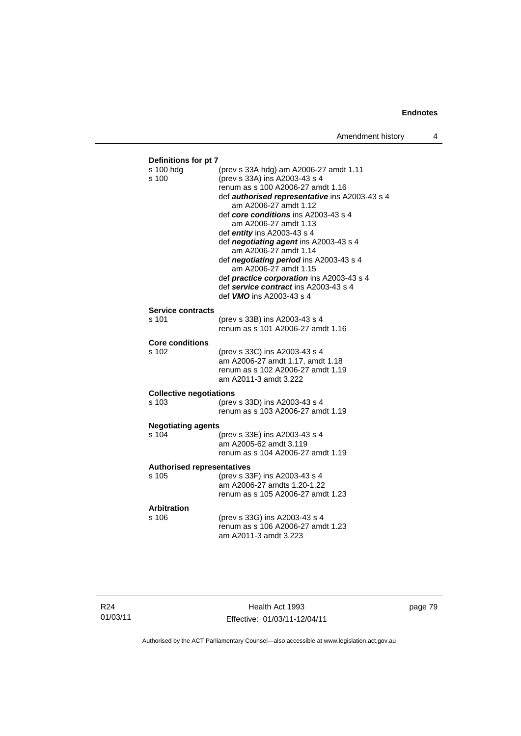| s 100 hdg                          | (prev s 33A hdg) am A2006-27 amdt 1.11                                         |
|------------------------------------|--------------------------------------------------------------------------------|
| s 100                              | (prev s 33A) ins A2003-43 s 4                                                  |
|                                    | renum as s 100 A2006-27 amdt 1.16                                              |
|                                    | def <b>authorised representative</b> ins A2003-43 s 4<br>am A2006-27 amdt 1.12 |
|                                    | def core conditions ins A2003-43 s 4                                           |
|                                    | am A2006-27 amdt 1.13                                                          |
|                                    | def entity ins A2003-43 s 4                                                    |
|                                    | def negotiating agent ins A2003-43 s 4                                         |
|                                    | am A2006-27 amdt 1.14                                                          |
|                                    | def negotiating period ins A2003-43 s 4<br>am A2006-27 amdt 1.15               |
|                                    | def <i>practice corporation</i> ins A2003-43 s 4                               |
|                                    | def service contract ins A2003-43 s 4                                          |
|                                    | def <b>VMO</b> ins A2003-43 s 4                                                |
| <b>Service contracts</b>           |                                                                                |
| s 101                              | (prev s 33B) ins A2003-43 s 4                                                  |
|                                    | renum as s 101 A2006-27 amdt 1.16                                              |
|                                    |                                                                                |
| <b>Core conditions</b><br>$s$ 102  |                                                                                |
|                                    | (prev s 33C) ins A2003-43 s 4<br>am A2006-27 amdt 1.17, amdt 1.18              |
|                                    | renum as s 102 A2006-27 amdt 1.19                                              |
|                                    | am A2011-3 amdt 3.222                                                          |
| <b>Collective negotiations</b>     |                                                                                |
| s 103                              | (prev s 33D) ins A2003-43 s 4                                                  |
|                                    | renum as s 103 A2006-27 amdt 1.19                                              |
|                                    |                                                                                |
| <b>Negotiating agents</b><br>s 104 | (prev s 33E) ins A2003-43 s 4                                                  |
|                                    | am A2005-62 amdt 3.119                                                         |
|                                    | renum as s 104 A2006-27 amdt 1.19                                              |
|                                    |                                                                                |
| <b>Authorised representatives</b>  |                                                                                |
| s 105                              | (prev s 33F) ins A2003-43 s 4<br>am A2006-27 amdts 1.20-1.22                   |
|                                    | renum as s 105 A2006-27 amdt 1.23                                              |
|                                    |                                                                                |
|                                    |                                                                                |
| <b>Arbitration</b>                 |                                                                                |
| s 106                              | (prev s 33G) ins A2003-43 s 4<br>renum as s 106 A2006-27 amdt 1.23             |

page 79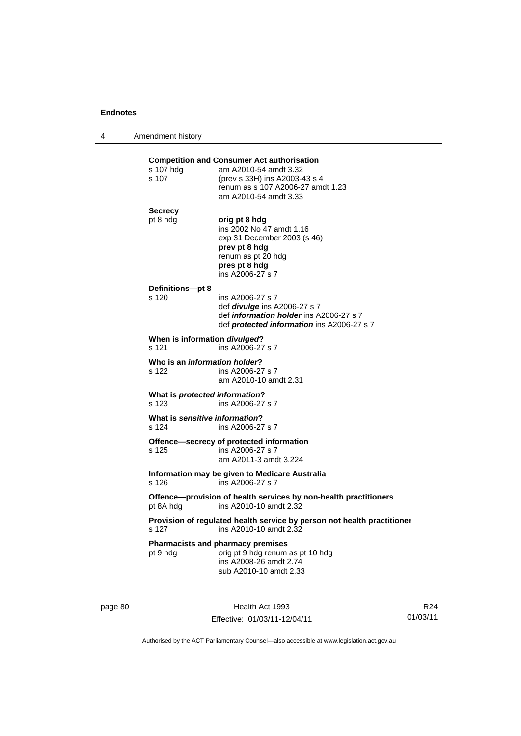4 Amendment history

|                               | <b>Competition and Consumer Act authorisation</b>                                     |  |
|-------------------------------|---------------------------------------------------------------------------------------|--|
| s 107 hdg                     | am A2010-54 amdt 3.32                                                                 |  |
| s 107                         | (prev s 33H) ins A2003-43 s 4<br>renum as s 107 A2006-27 amdt 1.23                    |  |
|                               | am A2010-54 amdt 3.33                                                                 |  |
|                               |                                                                                       |  |
| <b>Secrecy</b>                | orig pt 8 hdg                                                                         |  |
| pt 8 hdg                      | ins 2002 No 47 amdt 1.16                                                              |  |
|                               | exp 31 December 2003 (s 46)                                                           |  |
|                               | prev pt 8 hdg                                                                         |  |
|                               | renum as pt 20 hdg                                                                    |  |
|                               | pres pt 8 hdg                                                                         |  |
|                               | ins A2006-27 s 7                                                                      |  |
| Definitions-pt 8              |                                                                                       |  |
| s 120                         | ins A2006-27 s 7                                                                      |  |
|                               | def <i>divulge</i> ins A2006-27 s 7                                                   |  |
|                               | def information holder ins A2006-27 s 7<br>def protected information ins A2006-27 s 7 |  |
|                               |                                                                                       |  |
|                               | When is information divulged?                                                         |  |
| s 121                         | ins A2006-27 s 7                                                                      |  |
| Who is an information holder? |                                                                                       |  |
| s 122                         | ins A2006-27 s 7                                                                      |  |
|                               | am A2010-10 amdt 2.31                                                                 |  |
|                               | What is protected information?                                                        |  |
| s 123                         | ins A2006-27 s 7                                                                      |  |
|                               | What is sensitive information?                                                        |  |
| s 124                         | ins A2006-27 s 7                                                                      |  |
|                               | Offence-secrecy of protected information                                              |  |
| s 125                         | ins A2006-27 s 7                                                                      |  |
|                               | am A2011-3 amdt 3.224                                                                 |  |
|                               | Information may be given to Medicare Australia                                        |  |
| s 126                         | ins A2006-27 s 7                                                                      |  |
|                               | Offence-provision of health services by non-health practitioners                      |  |
| pt 8A hdg                     | ins A2010-10 amdt 2.32                                                                |  |
|                               | Provision of regulated health service by person not health practitioner               |  |
| s 127                         | ins A2010-10 amdt 2.32                                                                |  |
|                               |                                                                                       |  |
|                               | <b>Pharmacists and pharmacy premises</b>                                              |  |
| pt 9 hdg                      | orig pt 9 hdg renum as pt 10 hdg<br>ins A2008-26 amdt 2.74                            |  |
|                               | sub A2010-10 amdt 2.33                                                                |  |

page 80 Health Act 1993 Effective: 01/03/11-12/04/11

R24 01/03/11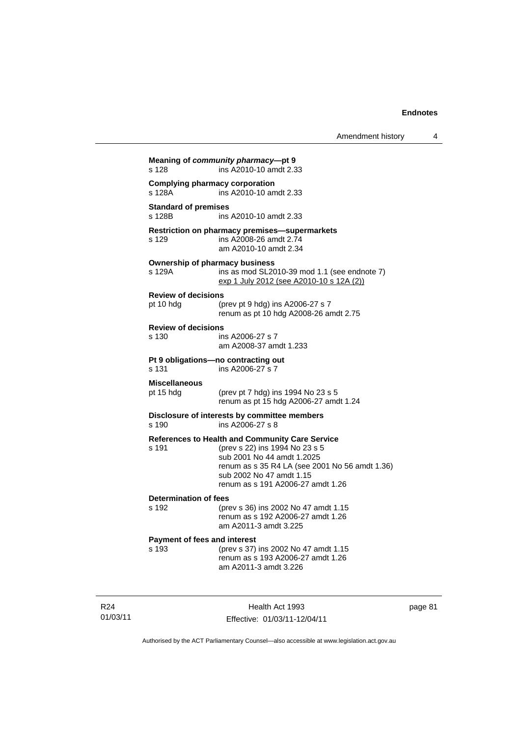**Meaning of** *community pharmacy***—pt 9**  s 128 ins A2010-10 amdt 2.33 **Complying pharmacy corporation**<br>s 128A **ins A2010-10** am ins A2010-10 amdt 2.33 **Standard of premises**  s 128B ins A2010-10 amdt 2.33 **Restriction on pharmacy premises—supermarkets**  s 129 ins A2008-26 amdt 2.74 am A2010-10 amdt 2.34 **Ownership of pharmacy business**  s 129A ins as mod SL2010-39 mod 1.1 (see endnote 7) exp 1 July 2012 (see A2010-10 s 12A (2)) **Review of decisions**  pt 10 hdg (prev pt 9 hdg) ins A2006-27 s 7 renum as pt 10 hdg A2008-26 amdt 2.75 **Review of decisions**  s 130 ins A2006-27 s 7 am A2008-37 amdt 1.233 **Pt 9 obligations—no contracting out**  ins A2006-27 s 7 **Miscellaneous** pt 15 hdg (prev pt 7 hdg) ins 1994 No 23 s 5 renum as pt 15 hdg A2006-27 amdt 1.24 **Disclosure of interests by committee members**  s 190 ins A2006-27 s 8 **References to Health and Community Care Service** s 191 (prev s 22) ins 1994 No 23 s 5 sub 2001 No 44 amdt 1.2025 renum as s 35 R4 LA (see 2001 No 56 amdt 1.36) sub 2002 No 47 amdt 1.15 renum as s 191 A2006-27 amdt 1.26 **Determination of fees**  s 192 (prev s 36) ins 2002 No 47 amdt 1.15 renum as s 192 A2006-27 amdt 1.26 am A2011-3 amdt 3.225 **Payment of fees and interest**  s 193 (prev s 37) ins 2002 No 47 amdt 1.15 renum as s 193 A2006-27 amdt 1.26 am A2011-3 amdt 3.226

R24 01/03/11

Health Act 1993 Effective: 01/03/11-12/04/11 page 81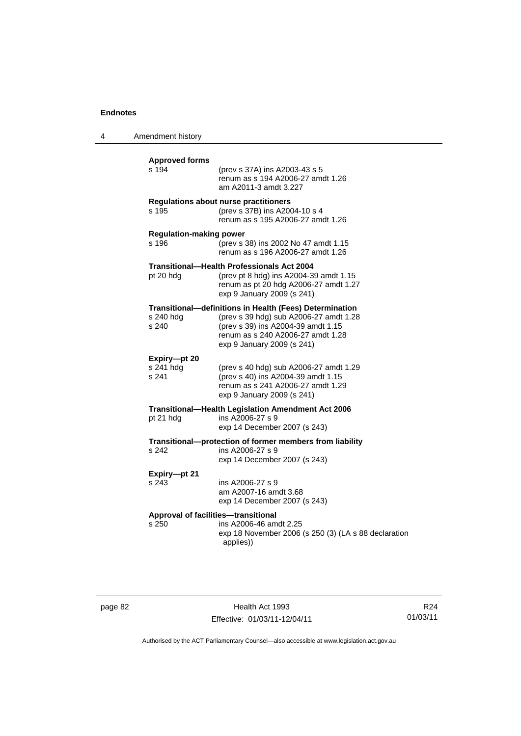4 Amendment history

| <b>Approved forms</b><br>s 194               | (prev s 37A) ins A2003-43 s 5<br>renum as s 194 A2006-27 amdt 1.26<br>am A2011-3 amdt 3.227                                                                                                                       |
|----------------------------------------------|-------------------------------------------------------------------------------------------------------------------------------------------------------------------------------------------------------------------|
| s 195                                        | <b>Regulations about nurse practitioners</b><br>(prev s 37B) ins A2004-10 s 4<br>renum as s 195 A2006-27 amdt 1.26                                                                                                |
| <b>Regulation-making power</b><br>s 196      | (prev s 38) ins 2002 No 47 amdt 1.15<br>renum as s 196 A2006-27 amdt 1.26                                                                                                                                         |
| pt 20 hdg                                    | <b>Transitional-Health Professionals Act 2004</b><br>(prev pt 8 hdg) ins A2004-39 amdt 1.15<br>renum as pt 20 hdg A2006-27 amdt 1.27<br>exp 9 January 2009 (s 241)                                                |
| s 240 hdg<br>s 240                           | <b>Transitional-definitions in Health (Fees) Determination</b><br>(prev s 39 hdg) sub A2006-27 amdt 1.28<br>(prev s 39) ins A2004-39 amdt 1.15<br>renum as s 240 A2006-27 amdt 1.28<br>exp 9 January 2009 (s 241) |
| Expiry-pt 20<br>s 241 hdg<br>s 241           | (prev s 40 hdg) sub A2006-27 amdt 1.29<br>(prev s 40) ins A2004-39 amdt 1.15<br>renum as s 241 A2006-27 amdt 1.29<br>exp 9 January 2009 (s 241)                                                                   |
| pt 21 hdg                                    | Transitional-Health Legislation Amendment Act 2006<br>ins A2006-27 s 9<br>exp 14 December 2007 (s 243)                                                                                                            |
| s 242                                        | Transitional-protection of former members from liability<br>ins A2006-27 s 9<br>exp 14 December 2007 (s 243)                                                                                                      |
| Expiry-pt 21<br>s 243                        | ins A2006-27 s 9<br>am A2007-16 amdt 3.68<br>exp 14 December 2007 (s 243)                                                                                                                                         |
| Approval of facilities-transitional<br>s 250 | ins A2006-46 amdt 2.25<br>exp 18 November 2006 (s 250 (3) (LA s 88 declaration<br>applies))                                                                                                                       |
|                                              |                                                                                                                                                                                                                   |

page 82 Health Act 1993 Effective: 01/03/11-12/04/11

R24 01/03/11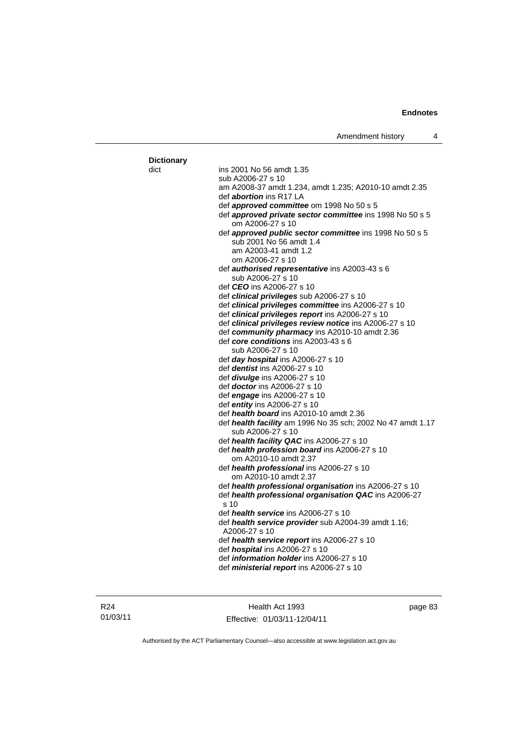| <b>Dictionary</b> |                                                                                    |
|-------------------|------------------------------------------------------------------------------------|
| dict              | ins 2001 No 56 amdt 1.35                                                           |
|                   | sub A2006-27 s 10                                                                  |
|                   | am A2008-37 amdt 1.234, amdt 1.235; A2010-10 amdt 2.35                             |
|                   | def <i>abortion</i> ins R17 LA                                                     |
|                   | def approved committee om 1998 No 50 s 5                                           |
|                   | def approved private sector committee ins 1998 No 50 s 5<br>om A2006-27 s 10       |
|                   | def approved public sector committee ins 1998 No 50 s 5<br>sub 2001 No 56 amdt 1.4 |
|                   | am A2003-41 amdt 1.2<br>om A2006-27 s 10                                           |
|                   | def authorised representative ins A2003-43 s 6                                     |
|                   | sub A2006-27 s 10                                                                  |
|                   | def <i>CEO</i> ins A2006-27 s 10                                                   |
|                   | def clinical privileges sub A2006-27 s 10                                          |
|                   | def clinical privileges committee ins A2006-27 s 10                                |
|                   | def clinical privileges report ins A2006-27 s 10                                   |
|                   | def clinical privileges review notice ins A2006-27 s 10                            |
|                   | def community pharmacy ins A2010-10 amdt 2.36                                      |
|                   | def core conditions ins A2003-43 s 6                                               |
|                   | sub A2006-27 s 10                                                                  |
|                   | def day hospital ins A2006-27 s 10                                                 |
|                   | def <i>dentist</i> ins A2006-27 s 10                                               |
|                   | def divulge ins A2006-27 s 10<br>def <i>doctor</i> ins A2006-27 s 10               |
|                   | def <i>engage</i> ins A2006-27 s 10                                                |
|                   | def <i>entity</i> ins A2006-27 s 10                                                |
|                   | def health board ins A2010-10 amdt 2.36                                            |
|                   | def health facility am 1996 No 35 sch; 2002 No 47 amdt 1.17<br>sub A2006-27 s 10   |
|                   | def health facility QAC ins A2006-27 s 10                                          |
|                   | def health profession board ins A2006-27 s 10                                      |
|                   | om A2010-10 amdt 2.37                                                              |
|                   | def health professional ins A2006-27 s 10<br>om A2010-10 amdt 2.37                 |
|                   | def health professional organisation ins A2006-27 s 10                             |
|                   | def health professional organisation QAC ins A2006-27<br>s 10                      |
|                   | def health service ins A2006-27 s 10                                               |
|                   | def health service provider sub A2004-39 amdt 1.16;<br>A2006-27 s 10               |
|                   | def health service report ins A2006-27 s 10                                        |
|                   | def hospital ins A2006-27 s 10                                                     |
|                   | def <i>information holder</i> ins A2006-27 s 10                                    |
|                   | def ministerial report ins A2006-27 s 10                                           |

R24 01/03/11

Health Act 1993 Effective: 01/03/11-12/04/11 page 83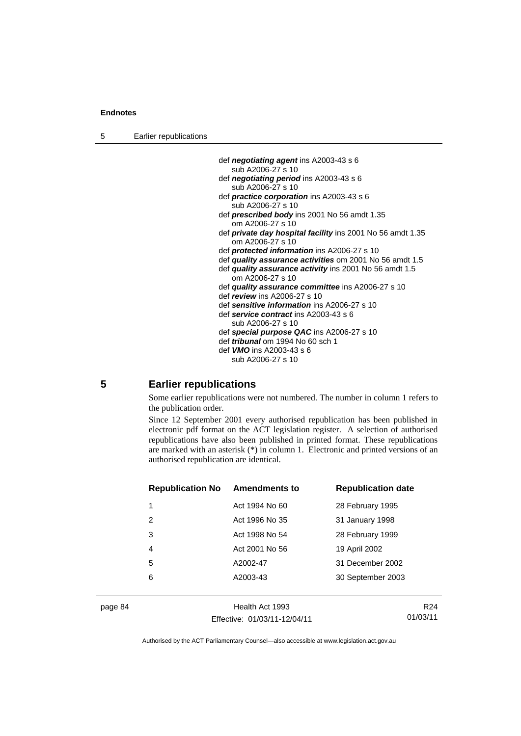| 5 |  | Earlier republications |  |
|---|--|------------------------|--|
|---|--|------------------------|--|

- def *negotiating agent* ins A2003-43 s 6 sub A2006-27 s 10
- def *negotiating period* ins A2003-43 s 6 sub A2006-27 s 10
- def *practice corporation* ins A2003-43 s 6 sub A2006-27 s 10
- def *prescribed body* ins 2001 No 56 amdt 1.35 om A2006-27 s 10
- def *private day hospital facility* ins 2001 No 56 amdt 1.35 om A2006-27 s 10
- def *protected information* ins A2006-27 s 10
- def *quality assurance activities* om 2001 No 56 amdt 1.5
- def *quality assurance activity* ins 2001 No 56 amdt 1.5 om A2006-27 s 10
- def *quality assurance committee* ins A2006-27 s 10
- def *review* ins A2006-27 s 10
- def *sensitive information* ins A2006-27 s 10 def *service contract* ins A2003-43 s 6
- sub A2006-27 s 10 def *special purpose QAC* ins A2006-27 s 10
- def *tribunal* om 1994 No 60 sch 1
- def *VMO* ins A2003-43 s 6
	- sub A2006-27 s 10

### **5 Earlier republications**

Some earlier republications were not numbered. The number in column 1 refers to the publication order.

Since 12 September 2001 every authorised republication has been published in electronic pdf format on the ACT legislation register. A selection of authorised republications have also been published in printed format. These republications are marked with an asterisk (\*) in column 1. Electronic and printed versions of an authorised republication are identical.

| <b>Republication No</b> | <b>Amendments to</b> | <b>Republication date</b> |
|-------------------------|----------------------|---------------------------|
| 1                       | Act 1994 No 60       | 28 February 1995          |
| 2                       | Act 1996 No 35       | 31 January 1998           |
| 3                       | Act 1998 No 54       | 28 February 1999          |
| 4                       | Act 2001 No 56       | 19 April 2002             |
| 5                       | A2002-47             | 31 December 2002          |
| 6                       | A2003-43             | 30 September 2003         |
|                         |                      |                           |

page 84 Health Act 1993 Effective: 01/03/11-12/04/11

R24 01/03/11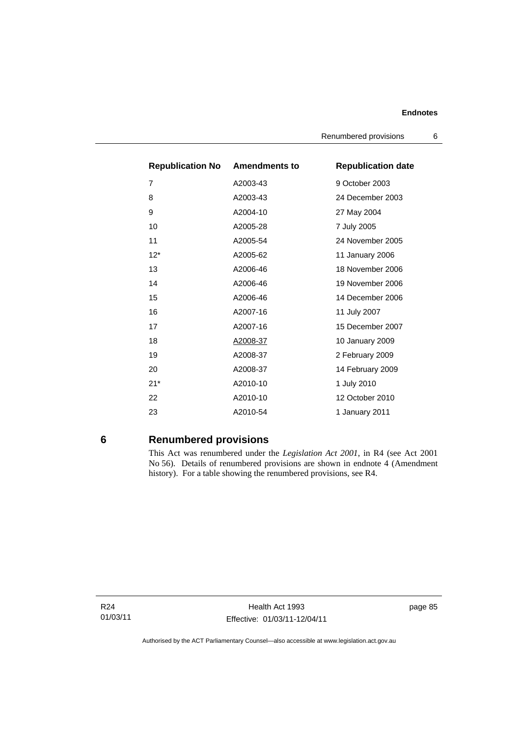| <b>Republication No Amendments to</b> |          | <b>Republication date</b> |
|---------------------------------------|----------|---------------------------|
| 7                                     | A2003-43 | 9 October 2003            |
| 8                                     | A2003-43 | 24 December 2003          |
| 9                                     | A2004-10 | 27 May 2004               |
| 10                                    | A2005-28 | 7 July 2005               |
| 11                                    | A2005-54 | 24 November 2005          |
| $12*$                                 | A2005-62 | 11 January 2006           |
| 13                                    | A2006-46 | 18 November 2006          |
| 14                                    | A2006-46 | 19 November 2006          |
| 15                                    | A2006-46 | 14 December 2006          |
| 16                                    | A2007-16 | 11 July 2007              |
| 17                                    | A2007-16 | 15 December 2007          |
| 18                                    | A2008-37 | 10 January 2009           |
| 19                                    | A2008-37 | 2 February 2009           |
| 20                                    | A2008-37 | 14 February 2009          |
| $21*$                                 | A2010-10 | 1 July 2010               |
| 22                                    | A2010-10 | 12 October 2010           |
| 23                                    | A2010-54 | 1 January 2011            |

# **6 Renumbered provisions**

This Act was renumbered under the *Legislation Act 2001*, in R4 (see Act 2001 No 56). Details of renumbered provisions are shown in endnote 4 (Amendment history). For a table showing the renumbered provisions, see R4.

R24 01/03/11

Health Act 1993 Effective: 01/03/11-12/04/11 page 85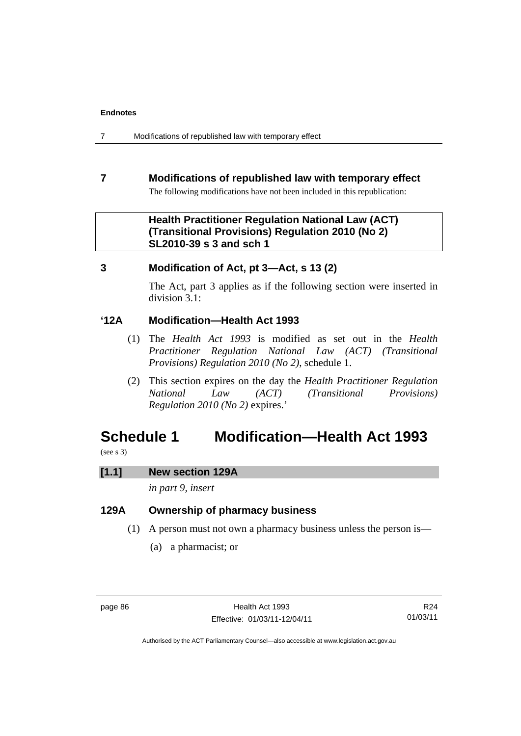7 Modifications of republished law with temporary effect

# **7 Modifications of republished law with temporary effect**

The following modifications have not been included in this republication:

# **Health Practitioner Regulation National Law (ACT) (Transitional Provisions) Regulation 2010 (No 2) SL2010-39 s 3 and sch 1**

# **3 Modification of Act, pt 3—Act, s 13 (2)**

The Act, part 3 applies as if the following section were inserted in division 3.1:

# **'12A Modification—Health Act 1993**

- (1) The *Health Act 1993* is modified as set out in the *Health Practitioner Regulation National Law (ACT) (Transitional Provisions) Regulation 2010 (No 2)*, schedule 1.
- (2) This section expires on the day the *Health Practitioner Regulation National Law (ACT) (Transitional Provisions) Regulation 2010 (No 2)* expires.'

# **Schedule 1 Modification—Health Act 1993**

(see s 3)

### **[1.1] New section 129A**

*in part 9, insert* 

# **129A Ownership of pharmacy business**

- (1) A person must not own a pharmacy business unless the person is—
	- (a) a pharmacist; or

R24 01/03/11